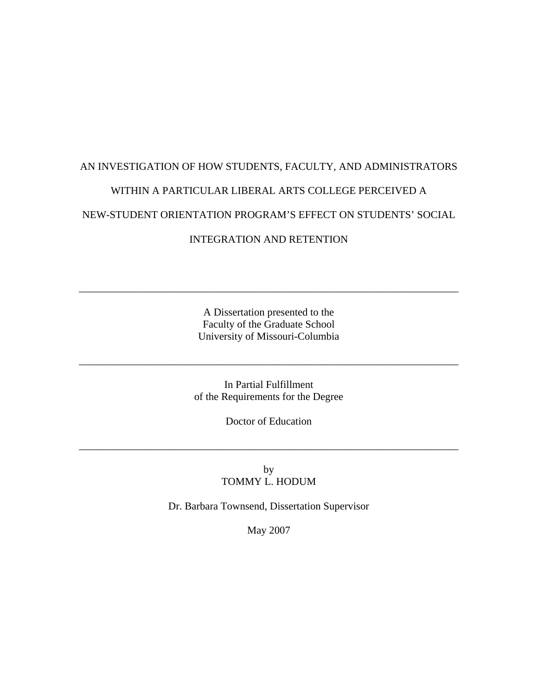# AN INVESTIGATION OF HOW STUDENTS, FACULTY, AND ADMINISTRATORS WITHIN A PARTICULAR LIBERAL ARTS COLLEGE PERCEIVED A NEW-STUDENT ORIENTATION PROGRAM'S EFFECT ON STUDENTS' SOCIAL INTEGRATION AND RETENTION

A Dissertation presented to the Faculty of the Graduate School University of Missouri-Columbia

\_\_\_\_\_\_\_\_\_\_\_\_\_\_\_\_\_\_\_\_\_\_\_\_\_\_\_\_\_\_\_\_\_\_\_\_\_\_\_\_\_\_\_\_\_\_\_\_\_\_\_\_\_\_\_\_\_\_\_\_\_\_\_\_\_\_\_\_\_\_\_\_

In Partial Fulfillment of the Requirements for the Degree

\_\_\_\_\_\_\_\_\_\_\_\_\_\_\_\_\_\_\_\_\_\_\_\_\_\_\_\_\_\_\_\_\_\_\_\_\_\_\_\_\_\_\_\_\_\_\_\_\_\_\_\_\_\_\_\_\_\_\_\_\_\_\_\_\_\_\_\_\_\_\_\_

Doctor of Education

\_\_\_\_\_\_\_\_\_\_\_\_\_\_\_\_\_\_\_\_\_\_\_\_\_\_\_\_\_\_\_\_\_\_\_\_\_\_\_\_\_\_\_\_\_\_\_\_\_\_\_\_\_\_\_\_\_\_\_\_\_\_\_\_\_\_\_\_\_\_\_\_

by TOMMY L. HODUM

Dr. Barbara Townsend, Dissertation Supervisor

May 2007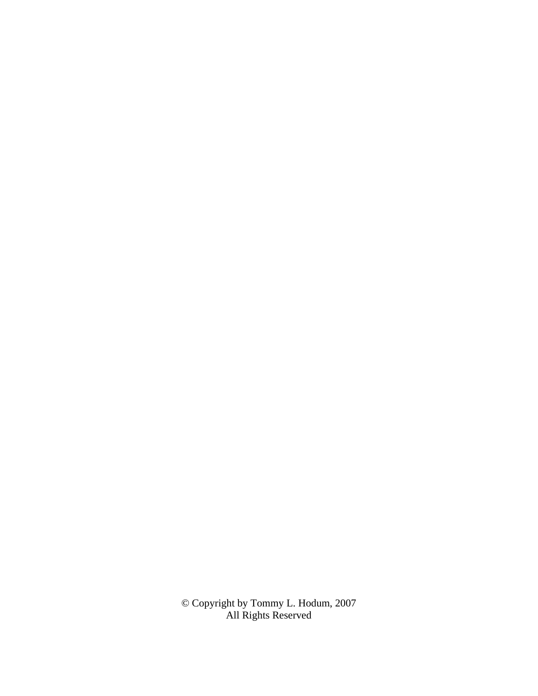© Copyright by Tommy L. Hodum, 2007 All Rights Reserved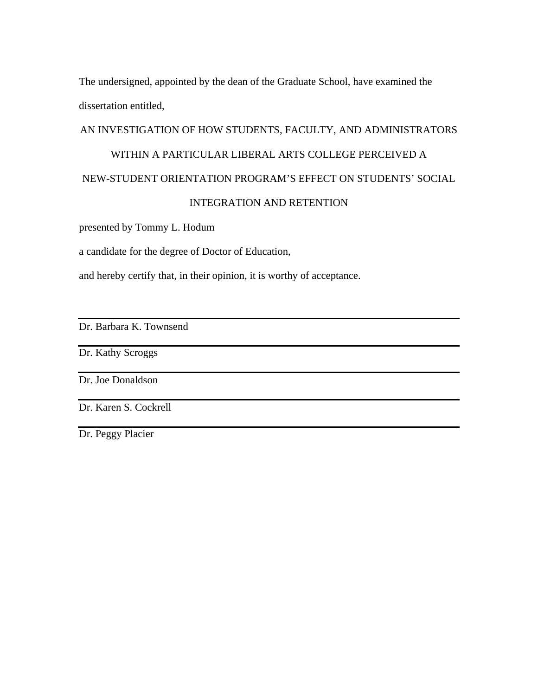The undersigned, appointed by the dean of the Graduate School, have examined the dissertation entitled,

# AN INVESTIGATION OF HOW STUDENTS, FACULTY, AND ADMINISTRATORS

# WITHIN A PARTICULAR LIBERAL ARTS COLLEGE PERCEIVED A

# NEW-STUDENT ORIENTATION PROGRAM'S EFFECT ON STUDENTS' SOCIAL

# INTEGRATION AND RETENTION

presented by Tommy L. Hodum

a candidate for the degree of Doctor of Education,

and hereby certify that, in their opinion, it is worthy of acceptance.

Dr. Barbara K. Townsend

Dr. Kathy Scroggs

Dr. Joe Donaldson

Dr. Karen S. Cockrell

Dr. Peggy Placier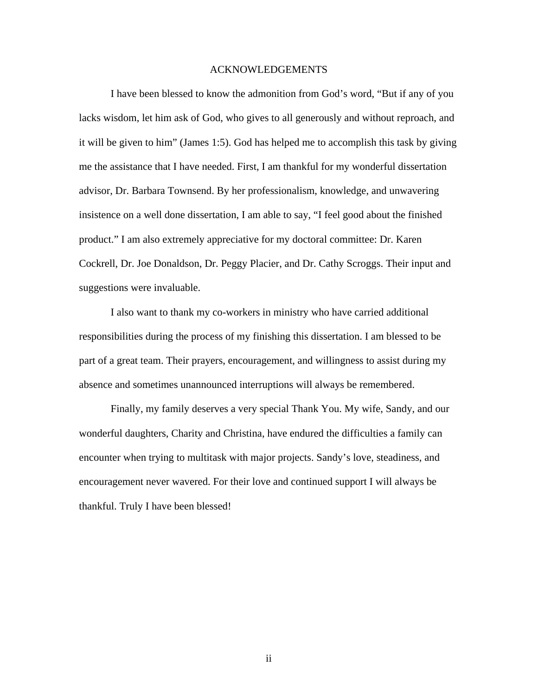#### ACKNOWLEDGEMENTS

 I have been blessed to know the admonition from God's word, "But if any of you lacks wisdom, let him ask of God, who gives to all generously and without reproach, and it will be given to him" (James 1:5). God has helped me to accomplish this task by giving me the assistance that I have needed. First, I am thankful for my wonderful dissertation advisor, Dr. Barbara Townsend. By her professionalism, knowledge, and unwavering insistence on a well done dissertation, I am able to say, "I feel good about the finished product." I am also extremely appreciative for my doctoral committee: Dr. Karen Cockrell, Dr. Joe Donaldson, Dr. Peggy Placier, and Dr. Cathy Scroggs. Their input and suggestions were invaluable.

 I also want to thank my co-workers in ministry who have carried additional responsibilities during the process of my finishing this dissertation. I am blessed to be part of a great team. Their prayers, encouragement, and willingness to assist during my absence and sometimes unannounced interruptions will always be remembered.

 Finally, my family deserves a very special Thank You. My wife, Sandy, and our wonderful daughters, Charity and Christina, have endured the difficulties a family can encounter when trying to multitask with major projects. Sandy's love, steadiness, and encouragement never wavered. For their love and continued support I will always be thankful. Truly I have been blessed!

ii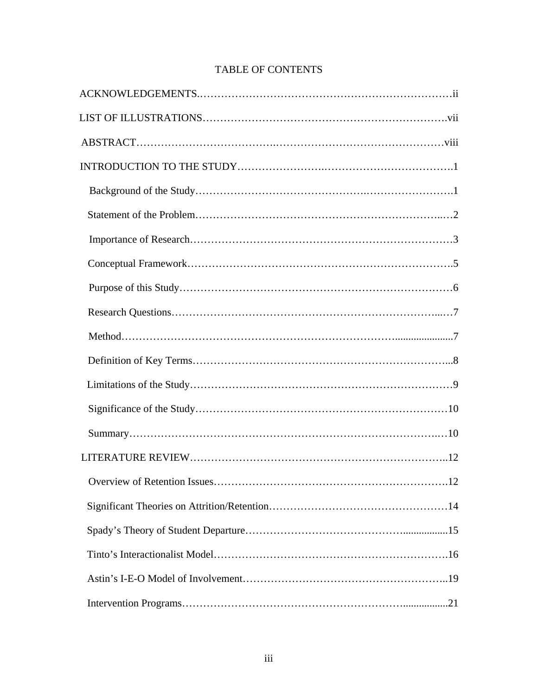| .12 |
|-----|
|     |
|     |
|     |
|     |
|     |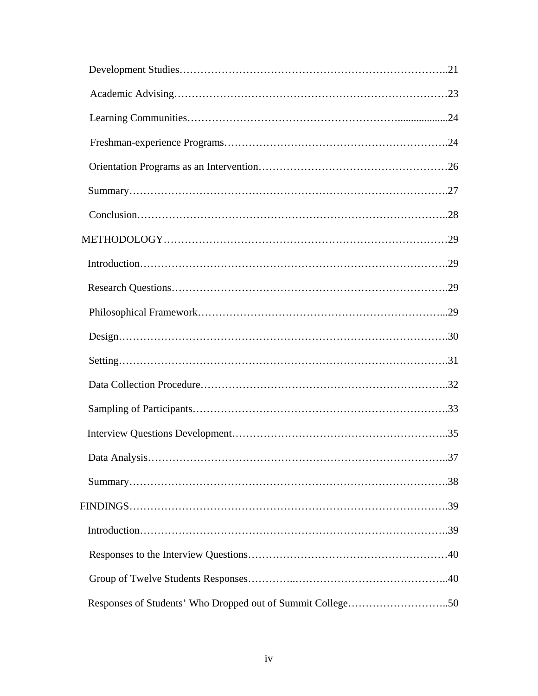| $Design. \dots 30$                                         |  |
|------------------------------------------------------------|--|
|                                                            |  |
|                                                            |  |
|                                                            |  |
|                                                            |  |
|                                                            |  |
|                                                            |  |
|                                                            |  |
| $Introduction \dots 199$                                   |  |
|                                                            |  |
|                                                            |  |
| Responses of Students' Who Dropped out of Summit College50 |  |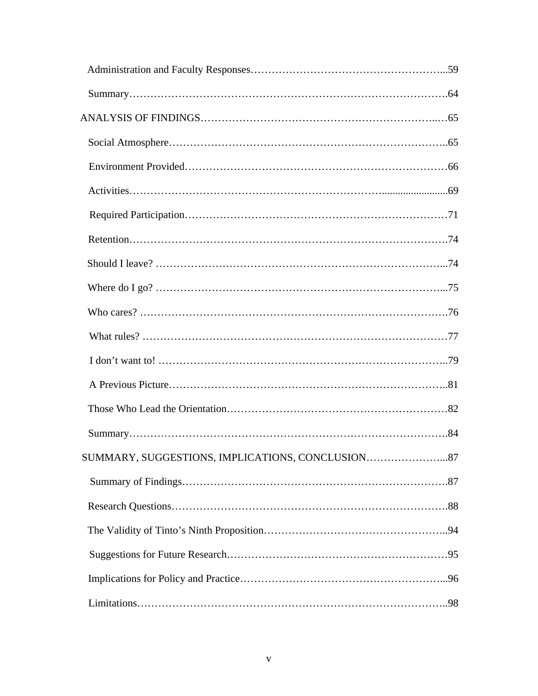| SUMMARY, SUGGESTIONS, IMPLICATIONS, CONCLUSION87 |
|--------------------------------------------------|
|                                                  |
|                                                  |
|                                                  |
|                                                  |
|                                                  |
|                                                  |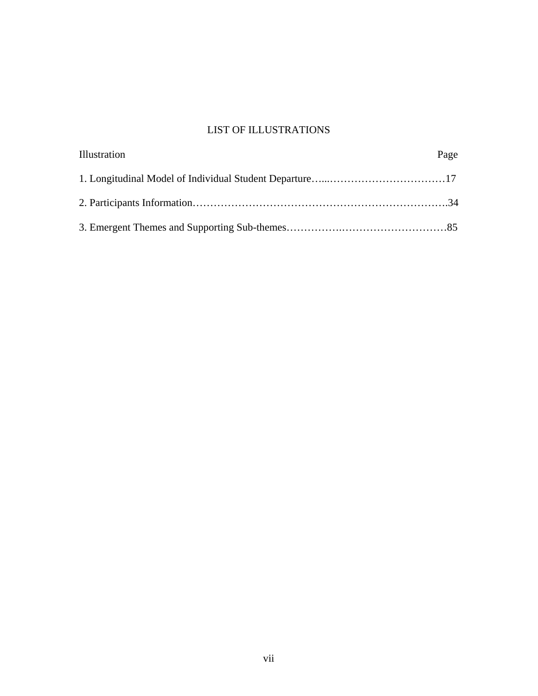# LIST OF ILLUSTRATIONS

| Illustration | Page |
|--------------|------|
|              |      |
|              |      |
|              |      |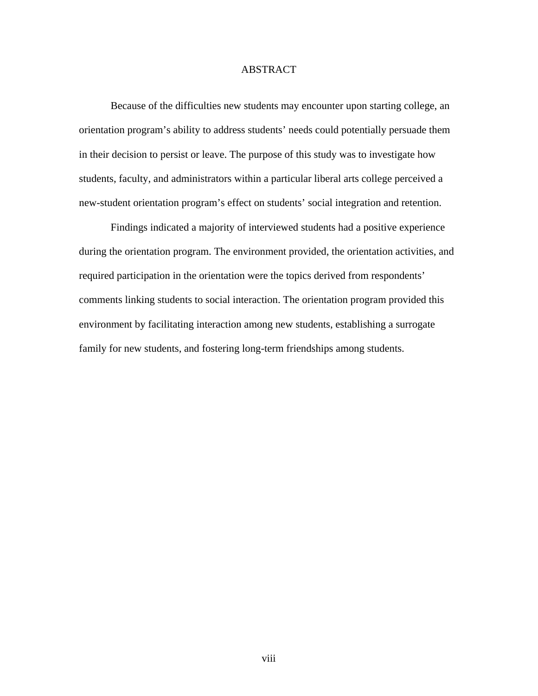# ABSTRACT

 Because of the difficulties new students may encounter upon starting college, an orientation program's ability to address students' needs could potentially persuade them in their decision to persist or leave. The purpose of this study was to investigate how students, faculty, and administrators within a particular liberal arts college perceived a new-student orientation program's effect on students' social integration and retention.

 Findings indicated a majority of interviewed students had a positive experience during the orientation program. The environment provided, the orientation activities, and required participation in the orientation were the topics derived from respondents' comments linking students to social interaction. The orientation program provided this environment by facilitating interaction among new students, establishing a surrogate family for new students, and fostering long-term friendships among students.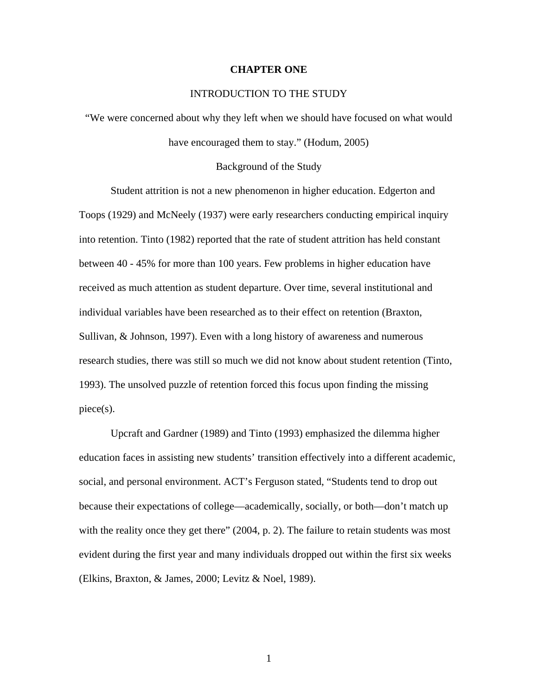#### **CHAPTER ONE**

# INTRODUCTION TO THE STUDY

"We were concerned about why they left when we should have focused on what would have encouraged them to stay." (Hodum, 2005)

#### Background of the Study

 Student attrition is not a new phenomenon in higher education. Edgerton and Toops (1929) and McNeely (1937) were early researchers conducting empirical inquiry into retention. Tinto (1982) reported that the rate of student attrition has held constant between 40 - 45% for more than 100 years. Few problems in higher education have received as much attention as student departure. Over time, several institutional and individual variables have been researched as to their effect on retention (Braxton, Sullivan, & Johnson, 1997). Even with a long history of awareness and numerous research studies, there was still so much we did not know about student retention (Tinto, 1993). The unsolved puzzle of retention forced this focus upon finding the missing piece(s).

 Upcraft and Gardner (1989) and Tinto (1993) emphasized the dilemma higher education faces in assisting new students' transition effectively into a different academic, social, and personal environment. ACT's Ferguson stated, "Students tend to drop out because their expectations of college—academically, socially, or both—don't match up with the reality once they get there" (2004, p. 2). The failure to retain students was most evident during the first year and many individuals dropped out within the first six weeks (Elkins, Braxton, & James, 2000; Levitz & Noel, 1989).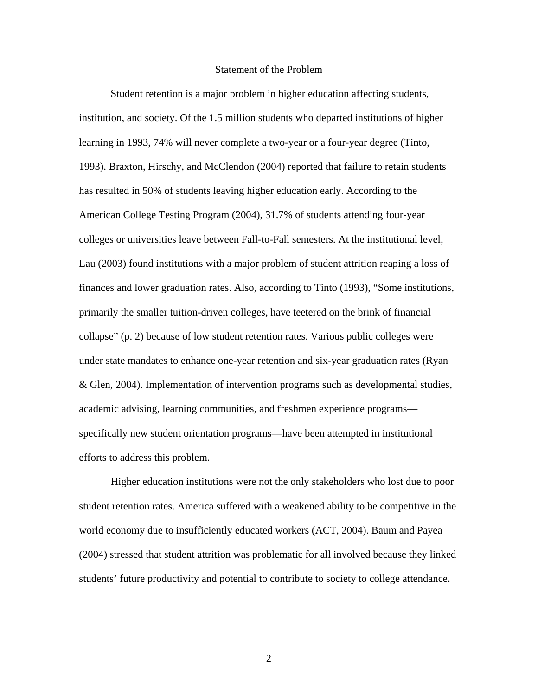#### Statement of the Problem

 Student retention is a major problem in higher education affecting students, institution, and society. Of the 1.5 million students who departed institutions of higher learning in 1993, 74% will never complete a two-year or a four-year degree (Tinto, 1993). Braxton, Hirschy, and McClendon (2004) reported that failure to retain students has resulted in 50% of students leaving higher education early. According to the American College Testing Program (2004), 31.7% of students attending four-year colleges or universities leave between Fall-to-Fall semesters. At the institutional level, Lau (2003) found institutions with a major problem of student attrition reaping a loss of finances and lower graduation rates. Also, according to Tinto (1993), "Some institutions, primarily the smaller tuition-driven colleges, have teetered on the brink of financial collapse" (p. 2) because of low student retention rates. Various public colleges were under state mandates to enhance one-year retention and six-year graduation rates (Ryan & Glen, 2004). Implementation of intervention programs such as developmental studies, academic advising, learning communities, and freshmen experience programs specifically new student orientation programs—have been attempted in institutional efforts to address this problem.

 Higher education institutions were not the only stakeholders who lost due to poor student retention rates. America suffered with a weakened ability to be competitive in the world economy due to insufficiently educated workers (ACT, 2004). Baum and Payea (2004) stressed that student attrition was problematic for all involved because they linked students' future productivity and potential to contribute to society to college attendance.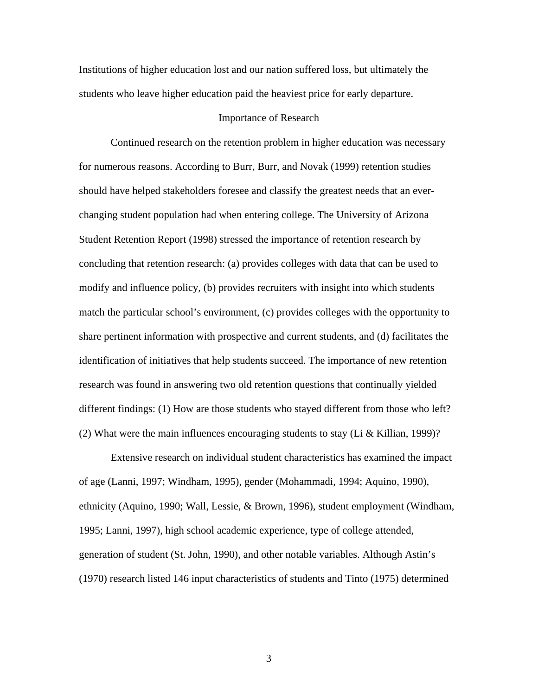Institutions of higher education lost and our nation suffered loss, but ultimately the students who leave higher education paid the heaviest price for early departure.

## Importance of Research

 Continued research on the retention problem in higher education was necessary for numerous reasons. According to Burr, Burr, and Novak (1999) retention studies should have helped stakeholders foresee and classify the greatest needs that an everchanging student population had when entering college. The University of Arizona Student Retention Report (1998) stressed the importance of retention research by concluding that retention research: (a) provides colleges with data that can be used to modify and influence policy, (b) provides recruiters with insight into which students match the particular school's environment, (c) provides colleges with the opportunity to share pertinent information with prospective and current students, and (d) facilitates the identification of initiatives that help students succeed. The importance of new retention research was found in answering two old retention questions that continually yielded different findings: (1) How are those students who stayed different from those who left? (2) What were the main influences encouraging students to stay (Li & Killian, 1999)?

 Extensive research on individual student characteristics has examined the impact of age (Lanni, 1997; Windham, 1995), gender (Mohammadi, 1994; Aquino, 1990), ethnicity (Aquino, 1990; Wall, Lessie, & Brown, 1996), student employment (Windham, 1995; Lanni, 1997), high school academic experience, type of college attended, generation of student (St. John, 1990), and other notable variables. Although Astin's (1970) research listed 146 input characteristics of students and Tinto (1975) determined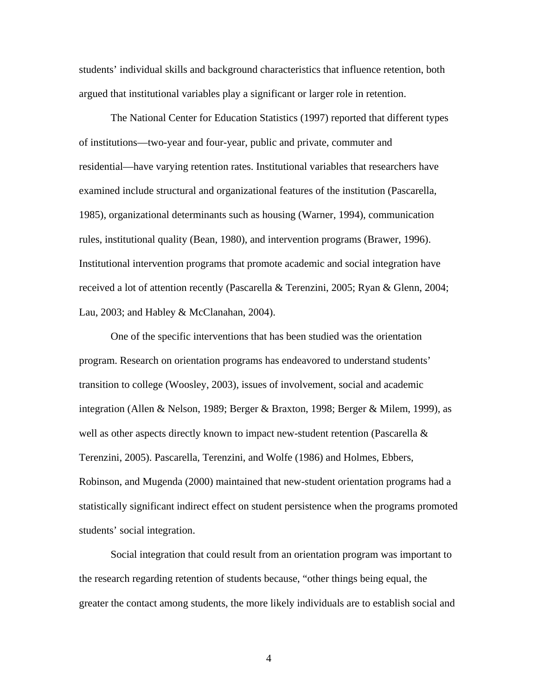students' individual skills and background characteristics that influence retention, both argued that institutional variables play a significant or larger role in retention.

 The National Center for Education Statistics (1997) reported that different types of institutions—two-year and four-year, public and private, commuter and residential—have varying retention rates. Institutional variables that researchers have examined include structural and organizational features of the institution (Pascarella, 1985), organizational determinants such as housing (Warner, 1994), communication rules, institutional quality (Bean, 1980), and intervention programs (Brawer, 1996). Institutional intervention programs that promote academic and social integration have received a lot of attention recently (Pascarella & Terenzini, 2005; Ryan & Glenn, 2004; Lau, 2003; and Habley & McClanahan, 2004).

 One of the specific interventions that has been studied was the orientation program. Research on orientation programs has endeavored to understand students' transition to college (Woosley, 2003), issues of involvement, social and academic integration (Allen & Nelson, 1989; Berger & Braxton, 1998; Berger & Milem, 1999), as well as other aspects directly known to impact new-student retention (Pascarella  $\&$ Terenzini, 2005). Pascarella, Terenzini, and Wolfe (1986) and Holmes, Ebbers, Robinson, and Mugenda (2000) maintained that new-student orientation programs had a statistically significant indirect effect on student persistence when the programs promoted students' social integration.

 Social integration that could result from an orientation program was important to the research regarding retention of students because, "other things being equal, the greater the contact among students, the more likely individuals are to establish social and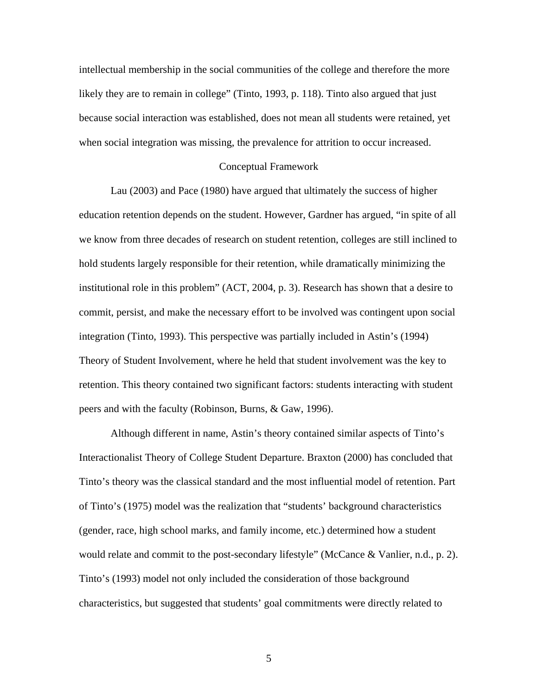intellectual membership in the social communities of the college and therefore the more likely they are to remain in college" (Tinto, 1993, p. 118). Tinto also argued that just because social interaction was established, does not mean all students were retained, yet when social integration was missing, the prevalence for attrition to occur increased.

#### Conceptual Framework

 Lau (2003) and Pace (1980) have argued that ultimately the success of higher education retention depends on the student. However, Gardner has argued, "in spite of all we know from three decades of research on student retention, colleges are still inclined to hold students largely responsible for their retention, while dramatically minimizing the institutional role in this problem" (ACT, 2004, p. 3). Research has shown that a desire to commit, persist, and make the necessary effort to be involved was contingent upon social integration (Tinto, 1993). This perspective was partially included in Astin's (1994) Theory of Student Involvement, where he held that student involvement was the key to retention. This theory contained two significant factors: students interacting with student peers and with the faculty (Robinson, Burns, & Gaw, 1996).

 Although different in name, Astin's theory contained similar aspects of Tinto's Interactionalist Theory of College Student Departure. Braxton (2000) has concluded that Tinto's theory was the classical standard and the most influential model of retention. Part of Tinto's (1975) model was the realization that "students' background characteristics (gender, race, high school marks, and family income, etc.) determined how a student would relate and commit to the post-secondary lifestyle" (McCance & Vanlier, n.d., p. 2). Tinto's (1993) model not only included the consideration of those background characteristics, but suggested that students' goal commitments were directly related to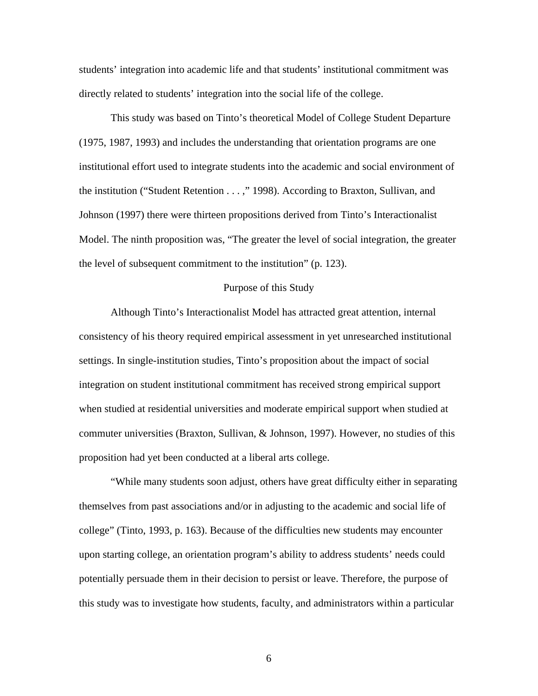students' integration into academic life and that students' institutional commitment was directly related to students' integration into the social life of the college.

 This study was based on Tinto's theoretical Model of College Student Departure (1975, 1987, 1993) and includes the understanding that orientation programs are one institutional effort used to integrate students into the academic and social environment of the institution ("Student Retention . . . ," 1998). According to Braxton, Sullivan, and Johnson (1997) there were thirteen propositions derived from Tinto's Interactionalist Model. The ninth proposition was, "The greater the level of social integration, the greater the level of subsequent commitment to the institution" (p. 123).

#### Purpose of this Study

 Although Tinto's Interactionalist Model has attracted great attention, internal consistency of his theory required empirical assessment in yet unresearched institutional settings. In single-institution studies, Tinto's proposition about the impact of social integration on student institutional commitment has received strong empirical support when studied at residential universities and moderate empirical support when studied at commuter universities (Braxton, Sullivan, & Johnson, 1997). However, no studies of this proposition had yet been conducted at a liberal arts college.

 "While many students soon adjust, others have great difficulty either in separating themselves from past associations and/or in adjusting to the academic and social life of college" (Tinto, 1993, p. 163). Because of the difficulties new students may encounter upon starting college, an orientation program's ability to address students' needs could potentially persuade them in their decision to persist or leave. Therefore, the purpose of this study was to investigate how students, faculty, and administrators within a particular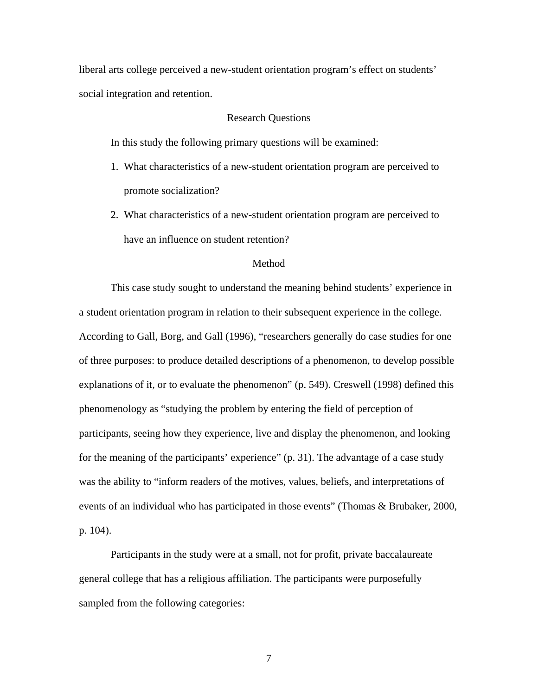liberal arts college perceived a new-student orientation program's effect on students' social integration and retention.

#### Research Questions

In this study the following primary questions will be examined:

- 1. What characteristics of a new-student orientation program are perceived to promote socialization?
- 2. What characteristics of a new-student orientation program are perceived to have an influence on student retention?

## Method

 This case study sought to understand the meaning behind students' experience in a student orientation program in relation to their subsequent experience in the college. According to Gall, Borg, and Gall (1996), "researchers generally do case studies for one of three purposes: to produce detailed descriptions of a phenomenon, to develop possible explanations of it, or to evaluate the phenomenon" (p. 549). Creswell (1998) defined this phenomenology as "studying the problem by entering the field of perception of participants, seeing how they experience, live and display the phenomenon, and looking for the meaning of the participants' experience" (p. 31). The advantage of a case study was the ability to "inform readers of the motives, values, beliefs, and interpretations of events of an individual who has participated in those events" (Thomas & Brubaker, 2000, p. 104).

 Participants in the study were at a small, not for profit, private baccalaureate general college that has a religious affiliation. The participants were purposefully sampled from the following categories: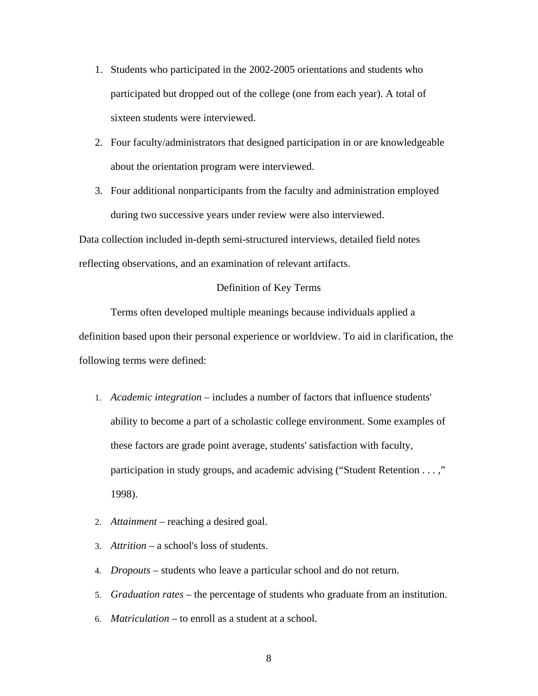- 1. Students who participated in the 2002-2005 orientations and students who participated but dropped out of the college (one from each year). A total of sixteen students were interviewed.
- 2. Four faculty/administrators that designed participation in or are knowledgeable about the orientation program were interviewed.
- 3. Four additional nonparticipants from the faculty and administration employed during two successive years under review were also interviewed.

Data collection included in-depth semi-structured interviews, detailed field notes reflecting observations, and an examination of relevant artifacts.

# Definition of Key Terms

 Terms often developed multiple meanings because individuals applied a definition based upon their personal experience or worldview. To aid in clarification, the following terms were defined:

- 1. *Academic integration* includes a number of factors that influence students' ability to become a part of a scholastic college environment. Some examples of these factors are grade point average, students' satisfaction with faculty, participation in study groups, and academic advising ("Student Retention . . . ," 1998).
- 2. *Attainment* reaching a desired goal.
- 3. *Attrition* a school's loss of students.
- 4. *Dropouts* students who leave a particular school and do not return.
- 5. *Graduation rates* the percentage of students who graduate from an institution.
- 6. *Matriculation* to enroll as a student at a school.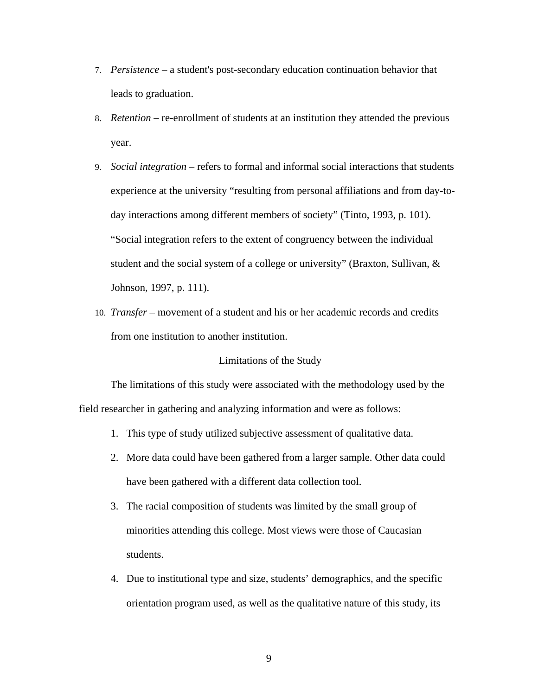- 7. *Persistence* a student's post-secondary education continuation behavior that leads to graduation.
- 8. *Retention* re-enrollment of students at an institution they attended the previous year.
- 9. *Social integration* refers to formal and informal social interactions that students experience at the university "resulting from personal affiliations and from day-today interactions among different members of society" (Tinto, 1993, p. 101). "Social integration refers to the extent of congruency between the individual student and the social system of a college or university" (Braxton, Sullivan, & Johnson, 1997, p. 111).
- 10. *Transfer*  movement of a student and his or her academic records and credits from one institution to another institution.

# Limitations of the Study

 The limitations of this study were associated with the methodology used by the field researcher in gathering and analyzing information and were as follows:

- 1. This type of study utilized subjective assessment of qualitative data.
- 2. More data could have been gathered from a larger sample. Other data could have been gathered with a different data collection tool.
- 3. The racial composition of students was limited by the small group of minorities attending this college. Most views were those of Caucasian students.
- 4. Due to institutional type and size, students' demographics, and the specific orientation program used, as well as the qualitative nature of this study, its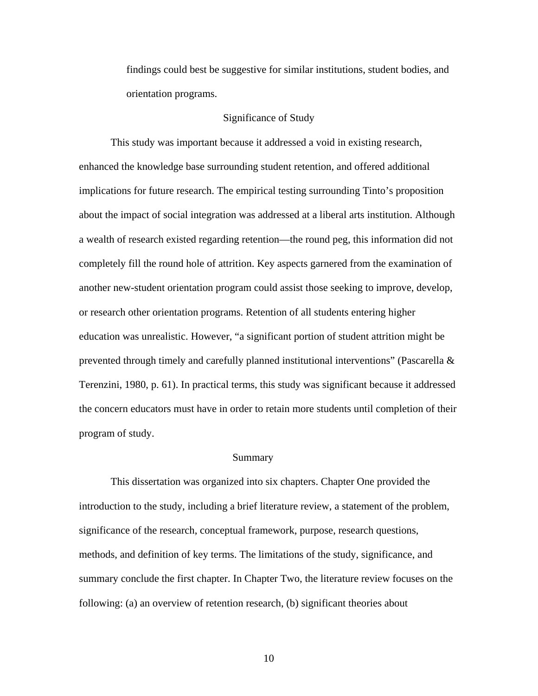findings could best be suggestive for similar institutions, student bodies, and orientation programs.

## Significance of Study

 This study was important because it addressed a void in existing research, enhanced the knowledge base surrounding student retention, and offered additional implications for future research. The empirical testing surrounding Tinto's proposition about the impact of social integration was addressed at a liberal arts institution. Although a wealth of research existed regarding retention—the round peg, this information did not completely fill the round hole of attrition. Key aspects garnered from the examination of another new-student orientation program could assist those seeking to improve, develop, or research other orientation programs. Retention of all students entering higher education was unrealistic. However, "a significant portion of student attrition might be prevented through timely and carefully planned institutional interventions" (Pascarella & Terenzini, 1980, p. 61). In practical terms, this study was significant because it addressed the concern educators must have in order to retain more students until completion of their program of study.

#### Summary

 This dissertation was organized into six chapters. Chapter One provided the introduction to the study, including a brief literature review, a statement of the problem, significance of the research, conceptual framework, purpose, research questions, methods, and definition of key terms. The limitations of the study, significance, and summary conclude the first chapter. In Chapter Two, the literature review focuses on the following: (a) an overview of retention research, (b) significant theories about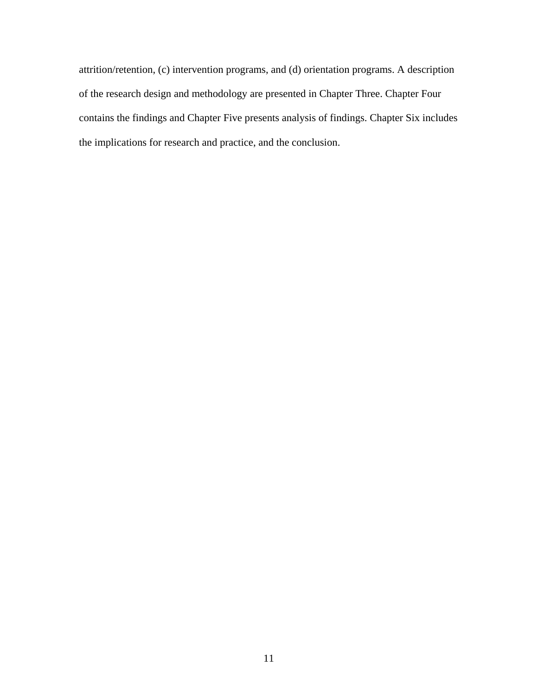attrition/retention, (c) intervention programs, and (d) orientation programs. A description of the research design and methodology are presented in Chapter Three. Chapter Four contains the findings and Chapter Five presents analysis of findings. Chapter Six includes the implications for research and practice, and the conclusion.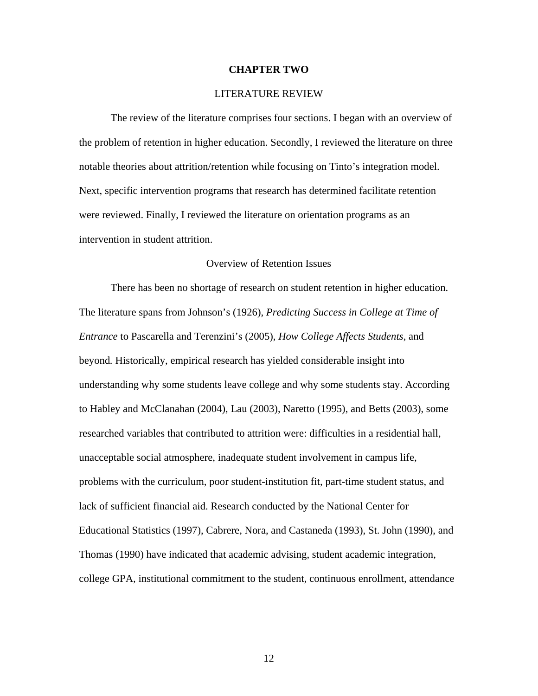#### **CHAPTER TWO**

## LITERATURE REVIEW

 The review of the literature comprises four sections. I began with an overview of the problem of retention in higher education. Secondly, I reviewed the literature on three notable theories about attrition/retention while focusing on Tinto's integration model. Next, specific intervention programs that research has determined facilitate retention were reviewed. Finally, I reviewed the literature on orientation programs as an intervention in student attrition.

#### Overview of Retention Issues

 There has been no shortage of research on student retention in higher education. The literature spans from Johnson's (1926), *Predicting Success in College at Time of Entrance* to Pascarella and Terenzini's (2005), *How College Affects Students*, and beyond*.* Historically, empirical research has yielded considerable insight into understanding why some students leave college and why some students stay. According to Habley and McClanahan (2004), Lau (2003), Naretto (1995), and Betts (2003), some researched variables that contributed to attrition were: difficulties in a residential hall, unacceptable social atmosphere, inadequate student involvement in campus life, problems with the curriculum, poor student-institution fit, part-time student status, and lack of sufficient financial aid. Research conducted by the National Center for Educational Statistics (1997), Cabrere, Nora, and Castaneda (1993), St. John (1990), and Thomas (1990) have indicated that academic advising, student academic integration, college GPA, institutional commitment to the student, continuous enrollment, attendance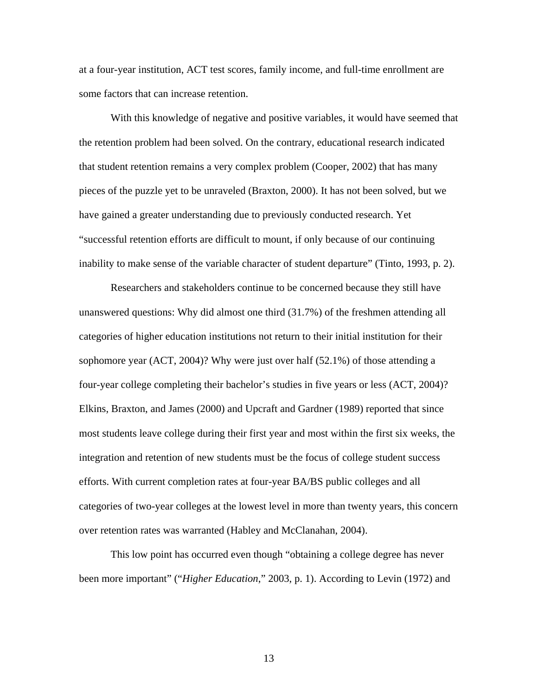at a four-year institution, ACT test scores, family income, and full-time enrollment are some factors that can increase retention.

 With this knowledge of negative and positive variables, it would have seemed that the retention problem had been solved. On the contrary, educational research indicated that student retention remains a very complex problem (Cooper, 2002) that has many pieces of the puzzle yet to be unraveled (Braxton, 2000). It has not been solved, but we have gained a greater understanding due to previously conducted research. Yet "successful retention efforts are difficult to mount, if only because of our continuing inability to make sense of the variable character of student departure" (Tinto, 1993, p. 2).

 Researchers and stakeholders continue to be concerned because they still have unanswered questions: Why did almost one third (31.7%) of the freshmen attending all categories of higher education institutions not return to their initial institution for their sophomore year (ACT, 2004)? Why were just over half (52.1%) of those attending a four-year college completing their bachelor's studies in five years or less (ACT, 2004)? Elkins, Braxton, and James (2000) and Upcraft and Gardner (1989) reported that since most students leave college during their first year and most within the first six weeks, the integration and retention of new students must be the focus of college student success efforts. With current completion rates at four-year BA/BS public colleges and all categories of two-year colleges at the lowest level in more than twenty years, this concern over retention rates was warranted (Habley and McClanahan, 2004).

 This low point has occurred even though "obtaining a college degree has never been more important" ("*Higher Education*," 2003, p. 1). According to Levin (1972) and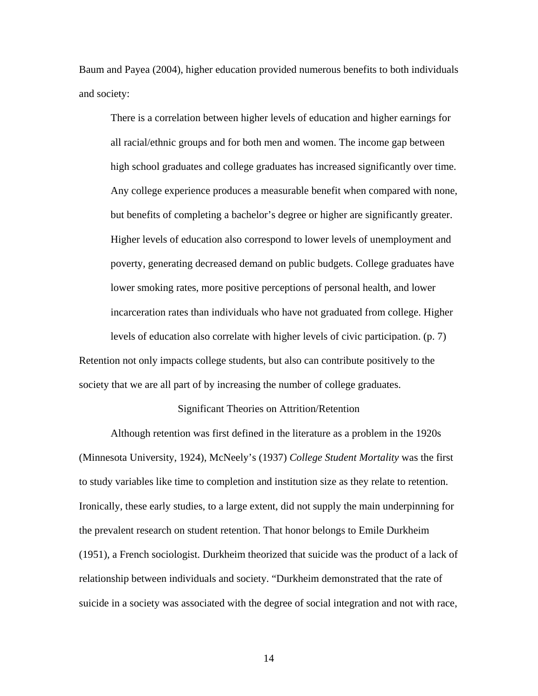Baum and Payea (2004), higher education provided numerous benefits to both individuals and society:

There is a correlation between higher levels of education and higher earnings for all racial/ethnic groups and for both men and women. The income gap between high school graduates and college graduates has increased significantly over time. Any college experience produces a measurable benefit when compared with none, but benefits of completing a bachelor's degree or higher are significantly greater. Higher levels of education also correspond to lower levels of unemployment and poverty, generating decreased demand on public budgets. College graduates have lower smoking rates, more positive perceptions of personal health, and lower incarceration rates than individuals who have not graduated from college. Higher levels of education also correlate with higher levels of civic participation. (p. 7)

Retention not only impacts college students, but also can contribute positively to the society that we are all part of by increasing the number of college graduates.

### Significant Theories on Attrition/Retention

 Although retention was first defined in the literature as a problem in the 1920s (Minnesota University, 1924), McNeely's (1937) *College Student Mortality* was the first to study variables like time to completion and institution size as they relate to retention. Ironically, these early studies, to a large extent, did not supply the main underpinning for the prevalent research on student retention. That honor belongs to Emile Durkheim (1951), a French sociologist. Durkheim theorized that suicide was the product of a lack of relationship between individuals and society. "Durkheim demonstrated that the rate of suicide in a society was associated with the degree of social integration and not with race,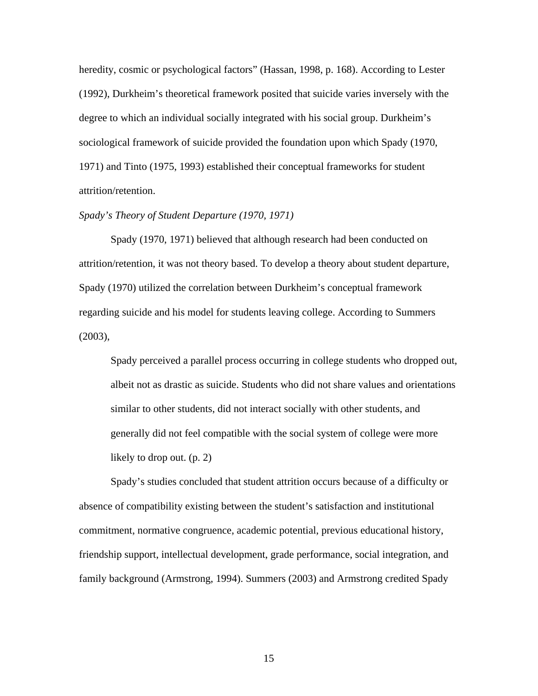heredity, cosmic or psychological factors" (Hassan, 1998, p. 168). According to Lester (1992), Durkheim's theoretical framework posited that suicide varies inversely with the degree to which an individual socially integrated with his social group. Durkheim's sociological framework of suicide provided the foundation upon which Spady (1970, 1971) and Tinto (1975, 1993) established their conceptual frameworks for student attrition/retention.

# *Spady's Theory of Student Departure (1970, 1971)*

 Spady (1970, 1971) believed that although research had been conducted on attrition/retention, it was not theory based. To develop a theory about student departure, Spady (1970) utilized the correlation between Durkheim's conceptual framework regarding suicide and his model for students leaving college. According to Summers (2003),

Spady perceived a parallel process occurring in college students who dropped out, albeit not as drastic as suicide. Students who did not share values and orientations similar to other students, did not interact socially with other students, and generally did not feel compatible with the social system of college were more likely to drop out. (p. 2)

 Spady's studies concluded that student attrition occurs because of a difficulty or absence of compatibility existing between the student's satisfaction and institutional commitment, normative congruence, academic potential, previous educational history, friendship support, intellectual development, grade performance, social integration, and family background (Armstrong, 1994). Summers (2003) and Armstrong credited Spady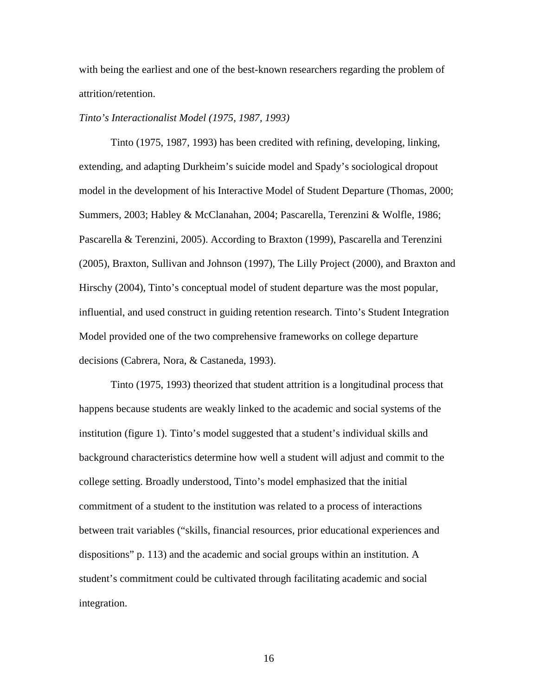with being the earliest and one of the best-known researchers regarding the problem of attrition/retention.

## *Tinto's Interactionalist Model (1975, 1987, 1993)*

 Tinto (1975, 1987, 1993) has been credited with refining, developing, linking, extending, and adapting Durkheim's suicide model and Spady's sociological dropout model in the development of his Interactive Model of Student Departure (Thomas, 2000; Summers, 2003; Habley & McClanahan, 2004; Pascarella, Terenzini & Wolfle, 1986; Pascarella & Terenzini, 2005). According to Braxton (1999), Pascarella and Terenzini (2005), Braxton, Sullivan and Johnson (1997), The Lilly Project (2000), and Braxton and Hirschy (2004), Tinto's conceptual model of student departure was the most popular, influential, and used construct in guiding retention research. Tinto's Student Integration Model provided one of the two comprehensive frameworks on college departure decisions (Cabrera, Nora, & Castaneda, 1993).

 Tinto (1975, 1993) theorized that student attrition is a longitudinal process that happens because students are weakly linked to the academic and social systems of the institution (figure 1). Tinto's model suggested that a student's individual skills and background characteristics determine how well a student will adjust and commit to the college setting. Broadly understood, Tinto's model emphasized that the initial commitment of a student to the institution was related to a process of interactions between trait variables ("skills, financial resources, prior educational experiences and dispositions" p. 113) and the academic and social groups within an institution. A student's commitment could be cultivated through facilitating academic and social integration.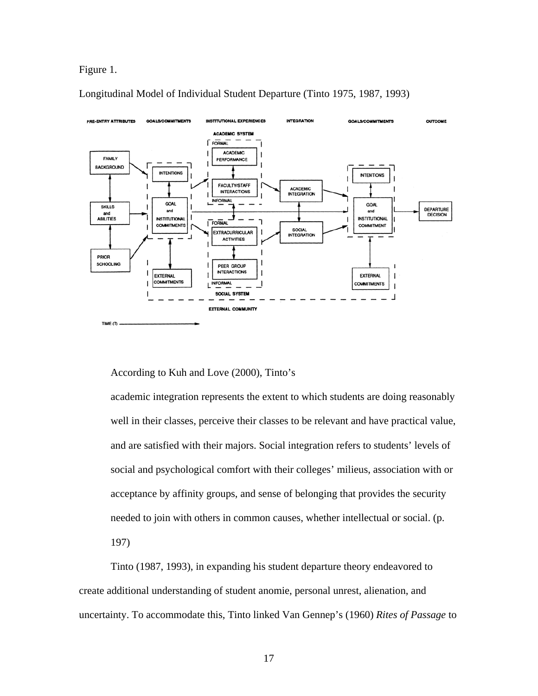### Figure 1.

Longitudinal Model of Individual Student Departure (Tinto 1975, 1987, 1993)



According to Kuh and Love (2000), Tinto's

academic integration represents the extent to which students are doing reasonably well in their classes, perceive their classes to be relevant and have practical value, and are satisfied with their majors. Social integration refers to students' levels of social and psychological comfort with their colleges' milieus, association with or acceptance by affinity groups, and sense of belonging that provides the security needed to join with others in common causes, whether intellectual or social. (p. 197)

 Tinto (1987, 1993), in expanding his student departure theory endeavored to create additional understanding of student anomie, personal unrest, alienation, and uncertainty. To accommodate this, Tinto linked Van Gennep's (1960) *Rites of Passage* to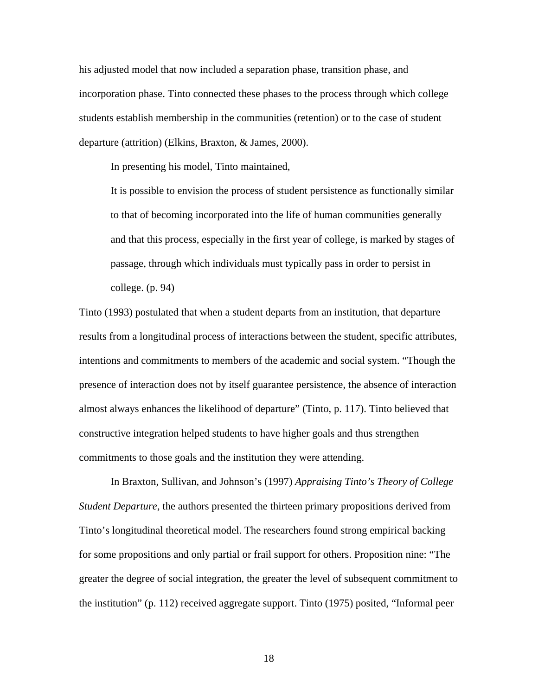his adjusted model that now included a separation phase, transition phase, and incorporation phase. Tinto connected these phases to the process through which college students establish membership in the communities (retention) or to the case of student departure (attrition) (Elkins, Braxton, & James, 2000).

In presenting his model, Tinto maintained,

It is possible to envision the process of student persistence as functionally similar to that of becoming incorporated into the life of human communities generally and that this process, especially in the first year of college, is marked by stages of passage, through which individuals must typically pass in order to persist in college. (p. 94)

Tinto (1993) postulated that when a student departs from an institution, that departure results from a longitudinal process of interactions between the student, specific attributes, intentions and commitments to members of the academic and social system. "Though the presence of interaction does not by itself guarantee persistence, the absence of interaction almost always enhances the likelihood of departure" (Tinto, p. 117). Tinto believed that constructive integration helped students to have higher goals and thus strengthen commitments to those goals and the institution they were attending.

 In Braxton, Sullivan, and Johnson's (1997) *Appraising Tinto's Theory of College Student Departure,* the authors presented the thirteen primary propositions derived from Tinto's longitudinal theoretical model. The researchers found strong empirical backing for some propositions and only partial or frail support for others. Proposition nine: "The greater the degree of social integration, the greater the level of subsequent commitment to the institution" (p. 112) received aggregate support. Tinto (1975) posited, "Informal peer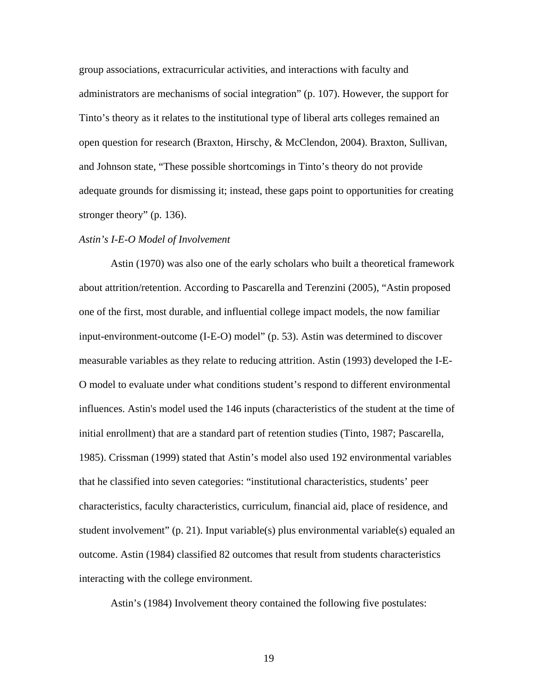group associations, extracurricular activities, and interactions with faculty and administrators are mechanisms of social integration" (p. 107). However, the support for Tinto's theory as it relates to the institutional type of liberal arts colleges remained an open question for research (Braxton, Hirschy, & McClendon, 2004). Braxton, Sullivan, and Johnson state, "These possible shortcomings in Tinto's theory do not provide adequate grounds for dismissing it; instead, these gaps point to opportunities for creating stronger theory" (p. 136).

#### *Astin's I-E-O Model of Involvement*

 Astin (1970) was also one of the early scholars who built a theoretical framework about attrition/retention. According to Pascarella and Terenzini (2005), "Astin proposed one of the first, most durable, and influential college impact models, the now familiar input-environment-outcome (I-E-O) model" (p. 53). Astin was determined to discover measurable variables as they relate to reducing attrition. Astin (1993) developed the I-E-O model to evaluate under what conditions student's respond to different environmental influences. Astin's model used the 146 inputs (characteristics of the student at the time of initial enrollment) that are a standard part of retention studies (Tinto, 1987; Pascarella, 1985). Crissman (1999) stated that Astin's model also used 192 environmental variables that he classified into seven categories: "institutional characteristics, students' peer characteristics, faculty characteristics, curriculum, financial aid, place of residence, and student involvement" (p. 21). Input variable(s) plus environmental variable(s) equaled an outcome. Astin (1984) classified 82 outcomes that result from students characteristics interacting with the college environment.

Astin's (1984) Involvement theory contained the following five postulates: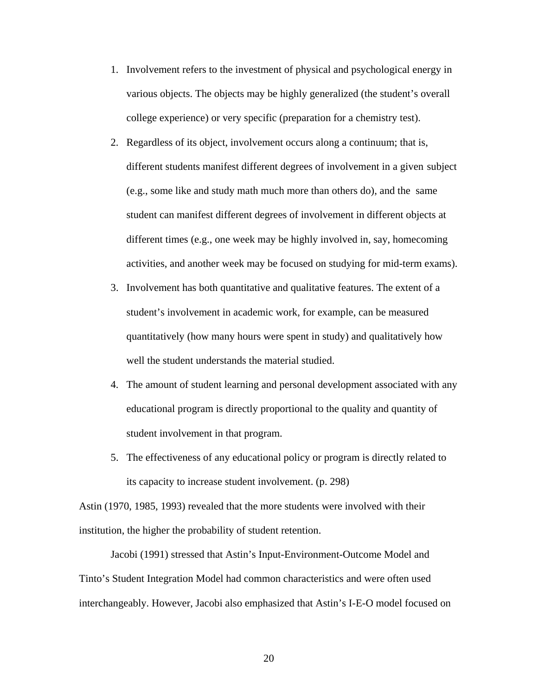- 1. Involvement refers to the investment of physical and psychological energy in various objects. The objects may be highly generalized (the student's overall college experience) or very specific (preparation for a chemistry test).
- 2. Regardless of its object, involvement occurs along a continuum; that is, different students manifest different degrees of involvement in a given subject (e.g., some like and study math much more than others do), and the same student can manifest different degrees of involvement in different objects at different times (e.g., one week may be highly involved in, say, homecoming activities, and another week may be focused on studying for mid-term exams).
- 3. Involvement has both quantitative and qualitative features. The extent of a student's involvement in academic work, for example, can be measured quantitatively (how many hours were spent in study) and qualitatively how well the student understands the material studied.
- 4. The amount of student learning and personal development associated with any educational program is directly proportional to the quality and quantity of student involvement in that program.
- 5. The effectiveness of any educational policy or program is directly related to its capacity to increase student involvement. (p. 298)

Astin (1970, 1985, 1993) revealed that the more students were involved with their institution, the higher the probability of student retention.

 Jacobi (1991) stressed that Astin's Input-Environment-Outcome Model and Tinto's Student Integration Model had common characteristics and were often used interchangeably. However, Jacobi also emphasized that Astin's I-E-O model focused on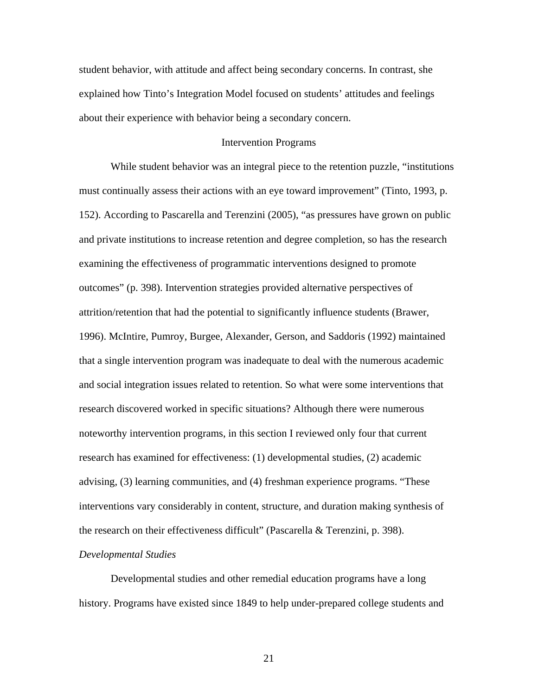student behavior, with attitude and affect being secondary concerns. In contrast, she explained how Tinto's Integration Model focused on students' attitudes and feelings about their experience with behavior being a secondary concern.

## Intervention Programs

While student behavior was an integral piece to the retention puzzle, "institutions" must continually assess their actions with an eye toward improvement" (Tinto, 1993, p. 152). According to Pascarella and Terenzini (2005), "as pressures have grown on public and private institutions to increase retention and degree completion, so has the research examining the effectiveness of programmatic interventions designed to promote outcomes" (p. 398). Intervention strategies provided alternative perspectives of attrition/retention that had the potential to significantly influence students (Brawer, 1996). McIntire, Pumroy, Burgee, Alexander, Gerson, and Saddoris (1992) maintained that a single intervention program was inadequate to deal with the numerous academic and social integration issues related to retention. So what were some interventions that research discovered worked in specific situations? Although there were numerous noteworthy intervention programs, in this section I reviewed only four that current research has examined for effectiveness: (1) developmental studies, (2) academic advising, (3) learning communities, and (4) freshman experience programs. "These interventions vary considerably in content, structure, and duration making synthesis of the research on their effectiveness difficult" (Pascarella & Terenzini, p. 398).

#### *Developmental Studies*

 Developmental studies and other remedial education programs have a long history. Programs have existed since 1849 to help under-prepared college students and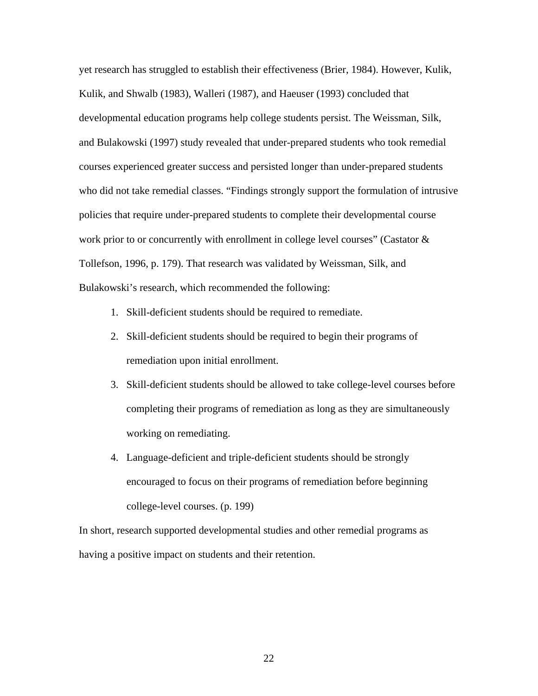yet research has struggled to establish their effectiveness (Brier, 1984). However, Kulik, Kulik, and Shwalb (1983), Walleri (1987), and Haeuser (1993) concluded that developmental education programs help college students persist. The Weissman, Silk, and Bulakowski (1997) study revealed that under-prepared students who took remedial courses experienced greater success and persisted longer than under-prepared students who did not take remedial classes. "Findings strongly support the formulation of intrusive policies that require under-prepared students to complete their developmental course work prior to or concurrently with enrollment in college level courses" (Castator  $\&$ Tollefson, 1996, p. 179). That research was validated by Weissman, Silk, and Bulakowski's research, which recommended the following:

- 1. Skill-deficient students should be required to remediate.
- 2. Skill-deficient students should be required to begin their programs of remediation upon initial enrollment.
- 3. Skill-deficient students should be allowed to take college-level courses before completing their programs of remediation as long as they are simultaneously working on remediating.
- 4. Language-deficient and triple-deficient students should be strongly encouraged to focus on their programs of remediation before beginning college-level courses. (p. 199)

In short, research supported developmental studies and other remedial programs as having a positive impact on students and their retention.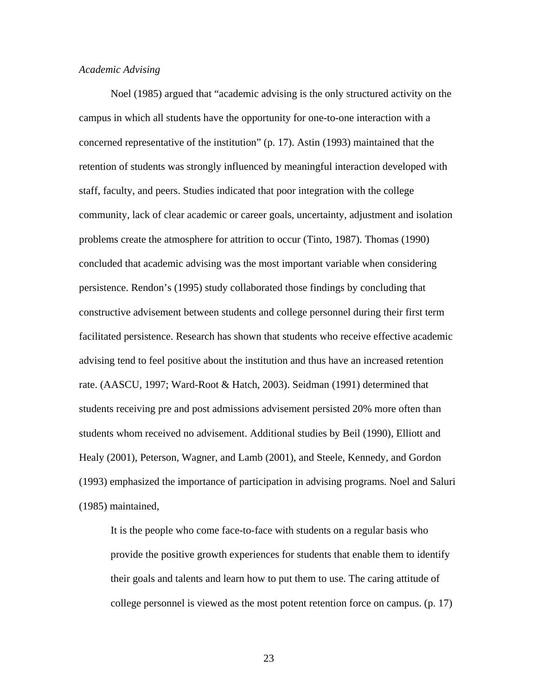### *Academic Advising*

 Noel (1985) argued that "academic advising is the only structured activity on the campus in which all students have the opportunity for one-to-one interaction with a concerned representative of the institution" (p. 17). Astin (1993) maintained that the retention of students was strongly influenced by meaningful interaction developed with staff, faculty, and peers. Studies indicated that poor integration with the college community, lack of clear academic or career goals, uncertainty, adjustment and isolation problems create the atmosphere for attrition to occur (Tinto, 1987). Thomas (1990) concluded that academic advising was the most important variable when considering persistence. Rendon's (1995) study collaborated those findings by concluding that constructive advisement between students and college personnel during their first term facilitated persistence. Research has shown that students who receive effective academic advising tend to feel positive about the institution and thus have an increased retention rate. (AASCU, 1997; Ward-Root & Hatch, 2003). Seidman (1991) determined that students receiving pre and post admissions advisement persisted 20% more often than students whom received no advisement. Additional studies by Beil (1990), Elliott and Healy (2001), Peterson, Wagner, and Lamb (2001), and Steele, Kennedy, and Gordon (1993) emphasized the importance of participation in advising programs. Noel and Saluri (1985) maintained,

It is the people who come face-to-face with students on a regular basis who provide the positive growth experiences for students that enable them to identify their goals and talents and learn how to put them to use. The caring attitude of college personnel is viewed as the most potent retention force on campus. (p. 17)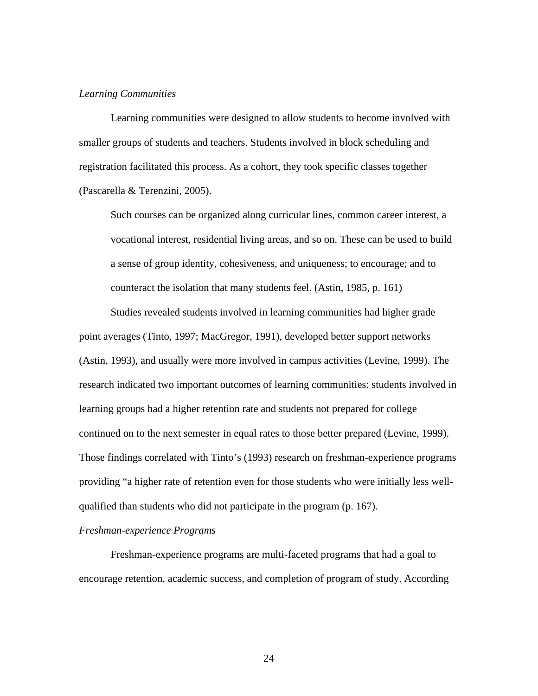## *Learning Communities*

 Learning communities were designed to allow students to become involved with smaller groups of students and teachers. Students involved in block scheduling and registration facilitated this process. As a cohort, they took specific classes together (Pascarella & Terenzini, 2005).

Such courses can be organized along curricular lines, common career interest, a vocational interest, residential living areas, and so on. These can be used to build a sense of group identity, cohesiveness, and uniqueness; to encourage; and to counteract the isolation that many students feel. (Astin, 1985, p. 161)

 Studies revealed students involved in learning communities had higher grade point averages (Tinto, 1997; MacGregor, 1991), developed better support networks (Astin, 1993), and usually were more involved in campus activities (Levine, 1999). The research indicated two important outcomes of learning communities: students involved in learning groups had a higher retention rate and students not prepared for college continued on to the next semester in equal rates to those better prepared (Levine, 1999). Those findings correlated with Tinto's (1993) research on freshman-experience programs providing "a higher rate of retention even for those students who were initially less wellqualified than students who did not participate in the program (p. 167).

#### *Freshman-experience Programs*

 Freshman-experience programs are multi-faceted programs that had a goal to encourage retention, academic success, and completion of program of study. According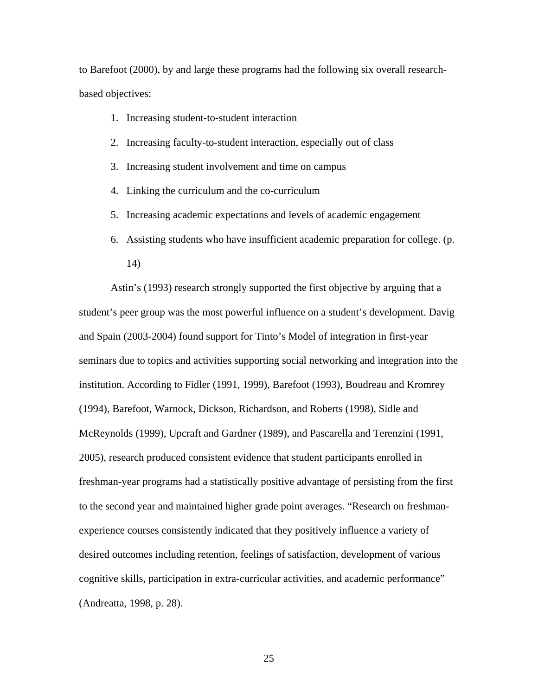to Barefoot (2000), by and large these programs had the following six overall researchbased objectives:

- 1. Increasing student-to-student interaction
- 2. Increasing faculty-to-student interaction, especially out of class
- 3. Increasing student involvement and time on campus
- 4. Linking the curriculum and the co-curriculum
- 5. Increasing academic expectations and levels of academic engagement
- 6. Assisting students who have insufficient academic preparation for college. (p. 14)

 Astin's (1993) research strongly supported the first objective by arguing that a student's peer group was the most powerful influence on a student's development. Davig and Spain (2003-2004) found support for Tinto's Model of integration in first-year seminars due to topics and activities supporting social networking and integration into the institution. According to Fidler (1991, 1999), Barefoot (1993), Boudreau and Kromrey (1994), Barefoot, Warnock, Dickson, Richardson, and Roberts (1998), Sidle and McReynolds (1999), Upcraft and Gardner (1989), and Pascarella and Terenzini (1991, 2005), research produced consistent evidence that student participants enrolled in freshman-year programs had a statistically positive advantage of persisting from the first to the second year and maintained higher grade point averages. "Research on freshmanexperience courses consistently indicated that they positively influence a variety of desired outcomes including retention, feelings of satisfaction, development of various cognitive skills, participation in extra-curricular activities, and academic performance" (Andreatta, 1998, p. 28).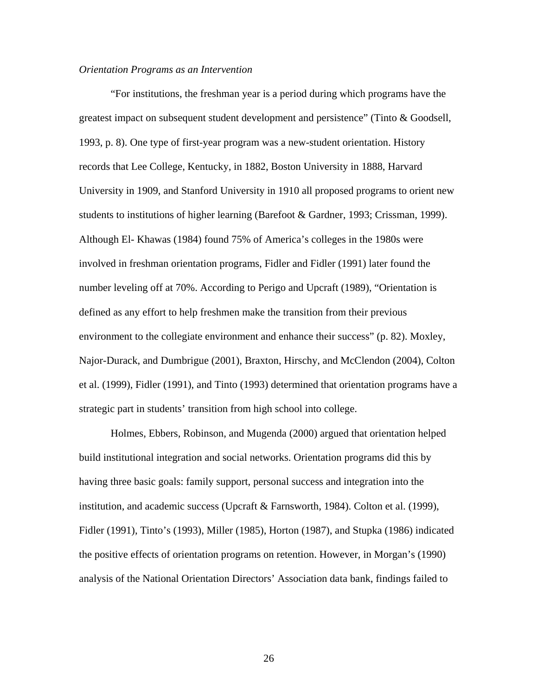#### *Orientation Programs as an Intervention*

 "For institutions, the freshman year is a period during which programs have the greatest impact on subsequent student development and persistence" (Tinto & Goodsell, 1993, p. 8). One type of first-year program was a new-student orientation. History records that Lee College, Kentucky, in 1882, Boston University in 1888, Harvard University in 1909, and Stanford University in 1910 all proposed programs to orient new students to institutions of higher learning (Barefoot & Gardner, 1993; Crissman, 1999). Although El- Khawas (1984) found 75% of America's colleges in the 1980s were involved in freshman orientation programs, Fidler and Fidler (1991) later found the number leveling off at 70%. According to Perigo and Upcraft (1989), "Orientation is defined as any effort to help freshmen make the transition from their previous environment to the collegiate environment and enhance their success" (p. 82). Moxley, Najor-Durack, and Dumbrigue (2001), Braxton, Hirschy, and McClendon (2004), Colton et al. (1999), Fidler (1991), and Tinto (1993) determined that orientation programs have a strategic part in students' transition from high school into college.

 Holmes, Ebbers, Robinson, and Mugenda (2000) argued that orientation helped build institutional integration and social networks. Orientation programs did this by having three basic goals: family support, personal success and integration into the institution, and academic success (Upcraft & Farnsworth, 1984). Colton et al. (1999), Fidler (1991), Tinto's (1993), Miller (1985), Horton (1987), and Stupka (1986) indicated the positive effects of orientation programs on retention. However, in Morgan's (1990) analysis of the National Orientation Directors' Association data bank, findings failed to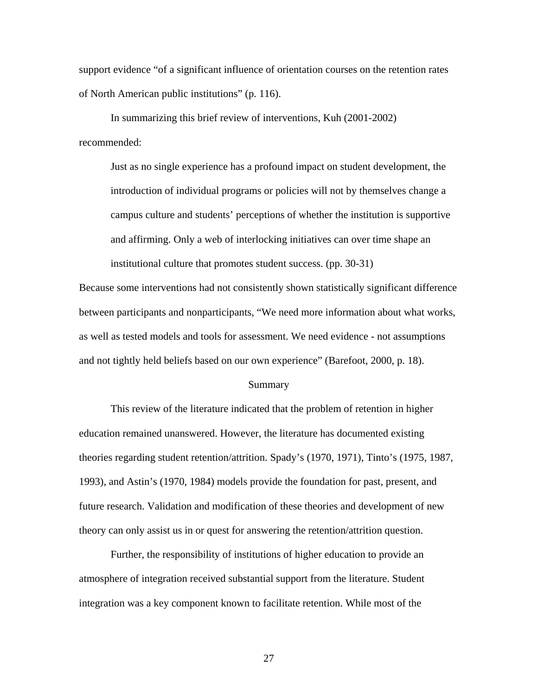support evidence "of a significant influence of orientation courses on the retention rates of North American public institutions" (p. 116).

 In summarizing this brief review of interventions, Kuh (2001-2002) recommended:

Just as no single experience has a profound impact on student development, the introduction of individual programs or policies will not by themselves change a campus culture and students' perceptions of whether the institution is supportive and affirming. Only a web of interlocking initiatives can over time shape an institutional culture that promotes student success. (pp. 30-31)

Because some interventions had not consistently shown statistically significant difference between participants and nonparticipants, "We need more information about what works, as well as tested models and tools for assessment. We need evidence - not assumptions and not tightly held beliefs based on our own experience" (Barefoot, 2000, p. 18).

#### Summary

 This review of the literature indicated that the problem of retention in higher education remained unanswered. However, the literature has documented existing theories regarding student retention/attrition. Spady's (1970, 1971), Tinto's (1975, 1987, 1993), and Astin's (1970, 1984) models provide the foundation for past, present, and future research. Validation and modification of these theories and development of new theory can only assist us in or quest for answering the retention/attrition question.

 Further, the responsibility of institutions of higher education to provide an atmosphere of integration received substantial support from the literature. Student integration was a key component known to facilitate retention. While most of the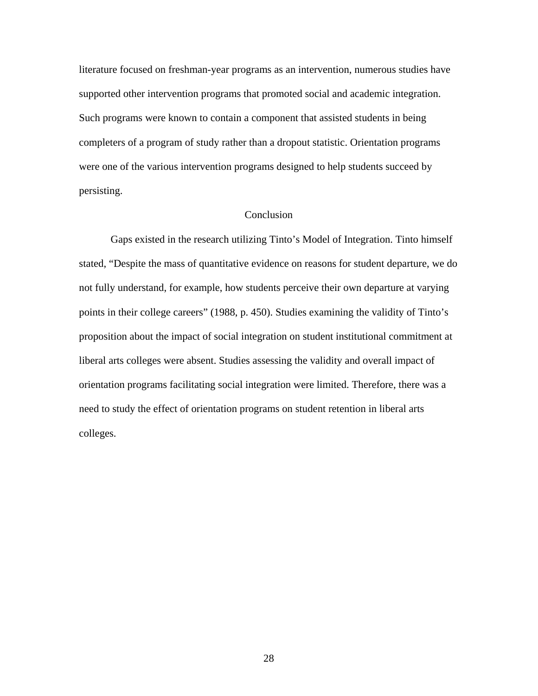literature focused on freshman-year programs as an intervention, numerous studies have supported other intervention programs that promoted social and academic integration. Such programs were known to contain a component that assisted students in being completers of a program of study rather than a dropout statistic. Orientation programs were one of the various intervention programs designed to help students succeed by persisting.

# Conclusion

 Gaps existed in the research utilizing Tinto's Model of Integration. Tinto himself stated, "Despite the mass of quantitative evidence on reasons for student departure, we do not fully understand, for example, how students perceive their own departure at varying points in their college careers" (1988, p. 450). Studies examining the validity of Tinto's proposition about the impact of social integration on student institutional commitment at liberal arts colleges were absent. Studies assessing the validity and overall impact of orientation programs facilitating social integration were limited. Therefore, there was a need to study the effect of orientation programs on student retention in liberal arts colleges.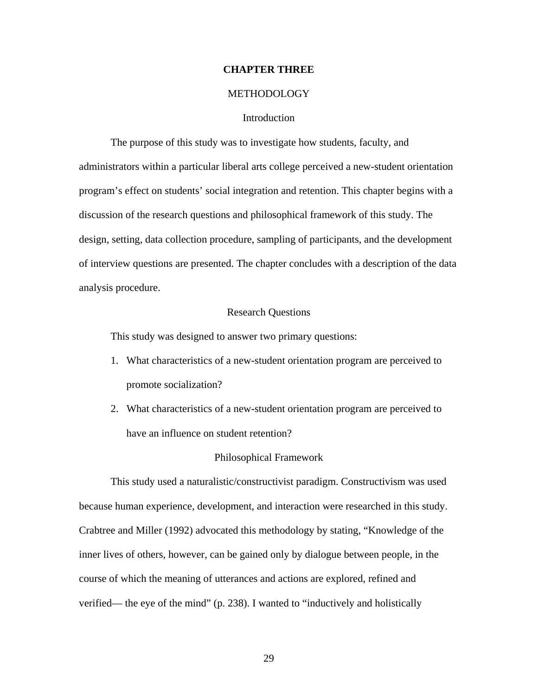# **CHAPTER THREE**

## **METHODOLOGY**

# **Introduction**

 The purpose of this study was to investigate how students, faculty, and administrators within a particular liberal arts college perceived a new-student orientation program's effect on students' social integration and retention. This chapter begins with a discussion of the research questions and philosophical framework of this study. The design, setting, data collection procedure, sampling of participants, and the development of interview questions are presented. The chapter concludes with a description of the data analysis procedure.

# Research Questions

This study was designed to answer two primary questions:

- 1. What characteristics of a new-student orientation program are perceived to promote socialization?
- 2. What characteristics of a new-student orientation program are perceived to have an influence on student retention?

#### Philosophical Framework

 This study used a naturalistic/constructivist paradigm. Constructivism was used because human experience, development, and interaction were researched in this study. Crabtree and Miller (1992) advocated this methodology by stating, "Knowledge of the inner lives of others, however, can be gained only by dialogue between people, in the course of which the meaning of utterances and actions are explored, refined and verified— the eye of the mind" (p. 238). I wanted to "inductively and holistically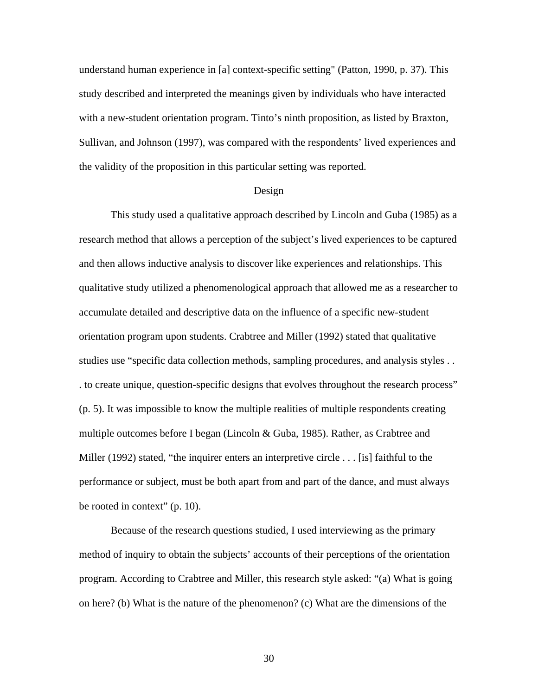understand human experience in [a] context-specific setting" (Patton, 1990, p. 37). This study described and interpreted the meanings given by individuals who have interacted with a new-student orientation program. Tinto's ninth proposition, as listed by Braxton, Sullivan, and Johnson (1997), was compared with the respondents' lived experiences and the validity of the proposition in this particular setting was reported.

#### Design

 This study used a qualitative approach described by Lincoln and Guba (1985) as a research method that allows a perception of the subject's lived experiences to be captured and then allows inductive analysis to discover like experiences and relationships. This qualitative study utilized a phenomenological approach that allowed me as a researcher to accumulate detailed and descriptive data on the influence of a specific new-student orientation program upon students. Crabtree and Miller (1992) stated that qualitative studies use "specific data collection methods, sampling procedures, and analysis styles . . . to create unique, question-specific designs that evolves throughout the research process" (p. 5). It was impossible to know the multiple realities of multiple respondents creating multiple outcomes before I began (Lincoln & Guba, 1985). Rather, as Crabtree and Miller (1992) stated, "the inquirer enters an interpretive circle . . . [is] faithful to the performance or subject, must be both apart from and part of the dance, and must always be rooted in context" (p. 10).

 Because of the research questions studied, I used interviewing as the primary method of inquiry to obtain the subjects' accounts of their perceptions of the orientation program. According to Crabtree and Miller, this research style asked: "(a) What is going on here? (b) What is the nature of the phenomenon? (c) What are the dimensions of the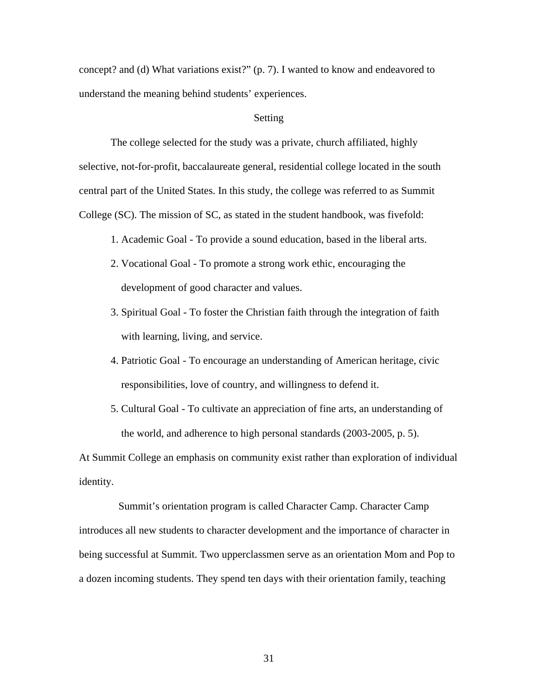concept? and (d) What variations exist?" (p. 7). I wanted to know and endeavored to understand the meaning behind students' experiences.

# Setting

 The college selected for the study was a private, church affiliated, highly selective, not-for-profit, baccalaureate general, residential college located in the south central part of the United States. In this study, the college was referred to as Summit College (SC). The mission of SC, as stated in the student handbook, was fivefold:

- 1. Academic Goal To provide a sound education, based in the liberal arts.
- 2. Vocational Goal To promote a strong work ethic, encouraging the development of good character and values.
- 3. Spiritual Goal To foster the Christian faith through the integration of faith with learning, living, and service.
- 4. Patriotic Goal To encourage an understanding of American heritage, civic responsibilities, love of country, and willingness to defend it.
- 5. Cultural Goal To cultivate an appreciation of fine arts, an understanding of the world, and adherence to high personal standards (2003-2005, p. 5).

At Summit College an emphasis on community exist rather than exploration of individual identity.

 Summit's orientation program is called Character Camp. Character Camp introduces all new students to character development and the importance of character in being successful at Summit. Two upperclassmen serve as an orientation Mom and Pop to a dozen incoming students. They spend ten days with their orientation family, teaching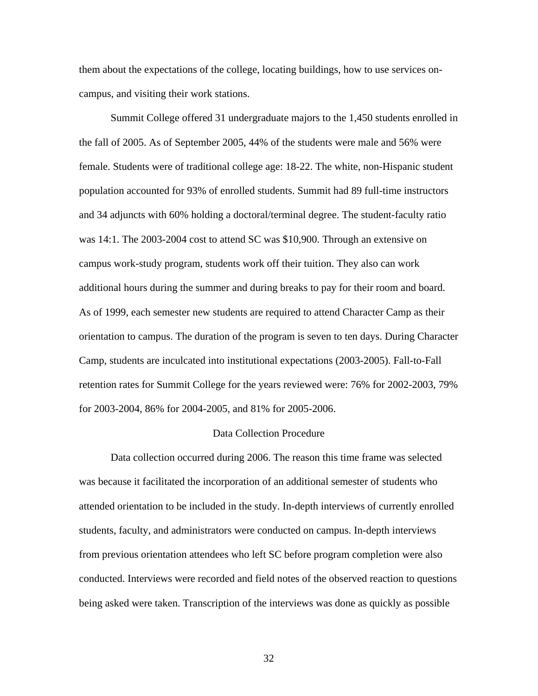them about the expectations of the college, locating buildings, how to use services oncampus, and visiting their work stations.

 Summit College offered 31 undergraduate majors to the 1,450 students enrolled in the fall of 2005. As of September 2005, 44% of the students were male and 56% were female. Students were of traditional college age: 18-22. The white, non-Hispanic student population accounted for 93% of enrolled students. Summit had 89 full-time instructors and 34 adjuncts with 60% holding a doctoral/terminal degree. The student-faculty ratio was 14:1. The 2003-2004 cost to attend SC was \$10,900. Through an extensive on campus work-study program, students work off their tuition. They also can work additional hours during the summer and during breaks to pay for their room and board. As of 1999, each semester new students are required to attend Character Camp as their orientation to campus. The duration of the program is seven to ten days. During Character Camp, students are inculcated into institutional expectations (2003-2005). Fall-to-Fall retention rates for Summit College for the years reviewed were: 76% for 2002-2003, 79% for 2003-2004, 86% for 2004-2005, and 81% for 2005-2006.

### Data Collection Procedure

 Data collection occurred during 2006. The reason this time frame was selected was because it facilitated the incorporation of an additional semester of students who attended orientation to be included in the study. In-depth interviews of currently enrolled students, faculty, and administrators were conducted on campus. In-depth interviews from previous orientation attendees who left SC before program completion were also conducted. Interviews were recorded and field notes of the observed reaction to questions being asked were taken. Transcription of the interviews was done as quickly as possible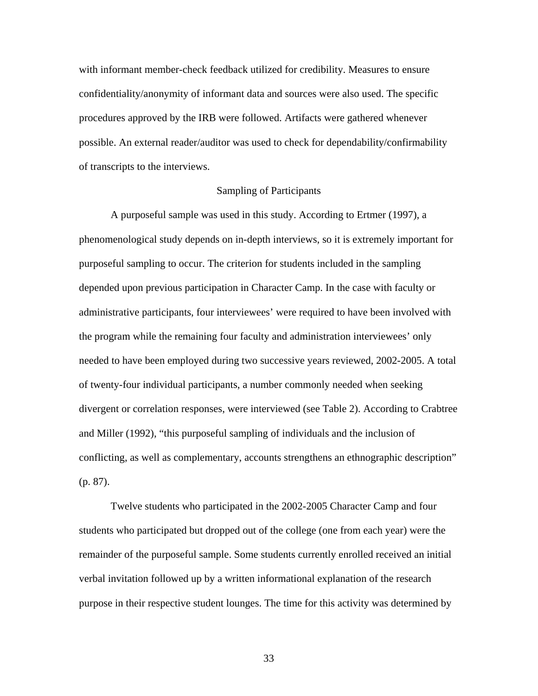with informant member-check feedback utilized for credibility. Measures to ensure confidentiality/anonymity of informant data and sources were also used. The specific procedures approved by the IRB were followed. Artifacts were gathered whenever possible. An external reader/auditor was used to check for dependability/confirmability of transcripts to the interviews.

# Sampling of Participants

 A purposeful sample was used in this study. According to Ertmer (1997), a phenomenological study depends on in-depth interviews, so it is extremely important for purposeful sampling to occur. The criterion for students included in the sampling depended upon previous participation in Character Camp. In the case with faculty or administrative participants, four interviewees' were required to have been involved with the program while the remaining four faculty and administration interviewees' only needed to have been employed during two successive years reviewed, 2002-2005. A total of twenty-four individual participants, a number commonly needed when seeking divergent or correlation responses, were interviewed (see Table 2). According to Crabtree and Miller (1992), "this purposeful sampling of individuals and the inclusion of conflicting, as well as complementary, accounts strengthens an ethnographic description" (p. 87).

 Twelve students who participated in the 2002-2005 Character Camp and four students who participated but dropped out of the college (one from each year) were the remainder of the purposeful sample. Some students currently enrolled received an initial verbal invitation followed up by a written informational explanation of the research purpose in their respective student lounges. The time for this activity was determined by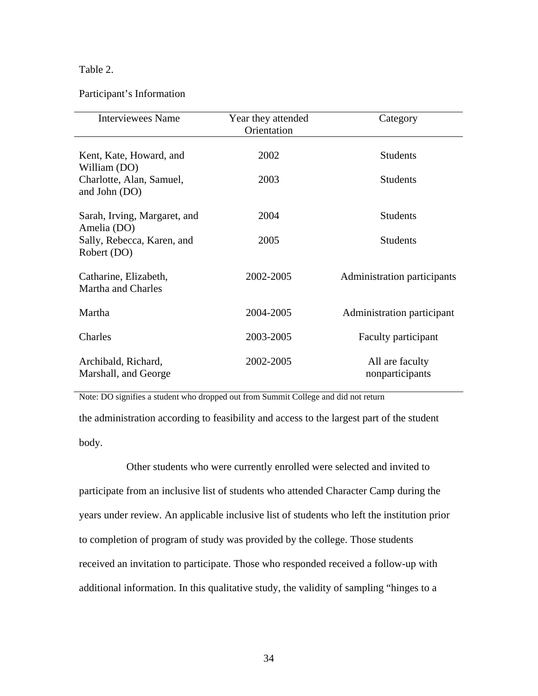# Table 2.

# Participant's Information

| <b>Interviewees Name</b>                    | Year they attended | Category                    |
|---------------------------------------------|--------------------|-----------------------------|
|                                             | Orientation        |                             |
|                                             |                    |                             |
| Kent, Kate, Howard, and                     | 2002               | <b>Students</b>             |
| William (DO)                                |                    |                             |
| Charlotte, Alan, Samuel,                    | 2003               | <b>Students</b>             |
| and John (DO)                               |                    |                             |
|                                             |                    |                             |
| Sarah, Irving, Margaret, and<br>Amelia (DO) | 2004               | <b>Students</b>             |
| Sally, Rebecca, Karen, and                  | 2005               | <b>Students</b>             |
| Robert (DO)                                 |                    |                             |
|                                             |                    |                             |
| Catharine, Elizabeth,                       | 2002-2005          | Administration participants |
| Martha and Charles                          |                    |                             |
|                                             |                    |                             |
| Martha                                      | 2004-2005          | Administration participant  |
| Charles                                     | 2003-2005          | Faculty participant         |
|                                             |                    |                             |
| Archibald, Richard,                         | 2002-2005          | All are faculty             |
| Marshall, and George                        |                    | nonparticipants             |
|                                             |                    |                             |

Note: DO signifies a student who dropped out from Summit College and did not return

the administration according to feasibility and access to the largest part of the student body.

Other students who were currently enrolled were selected and invited to years under review. An applicable inclusive list of students who left the institution prior to completion of program of study was provided by the college. Those students participate from an inclusive list of students who attended Character Camp during the received an invitation to participate. Those who responded received a follow-up with additional information. In this qualitative study, the validity of sampling "hinges to a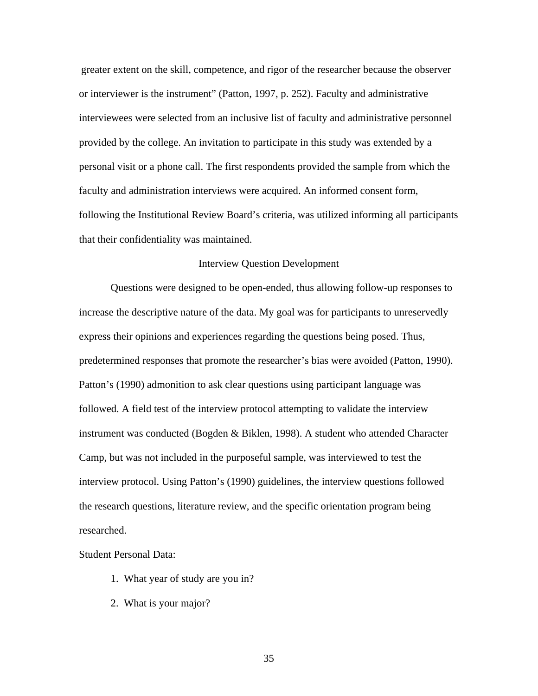greater extent on the skill, competence, and rigor of the researcher because the observ er or interviewer is the instrument" (Patton, 1997, p. 252). Faculty and administrative interviewees were selected from an inclusive list of faculty and administrative personnel provided by the college. An invitation to participate in this study was extended by a personal visit or a phone call. The first respondents provided the sample from which the faculty and administration interviews were acquired. An informed consent form, following the Institutional Review Board's criteria, was utilized informing all participants that their confidentiality was maintained.

# Interview Question Development

Questions were designed to be open-ended, thus allowing follow-up responses to increase the descriptive nature of the data. My goal was for participants to unreservedly instrument was conducted (Bogden & Biklen, 1998). A student who attended Character the research questions, literature review, and the specific orientation program being express their opinions and experiences regarding the questions being posed. Thus, predetermined responses that promote the researcher's bias were avoided (Patton, 1990). Patton's (1990) admonition to ask clear questions using participant language was followed. A field test of the interview protocol attempting to validate the interview Camp, but was not included in the purposeful sample, was interviewed to test the interview protocol. Using Patton's (1990) guidelines, the interview questions followed researched.

#### Student Personal Data:

- 1. What year of study are you in?
- 2. What is your major?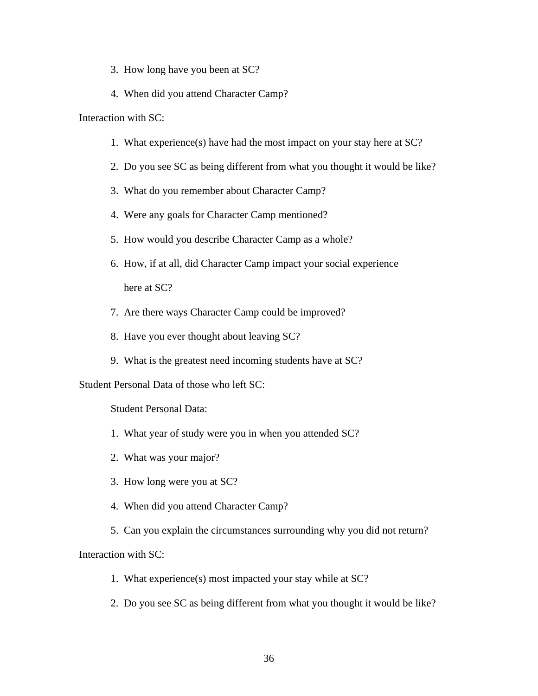- 3. How long have you been at SC?
- 4. When did you attend Character Camp?

Interaction with SC:

- 1. What experience(s) have had the most impact on your stay here at  $SC$ ?
- 2. Do you see SC as being different from what you thought it would be like?
	- 3. What do you remember about Character Camp?
	- 4. Were any goals for Character Camp mentioned?
- 5. How would you describe Character Camp as a whole?
- 6. How, if at all, did Character Camp impact your social experience here at SC?
	- 7. Are there ways Character Camp could be improved?
- 8. Have you ever thought about leaving SC?
- 9. What is the greatest need incoming students have at SC?

Student Personal Data of those who left SC:

Student Personal Data:

- 1. What year of study were you in when you attended SC?
- 2. What was your major?
	- 3. How long were you at SC?
- 4. When did you attend Character Camp?
- 5. Can you explain the circumstances surrounding why you did not return?

Interaction with SC:

- 1. What experience(s) most impacted your stay while at SC?
- 2. Do you see SC as being different from what you thought it would be like?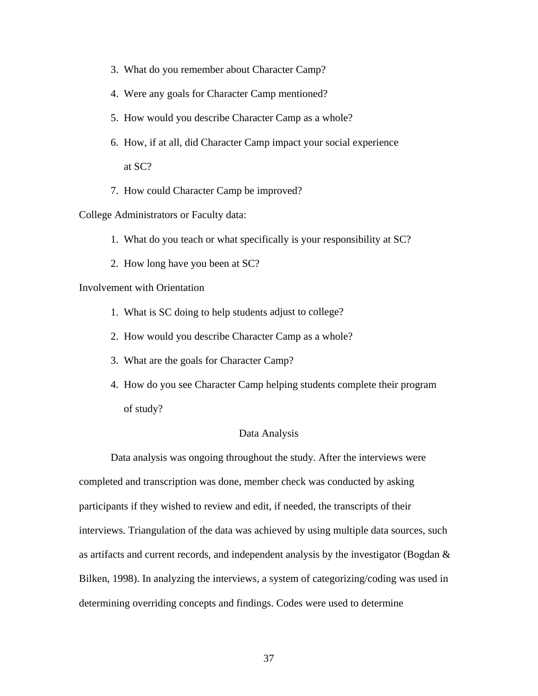- 3. What do you remember about Character Camp?
- 4. Were any goals for Character Camp mentioned?
- 5. How would you describe Character Camp as a whole?
- 6. How, if at all, did Character Camp impact your social experience at SC?
	- 7. How could Character Camp be improved?

College Administrators or Faculty data:

- 1. What do you teach or what specifically is your responsibility at SC?
- 2. How long have you been at SC?

Involvement with Orientation

- 1. What is SC doing to help students adjust to college?
- 2. How would you describe Character Camp as a whole?
	- 3. What are the goals for Character Camp?
- 4. How do you see Character Camp helping students complete their program of study?

### Data Analysis

Data analysis was ongoing throughout the study. After the interviews were completed and transcription was done, member check was conducted by asking interviews. Triangulation of the data was achieved by using multiple data sources, such as artifacts and current records, and independent analysis by the investigator (Bogdan  $\&$ participants if they wished to review and edit, if needed, the transcripts of their Bilken, 1998). In analyzing the interviews, a system of categorizing/coding was used in determining overriding concepts and findings. Codes were used to determine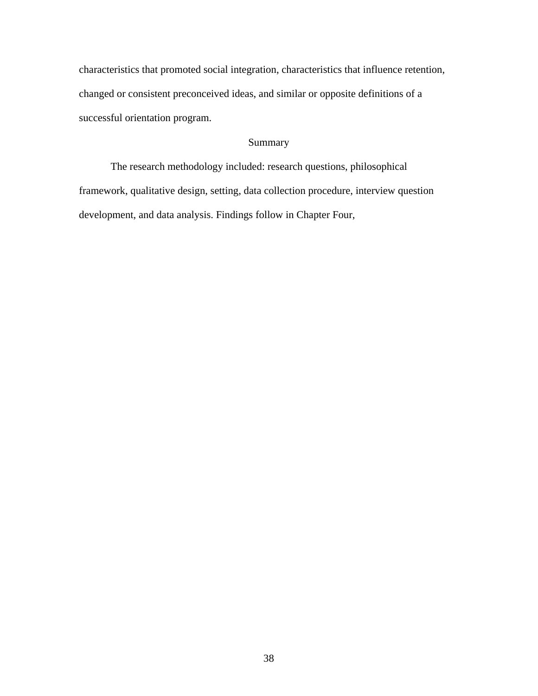characteristics that promoted social integration, characteristics that influence retention, changed or consistent preconceived ideas, and similar or opposite definitions o f a successful orientation program.

# Summary

 The research methodolog y included: research questions, philosophical framework, qualitative design, setting, data collection procedure, interview question development, and data analysis. Findings follow in Chapter Four,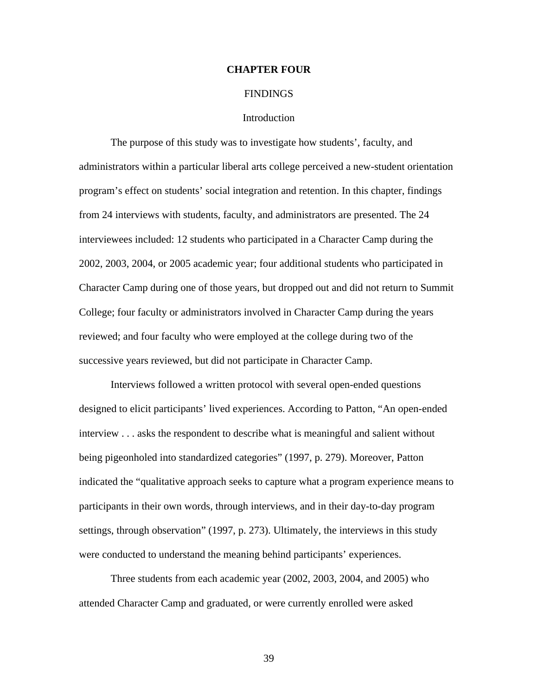# **CHAPTE R FOUR**

## **FINDINGS**

# **Introduction**

The purpose of this study was to investigate how students', faculty, and administrators within a particular liberal arts college perceived a new-student orientation program's effect on students' social integration and retention. In this chapter, findings 2002, 2003, 2004, or 2005 academic year; four additional students who participated in Character Camp during one of those years, but dropped out and did not return to Summit from 24 interviews with students, faculty, and administrators are presented. The 24 interviewees included: 12 students who participated in a Character Camp during the College; four faculty or administrators involved in Character Camp during the years reviewed; and four faculty who were employed at the college during two of the successive years reviewed, but did not participate in Character Camp.

designed to elicit participants' lived experiences. According to Patton, "An open-ended interview . . . asks the respondent to describe what is meaningful and salient without indicated the "qualitative approach seeks to capture what a program experience means to Interviews followed a written protocol with several open-ended questions being pigeonholed into standardized categories" (1997, p. 279). Moreover, Patton participants in their own words, through interviews, and in their day-to-day program settings, through observation" (1997, p. 273). Ultimately, the interviews in this study were conducted to understand the meaning behind participants' experiences.

attended Character Camp and graduated, or were currently enrolled were asked Three students from each academic year (2002, 2003, 2004, and 2005) who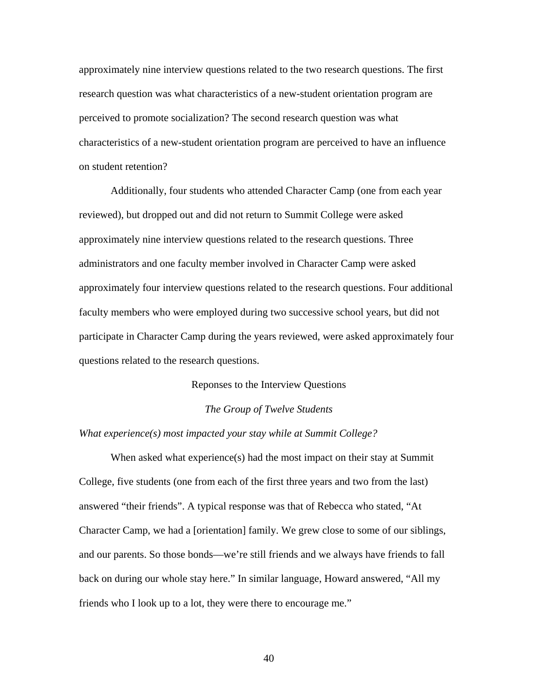approximately nine interview questions related to the two research questions. The first research question was what characteristics of a new-student orientation program are perceived to promote socialization? The second research question was what characteristics of a new-student orientation program are perceived to have an influenc e on student retention?

 Additionally, four students who attended Character Camp (one from each year reviewed), but droppe d out and did not return to Summit College were asked administrators and one faculty member involved in Character Camp were asked approximately four interview questions related to the research questions. Four additional faculty members who were employed during two successive school years, but did not approximately nine interview questions related to the research questions. Three participate in Character Camp during the years reviewed, were asked approximately four questions related to the research questions.

# Reponses to the Interview Questions

# **The Group of Twelve Students**

# *What experience(s) most impacted your stay while at Summit College?*

When asked what  $experience(s)$  had the most impact on their stay at Summit College, five students (one from each of the first three years and two from the last) Character Camp, we had a [orientation] family. We grew close to some of our siblings, and our parents. So those bonds—we're still friends and we always have friends to fall answered "their friends". A typical response was that of Rebecca who stated, "At back on during our whole stay here." In similar language, Howard answered, "All my friends who I look up to a lot, they were there to encourage me."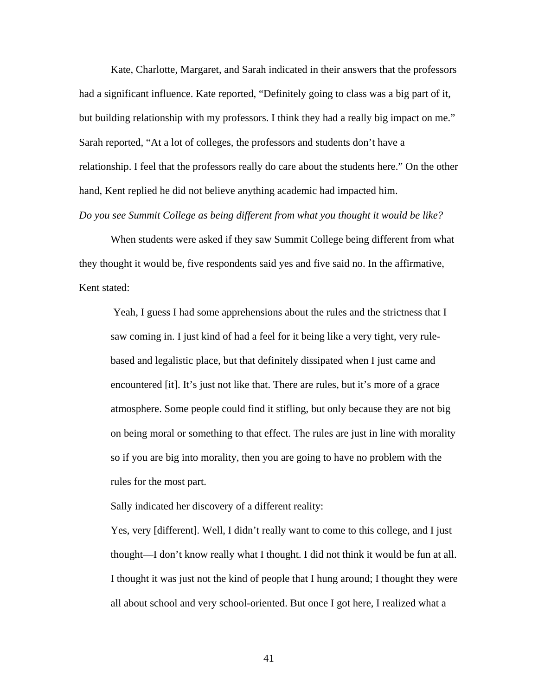Kate, Charlotte, Margaret, and Sarah indicated in their answers that the professo rs had a significant influence. Kate reported, "Definitely going to class was a big part of it, but building relationship with my professors. I think they had a really big impact on me." Sarah reported, "At a lot of colleges, the professors and students don't have a relationship. I feel that the professors really do care about the students here." On the other hand, Kent replied he did not believe anything academic had impacted him.

*Do you see Summit College as being different from what you thought it would be like?* 

When students were asked if they saw Summit College being different from what they thought it would be, five respondents said yes and five said no. In the affirmative, Kent stated:

saw coming in. I just kind of had a feel for it being like a very tight, very ruleatmosphere. Some people could find it stifling, but only because they are not big on being moral or something to that effect. The rules are just in line with morality Yeah, I guess I had some apprehensions about the rules and the strictness that I based and legalistic place, but that definitely dissipated when I just came and encountered [it]. It's just not like that. There are rules, but it's more of a grace so if you are big into morality, then you are going to have no problem with the rules for the most part.

Sally indicated her discovery of a different reality:

Yes, very [different]. Well, I didn't really want to come to this college, and I just thought—I don't know really what I thought. I did not think it would be fun at all. I thought it was just not the kind of people that I hung around; I thought they were all about school and very school-oriented. But once I got here, I realized what a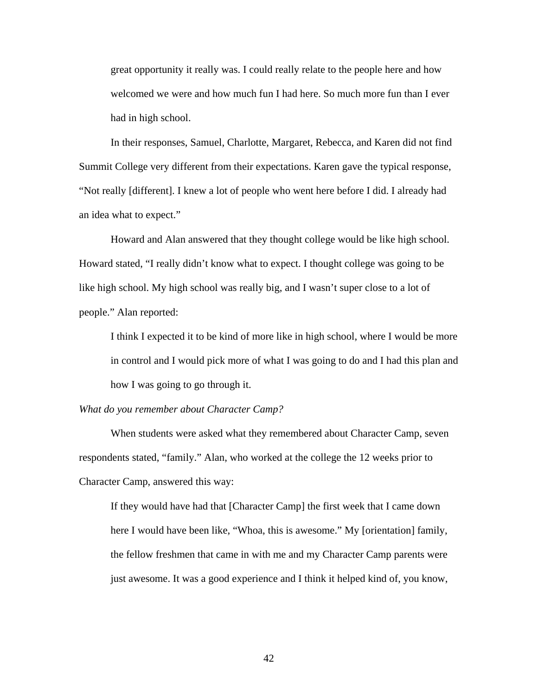great opportunity it really was. I could really relate to the people here and how welcomed we were and how much fun I had here. So much more fun than I ever had in high school.

In their responses, Samuel, Charlotte, Margaret, Rebecca, and Karen did not find Summit College very different from their expectations. Karen gave the typical response, "Not really [different]. I knew a lot of people who went here before I did. I already had an idea what to expect."

Howard stated, "I really didn't know what to expect. I thought college was going to be Howard and Alan answered that they thought college would be like high school. like high school. My high school was really big, and I wasn't super close to a lot of people." Alan reported:

I think I expected it to be kind of more like in high school, where I would be more in control and I would pick more of what I was going to do and I had this plan and how I was going to go through it.

*What d o you remember about Character Camp?* 

When students were asked what they remembered about Character Camp, seven respondents stated, "family." Alan, who worked at the college the 12 weeks prior to Character Camp, answered this way:

here I would have been like, "Whoa, this is awesome." My [orientation] family, If they would have had that [Character Camp] the first week that I came down the fellow freshmen that came in with me and my Character Camp parents were just awesome. It was a good experience and I think it helped kind of, you know,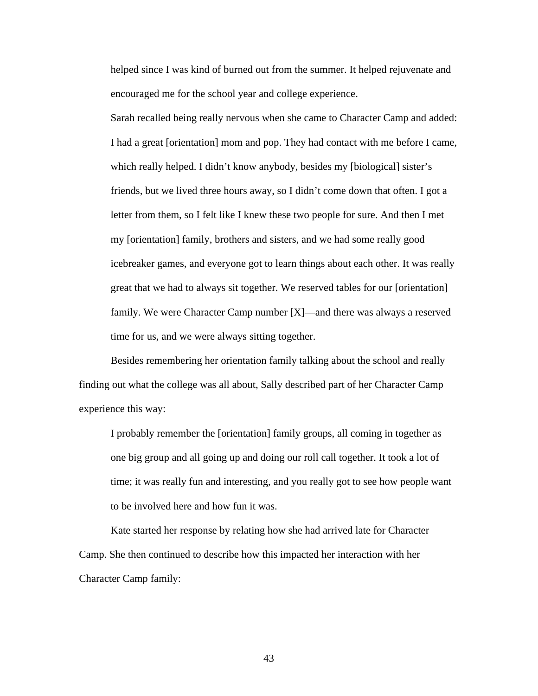helped since I was kind of burned out from the summer. It helped rejuvenate and encouraged me for the school year and college experience.

Sarah recalled being really nervous when she came to Character Camp and added: friends, but we lived three hours away, so I didn't come down that often. I got a icebreaker games, and everyone got to learn things about each other. It was really I had a great [orientation] mom and pop. They had contact with me before I came, which really helped. I didn't know anybody, besides my [biological] sister's letter from them, so I felt like I knew these two people for sure. And then I met my [orientation] family, brothers and sisters, and we had some really good great that we had to always sit together. We reserved tables for our [orientation] family. We were Character Camp number [X]—and there was always a reserved time for us, and we were always sitting together.

Besides remembering her orientation family talking about the school and really finding out what the college was all about, Sally described part of her Character Camp experience this way:

I probably remember the [orientation] family groups, all coming in together as time; it was really fun and interesting, and you really got to see how people want one big group and all going up and doing our roll call together. It took a lot of to be involved here and how fun it was.

Kate started her response by relating how she had arrived late for Character Camp. She then continued to describe how this impacted her interaction with her Character Camp family: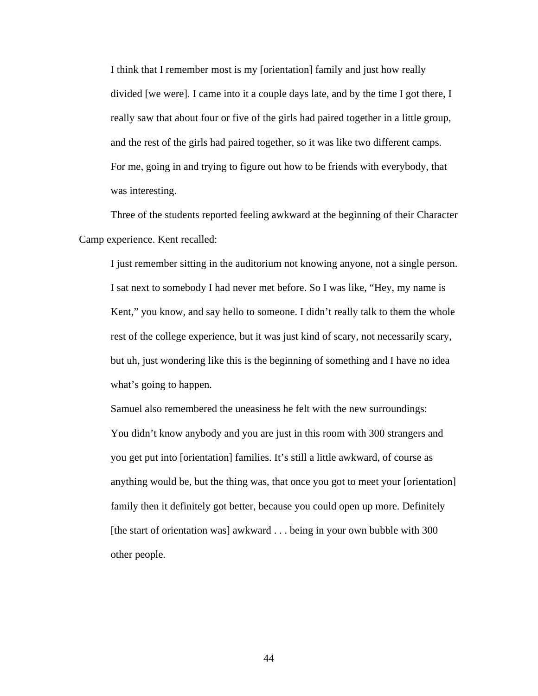I think that I remember most is my [orientation] family and just how really divided [we were]. I came into it a couple days late, and by the time I got there, I really saw that about four or five of the girls had paired together in a little group, and the rest of the girls had paired together, so it was like two different camps. For me, going in and trying to figure out how to be friends with everybody, that was interesting.

 Three of the students reported feeling awkward at the beginning of their Character Camp experience. Kent recalled:

I just remember sitting in the auditorium not knowing anyone, not a single person. I sat next to somebody I had never met before. So I was like, "Hey, my name is Kent," you know, and say hello to someone. I didn't really talk to them the whole rest of the college experience, but it was just kind of scary, not necessarily scary, but uh, just wondering like this is the beginning of something and I have no idea what's going to happen.

Samuel also remembered the uneasiness he felt with the new surroundings: You didn't know anybody and you are just in this room with 300 strangers and you get put into [orientation] families. It's still a little awkward, of course as anything would be, but the thing was, that once you got to meet your [orientation] family then it definitely got better, because you could open up more. Definitely [the start of orientation was] awkward . . . being in your own bubble with 300 other people.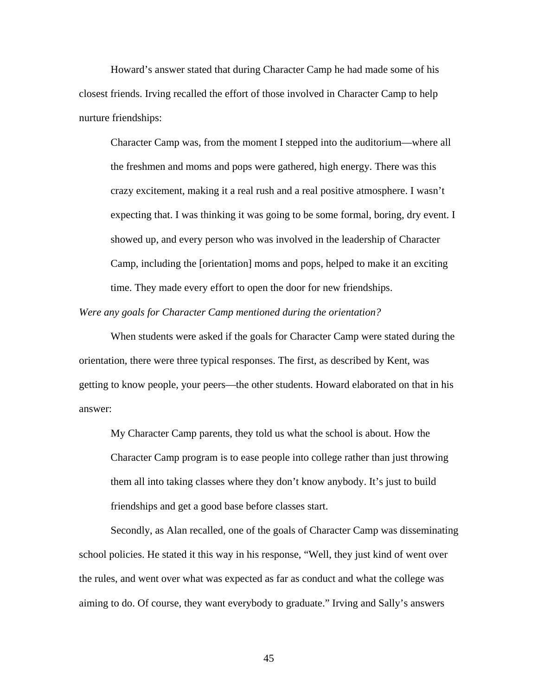Howard's answer stated that during Character Camp he had made some of his closest friends. Irving recalled the effort of those involved in Character Camp to help nurture friendships:

Character Camp was, from the moment I stepped into the auditorium—where all the freshmen and moms and pops were gathered, high energy. There was this crazy excitement, making it a real rush and a real positive atmosphere. I wasn't expecting that. I was thinking it was going to be some formal, boring, dry event. I showed up, and every person who was involved in the leadership of Character Camp, including the [orientation] moms and pops, helped to make it an exciting time. They made every effort to open the door for new friendships.

### *Were any goals for Character Camp mentioned during the orientation?*

 When students were asked if the goals for Character Camp were stated during the orientation, there were three typical responses. The first, as described by Kent, was getting to know people, your peers—the other students. Howard elaborated on that in his answer:

My Character Camp parents, they told us what the school is about. How the Character Camp program is to ease people into college rather than just throwing them all into taking classes where they don't know anybody. It's just to build friendships and get a good base before classes start.

 Secondly, as Alan recalled, one of the goals of Character Camp was disseminating school policies. He stated it this way in his response, "Well, they just kind of went over the rules, and went over what was expected as far as conduct and what the college was aiming to do. Of course, they want everybody to graduate." Irving and Sally's answers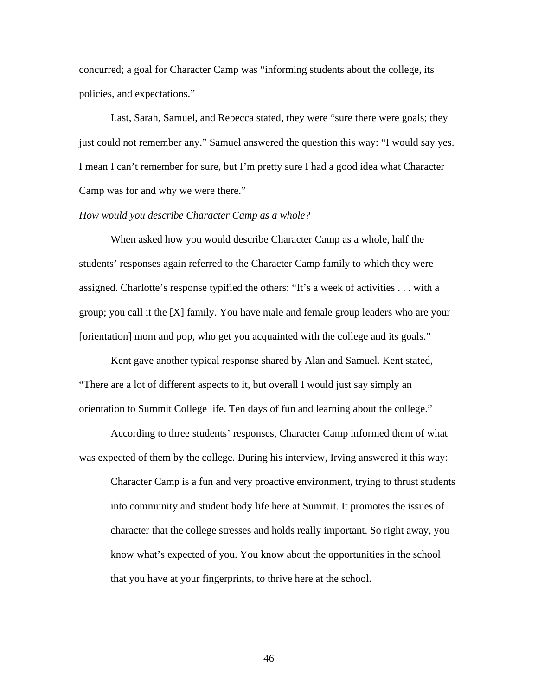concurred; a goal for Character Camp was "informing students about the college, its policies, and expectations."

 Last, Sarah, Samuel, and Rebecca stated, they were "sure there were goals; they just could not remember any." Samuel answered the question this way: "I would say yes. I mean I can't remember for sure, but I'm pretty sure I had a good idea what Character Camp was for and why we were there."

# *How would you describe Character Camp as a whole?*

 When asked how you would describe Character Camp as a whole, half the students' responses again referred to the Character Camp family to which they were assigned. Charlotte's response typified the others: "It's a week of activities . . . with a group; you call it the [X] family. You have male and female group leaders who are your [orientation] mom and pop, who get you acquainted with the college and its goals."

 Kent gave another typical response shared by Alan and Samuel. Kent stated, "There are a lot of different aspects to it, but overall I would just say simply an orientation to Summit College life. Ten days of fun and learning about the college."

 According to three students' responses, Character Camp informed them of what was expected of them by the college. During his interview, Irving answered it this way:

Character Camp is a fun and very proactive environment, trying to thrust students into community and student body life here at Summit. It promotes the issues of character that the college stresses and holds really important. So right away, you know what's expected of you. You know about the opportunities in the school that you have at your fingerprints, to thrive here at the school.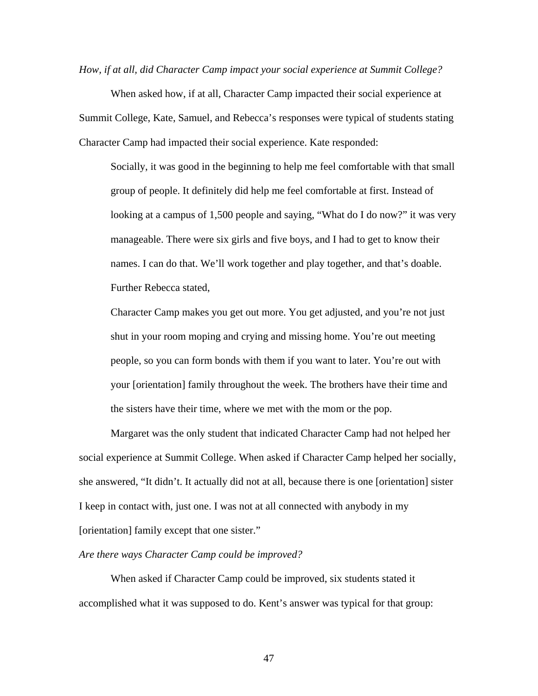*How, if at all, did Character Camp impact your social experience at Summit College?*

 When asked how, if at all, Character Camp impacted their social experience at Summit College, Kate, Samuel, and Rebecca's responses were typical of students stating Character Camp had impacted their social experience. Kate responded:

Socially, it was good in the beginning to help me feel comfortable with that small group of people. It definitely did help me feel comfortable at first. Instead of looking at a campus of 1,500 people and saying, "What do I do now?" it was very manageable. There were six girls and five boys, and I had to get to know their names. I can do that. We'll work together and play together, and that's doable. Further Rebecca stated,

Character Camp makes you get out more. You get adjusted, and you're not just shut in your room moping and crying and missing home. You're out meeting people, so you can form bonds with them if you want to later. You're out with your [orientation] family throughout the week. The brothers have their time and the sisters have their time, where we met with the mom or the pop.

 Margaret was the only student that indicated Character Camp had not helped her social experience at Summit College. When asked if Character Camp helped her socially, she answered, "It didn't. It actually did not at all, because there is one [orientation] sister I keep in contact with, just one. I was not at all connected with anybody in my [orientation] family except that one sister."

*Are there ways Character Camp could be improved?* 

When asked if Character Camp could be improved, six students stated it accomplished what it was supposed to do. Kent's answer was typical for that group: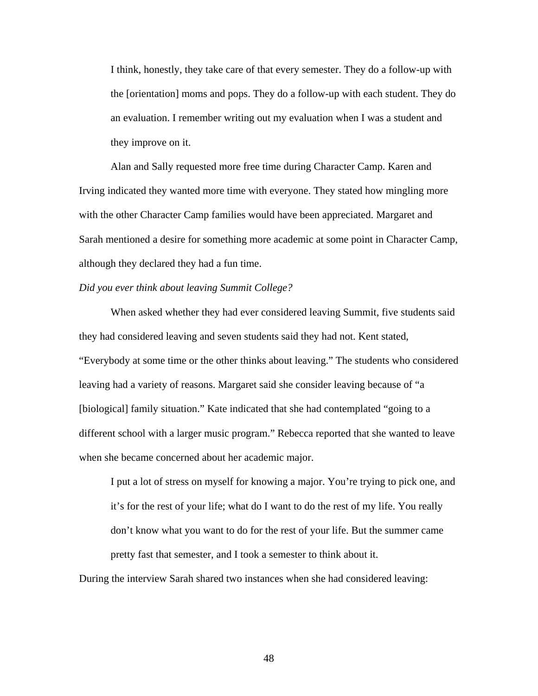I think, honestly, they take care of that every semester. They do a follow-up with the [orientation] moms and pops. They do a follow-up with each student. They do an evaluation. I remember writing out my evaluation when I was a student and they improve on it.

 Alan and Sally requested more free time during Character Camp. Karen and Irving indicated they wanted more time with everyone. They stated how mingling more with the other Character Camp families would have been appreciated. Margaret and Sarah mentioned a desire for something more academic at some point in Character Camp, although they declared they had a fun time.

# *Did you ever think about leaving Summit College?*

 When asked whether they had ever considered leaving Summit, five students said they had considered leaving and seven students said they had not. Kent stated, "Everybody at some time or the other thinks about leaving." The students who considered leaving had a variety of reasons. Margaret said she consider leaving because of "a [biological] family situation." Kate indicated that she had contemplated "going to a different school with a larger music program." Rebecca reported that she wanted to leave when she became concerned about her academic major.

I put a lot of stress on myself for knowing a major. You're trying to pick one, and it's for the rest of your life; what do I want to do the rest of my life. You really don't know what you want to do for the rest of your life. But the summer came pretty fast that semester, and I took a semester to think about it.

During the interview Sarah shared two instances when she had considered leaving: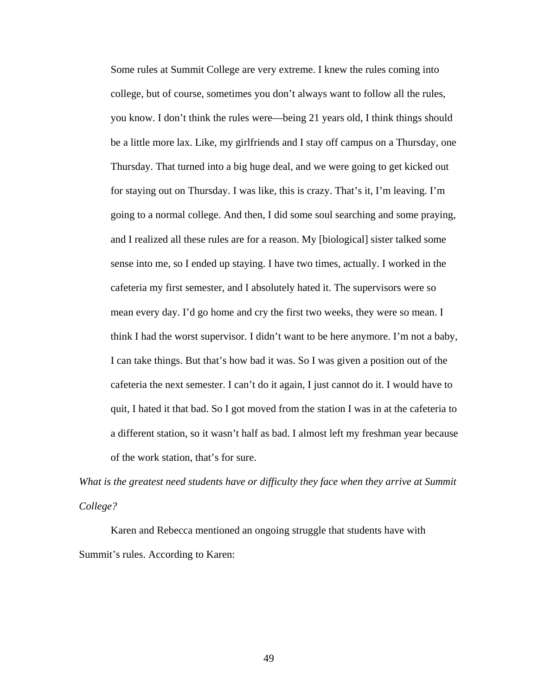Some rules at Summit College are very extreme. I knew the rules coming into college, but of course, sometimes you don't always want to follow all the rules, you know. I don't think the rules were—being 21 years old, I think things should be a little more lax. Like, my girlfriends and I stay off campus on a Thursday, one Thursday. That turned into a big huge deal, and we were going to get kicked out for staying out on Thursday. I was like, this is crazy. That's it, I'm leaving. I'm going to a normal college. And then, I did some soul searching and some praying, and I realized all these rules are for a reason. My [biological] sister talked some sense into me, so I ended up staying. I have two times, actually. I worked in the cafeteria my first semester, and I absolutely hated it. The supervisors were so mean every day. I'd go home and cry the first two weeks, they were so mean. I think I had the worst supervisor. I didn't want to be here anymore. I'm not a baby, I can take things. But that's how bad it was. So I was given a position out of the cafeteria the next semester. I can't do it again, I just cannot do it. I would have to quit, I hated it that bad. So I got moved from the station I was in at the cafeteria to a different station, so it wasn't half as bad. I almost left my freshman year because of the work station, that's for sure.

*What is the greatest need students have or difficulty they face when they arrive at Summit College?* 

Karen and Rebecca mentioned an ongoing struggle that students have with Summit's rules. According to Karen: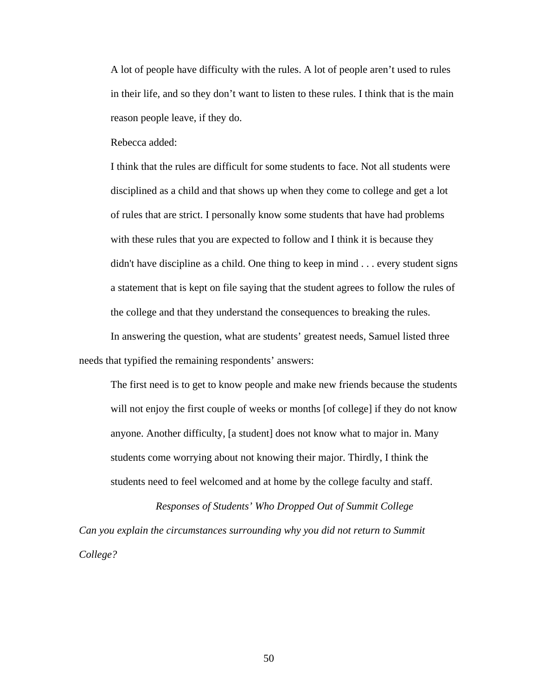A lot of people have difficulty with the rules. A lot of people aren't used to rules in their life, and so they don't want to listen to these rules. I think that is the main reason people leave, if they do.

Rebecca added:

I think that the rules are difficult for some students to face. Not all students were disciplined as a child and that shows up when they come to college and get a lot of rules that are strict. I personally know some students that have had problems with these rules that you are expected to follow and I think it is because they didn't have discipline as a child. One thing to keep in mind . . . every student signs a statement that is kept on file saying that the student agrees to follow the rules of the college and that they understand the consequences to breaking the rules. In answering the question, what are students' greatest needs, Samuel listed three

needs that typified the remaining respondents' answers:

The first need is to get to know people and make new friends because the students will not enjoy the first couple of weeks or months [of college] if they do not know anyone. Another difficulty, [a student] does not know what to major in. Many students come worrying about not knowing their major. Thirdly, I think the students need to feel welcomed and at home by the college faculty and staff.

*Responses of Students' Who Dropped Out of Summit College Can you explain the circumstances surrounding why you did not return to Summit College?*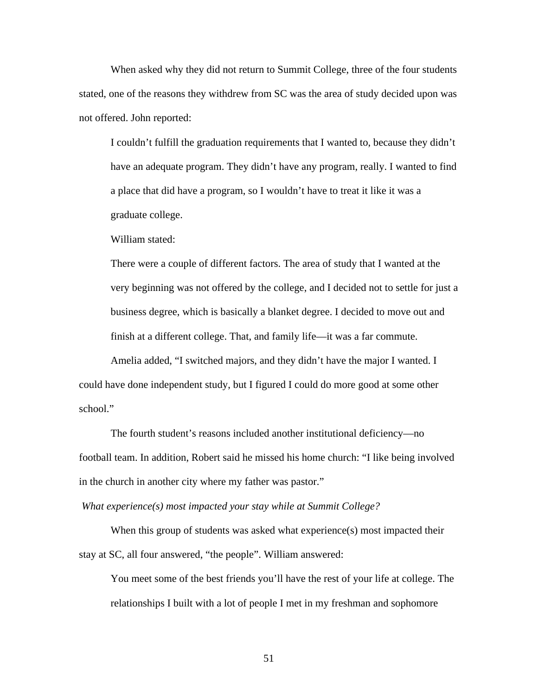When asked why they did not return to Summit College, three of the four students stated, one of the reasons they withdrew from SC was the area of study decided upon was not offered. John reported:

I couldn't fulfill the graduation requirements that I wanted to, because they didn't have an adequate program. They didn't have any program, really. I wanted to find a place that did have a program, so I wouldn't have to treat it like it was a graduate college.

William stated:

There were a couple of different factors. The area of study that I wanted at the very beginning was not offered by the college, and I decided not to settle for just a business degree, which is basically a blanket degree. I decided to move out and finish at a different college. That, and family life—it was a far commute.

 Amelia added, "I switched majors, and they didn't have the major I wanted. I could have done independent study, but I figured I could do more good at some other school."

 The fourth student's reasons included another institutional deficiency—no football team. In addition, Robert said he missed his home church: "I like being involved in the church in another city where my father was pastor."

*What experience(s) most impacted your stay while at Summit College?* 

When this group of students was asked what experience(s) most impacted their stay at SC, all four answered, "the people". William answered:

You meet some of the best friends you'll have the rest of your life at college. The relationships I built with a lot of people I met in my freshman and sophomore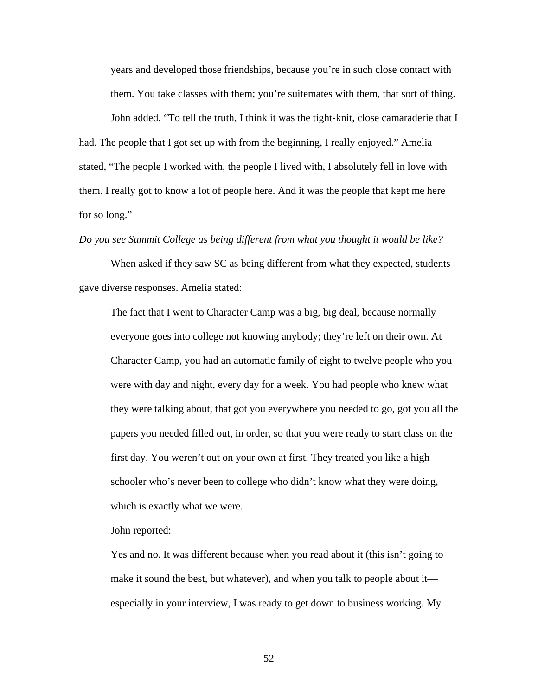years and developed those friendships, because you're in such close contact with them. You take classes with them; you're suitemates with them, that sort of thing.

 John added, "To tell the truth, I think it was the tight-knit, close camaraderie that I had. The people that I got set up with from the beginning, I really enjoyed." Amelia stated, "The people I worked with, the people I lived with, I absolutely fell in love with them. I really got to know a lot of people here. And it was the people that kept me here for so long."

#### *Do you see Summit College as being different from what you thought it would be like?*

 When asked if they saw SC as being different from what they expected, students gave diverse responses. Amelia stated:

The fact that I went to Character Camp was a big, big deal, because normally everyone goes into college not knowing anybody; they're left on their own. At Character Camp, you had an automatic family of eight to twelve people who you were with day and night, every day for a week. You had people who knew what they were talking about, that got you everywhere you needed to go, got you all the papers you needed filled out, in order, so that you were ready to start class on the first day. You weren't out on your own at first. They treated you like a high schooler who's never been to college who didn't know what they were doing, which is exactly what we were.

John reported:

Yes and no. It was different because when you read about it (this isn't going to make it sound the best, but whatever), and when you talk to people about it especially in your interview, I was ready to get down to business working. My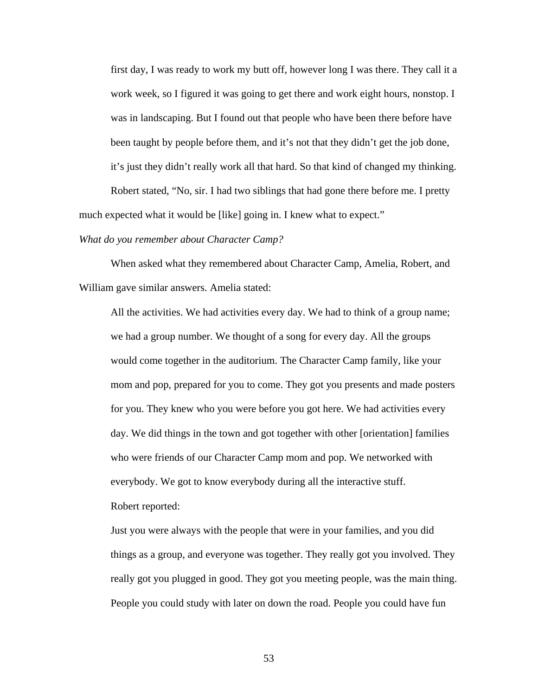first day, I was ready to work my butt off, however long I was there. They call it a work week, so I figured it was going to get there and work eight hours, nonstop. I was in landscaping. But I found out that people who have been there before have been taught by people before them, and it's not that they didn't get the job done, it's just they didn't really work all that hard. So that kind of changed my thinking.

 Robert stated, "No, sir. I had two siblings that had gone there before me. I pretty much expected what it would be [like] going in. I knew what to expect."

#### *What do you remember about Character Camp?*

 When asked what they remembered about Character Camp, Amelia, Robert, and William gave similar answers. Amelia stated:

All the activities. We had activities every day. We had to think of a group name; we had a group number. We thought of a song for every day. All the groups would come together in the auditorium. The Character Camp family, like your mom and pop, prepared for you to come. They got you presents and made posters for you. They knew who you were before you got here. We had activities every day. We did things in the town and got together with other [orientation] families who were friends of our Character Camp mom and pop. We networked with everybody. We got to know everybody during all the interactive stuff. Robert reported:

Just you were always with the people that were in your families, and you did things as a group, and everyone was together. They really got you involved. They really got you plugged in good. They got you meeting people, was the main thing. People you could study with later on down the road. People you could have fun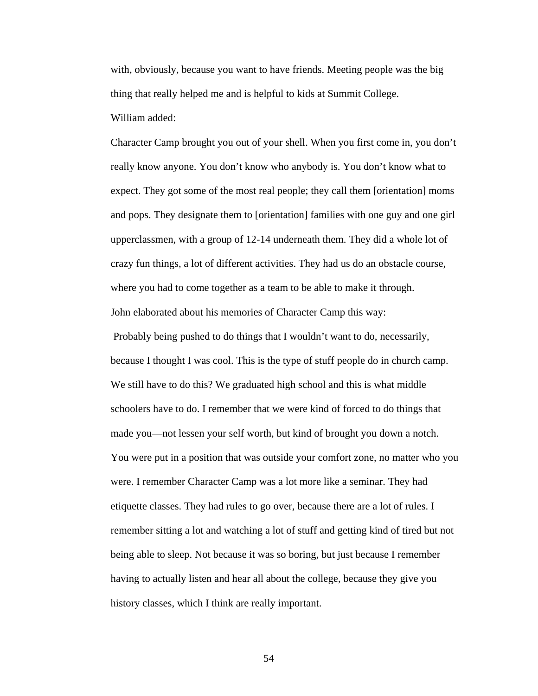with, obviously, because you want to have friends. Meeting people was the big thing that really helped me and is helpful to kids at Summit College. William added:

Character Camp brought you out of your shell. When you first come in, you don't really know anyone. You don't know who anybody is. You don't know what to expect. They got some of the most real people; they call them [orientation] moms and pops. They designate them to [orientation] families with one guy and one girl upperclassmen, with a group of 12-14 underneath them. They did a whole lot of crazy fun things, a lot of different activities. They had us do an obstacle course, where you had to come together as a team to be able to make it through. John elaborated about his memories of Character Camp this way:

 Probably being pushed to do things that I wouldn't want to do, necessarily, because I thought I was cool. This is the type of stuff people do in church camp. We still have to do this? We graduated high school and this is what middle schoolers have to do. I remember that we were kind of forced to do things that made you—not lessen your self worth, but kind of brought you down a notch. You were put in a position that was outside your comfort zone, no matter who you were. I remember Character Camp was a lot more like a seminar. They had etiquette classes. They had rules to go over, because there are a lot of rules. I remember sitting a lot and watching a lot of stuff and getting kind of tired but not being able to sleep. Not because it was so boring, but just because I remember having to actually listen and hear all about the college, because they give you history classes, which I think are really important.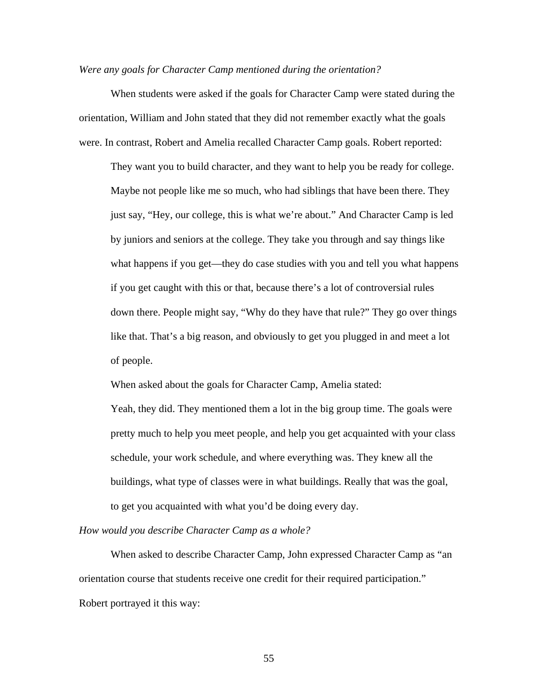# *Were any goals for Character Camp mentioned during the orientation?*

 When students were asked if the goals for Character Camp were stated during the orientation, William and John stated that they did not remember exactly what the goals were. In contrast, Robert and Amelia recalled Character Camp goals. Robert reported:

They want you to build character, and they want to help you be ready for college. Maybe not people like me so much, who had siblings that have been there. They just say, "Hey, our college, this is what we're about." And Character Camp is led by juniors and seniors at the college. They take you through and say things like what happens if you get—they do case studies with you and tell you what happens if you get caught with this or that, because there's a lot of controversial rules down there. People might say, "Why do they have that rule?" They go over things like that. That's a big reason, and obviously to get you plugged in and meet a lot of people.

When asked about the goals for Character Camp, Amelia stated:

Yeah, they did. They mentioned them a lot in the big group time. The goals were pretty much to help you meet people, and help you get acquainted with your class schedule, your work schedule, and where everything was. They knew all the buildings, what type of classes were in what buildings. Really that was the goal, to get you acquainted with what you'd be doing every day.

*How would you describe Character Camp as a whole?* 

 When asked to describe Character Camp, John expressed Character Camp as "an orientation course that students receive one credit for their required participation." Robert portrayed it this way: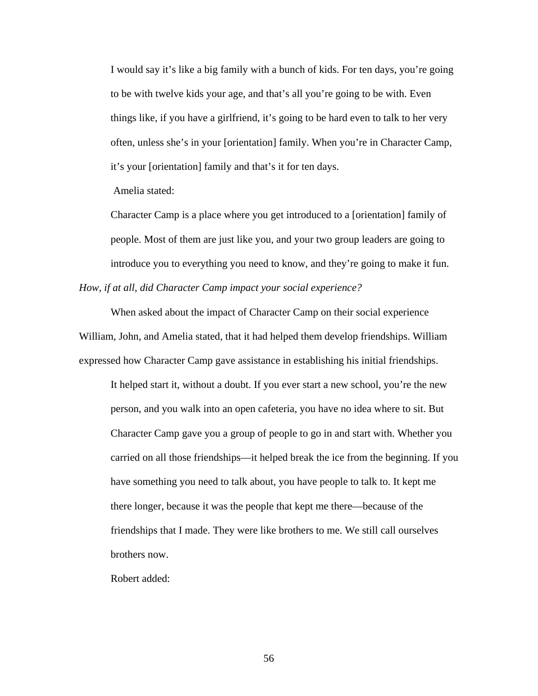I would say it's like a big family with a bunch of kids. For ten days, you're going to be with twelve kids your age, and that's all you're going to be with. Even things like, if you have a girlfriend, it's going to be hard even to talk to her very often, unless she's in your [orientation] family. When you're in Character Camp, it's your [orientation] family and that's it for ten days.

Amelia stated:

Character Camp is a place where you get introduced to a [orientation] family of people. Most of them are just like you, and your two group leaders are going to introduce you to everything you need to know, and they're going to make it fun. *How, if at all, did Character Camp impact your social experience?* 

 When asked about the impact of Character Camp on their social experience William, John, and Amelia stated, that it had helped them develop friendships. William expressed how Character Camp gave assistance in establishing his initial friendships.

It helped start it, without a doubt. If you ever start a new school, you're the new person, and you walk into an open cafeteria, you have no idea where to sit. But Character Camp gave you a group of people to go in and start with. Whether you carried on all those friendships—it helped break the ice from the beginning. If you have something you need to talk about, you have people to talk to. It kept me there longer, because it was the people that kept me there—because of the friendships that I made. They were like brothers to me. We still call ourselves brothers now.

Robert added: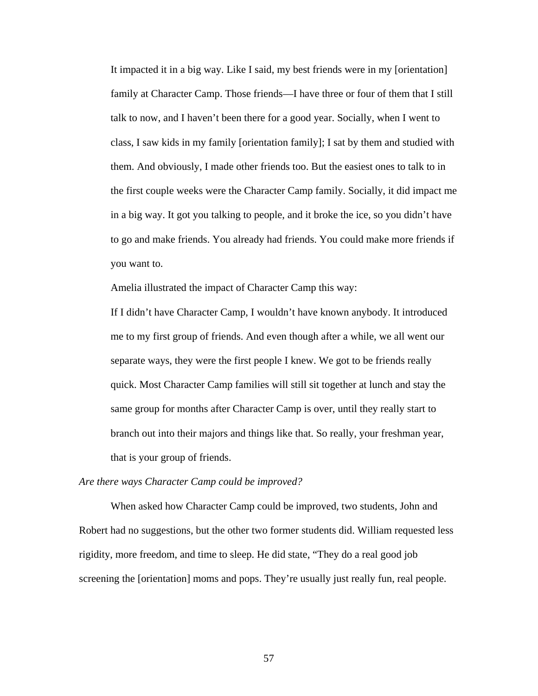It impacted it in a big way. Like I said, my best friends were in my [orientation] family at Character Camp. Those friends—I have three or four of them that I still talk to now, and I haven't been there for a good year. Socially, when I went to class, I saw kids in my family [orientation family]; I sat by them and studied with them. And obviously, I made other friends too. But the easiest ones to talk to in the first couple weeks were the Character Camp family. Socially, it did impact me in a big way. It got you talking to people, and it broke the ice, so you didn't have to go and make friends. You already had friends. You could make more friends if you want to.

Amelia illustrated the impact of Character Camp this way:

If I didn't have Character Camp, I wouldn't have known anybody. It introduced me to my first group of friends. And even though after a while, we all went our separate ways, they were the first people I knew. We got to be friends really quick. Most Character Camp families will still sit together at lunch and stay the same group for months after Character Camp is over, until they really start to branch out into their majors and things like that. So really, your freshman year, that is your group of friends.

#### *Are there ways Character Camp could be improved?*

When asked how Character Camp could be improved, two students, John and Robert had no suggestions, but the other two former students did. William requested less rigidity, more freedom, and time to sleep. He did state, "They do a real good job screening the [orientation] moms and pops. They're usually just really fun, real people.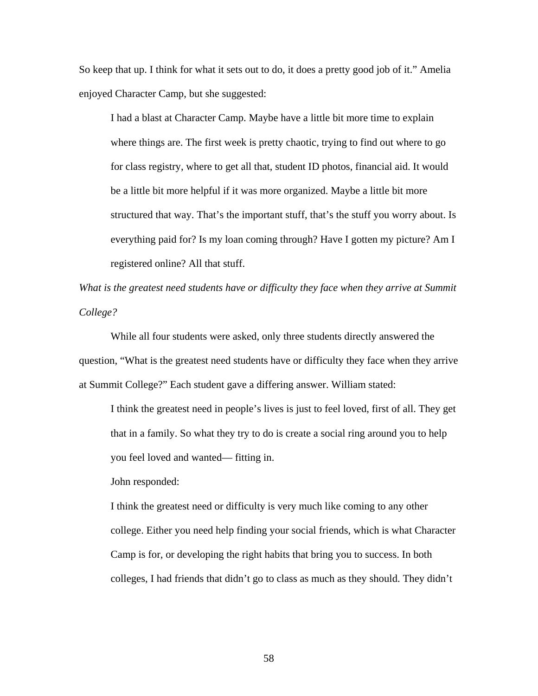So keep that up. I think for what it sets out to do, it does a pretty good job of it." Amelia enjoyed Character Camp, but she suggested:

I had a blast at Character Camp. Maybe have a little bit more time to explain where things are. The first week is pretty chaotic, trying to find out where to go for class registry, where to get all that, student ID photos, financial aid. It would be a little bit more helpful if it was more organized. Maybe a little bit more structured that way. That's the important stuff, that's the stuff you worry about. Is everything paid for? Is my loan coming through? Have I gotten my picture? Am I registered online? All that stuff.

*What is the greatest need students have or difficulty they face when they arrive at Summit College?* 

 While all four students were asked, only three students directly answered the question, "What is the greatest need students have or difficulty they face when they arrive at Summit College?" Each student gave a differing answer. William stated:

I think the greatest need in people's lives is just to feel loved, first of all. They get that in a family. So what they try to do is create a social ring around you to help you feel loved and wanted— fitting in.

John responded:

I think the greatest need or difficulty is very much like coming to any other college. Either you need help finding your social friends, which is what Character Camp is for, or developing the right habits that bring you to success. In both colleges, I had friends that didn't go to class as much as they should. They didn't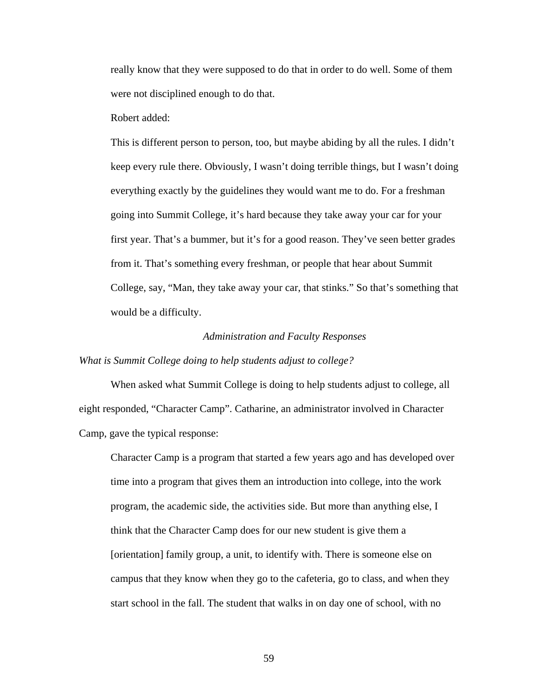really know that they were supposed to do that in order to do well. Some of them were not disciplined enough to do that.

Robert added:

This is different person to person, too, but maybe abiding by all the rules. I didn't keep every rule there. Obviously, I wasn't doing terrible things, but I wasn't doing everything exactly by the guidelines they would want me to do. For a freshman going into Summit College, it's hard because they take away your car for your first year. That's a bummer, but it's for a good reason. They've seen better grades from it. That's something every freshman, or people that hear about Summit College, say, "Man, they take away your car, that stinks." So that's something that would be a difficulty.

### *Administration and Faculty Responses*

# *What is Summit College doing to help students adjust to college?*

When asked what Summit College is doing to help students adjust to college, all eight responded, "Character Camp". Catharine, an administrator involved in Character Camp, gave the typical response:

Character Camp is a program that started a few years ago and has developed over time into a program that gives them an introduction into college, into the work program, the academic side, the activities side. But more than anything else, I think that the Character Camp does for our new student is give them a [orientation] family group, a unit, to identify with. There is someone else on campus that they know when they go to the cafeteria, go to class, and when they start school in the fall. The student that walks in on day one of school, with no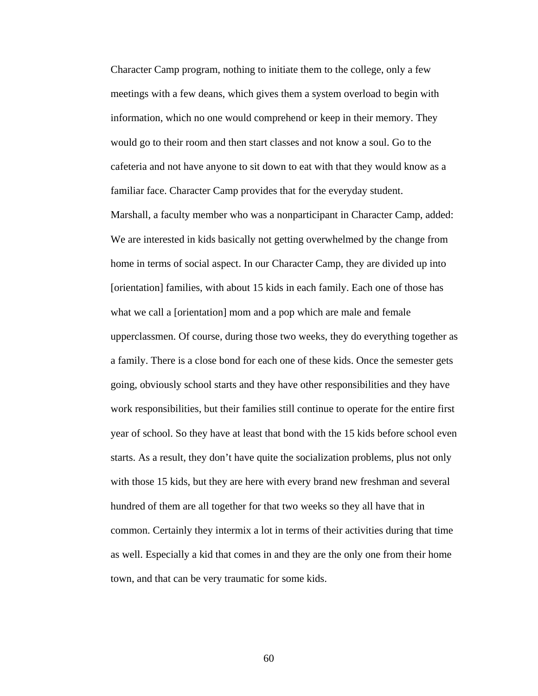Character Camp program, nothing to initiate them to the college, only a few meetings with a few deans, which gives them a system overload to begin with information, which no one would comprehend or keep in their memory. They would go to their room and then start classes and not know a soul. Go to the cafeteria and not have anyone to sit down to eat with that they would know as a familiar face. Character Camp provides that for the everyday student.

 Marshall, a faculty member who was a nonparticipant in Character Camp, added: We are interested in kids basically not getting overwhelmed by the change from home in terms of social aspect. In our Character Camp, they are divided up into [orientation] families, with about 15 kids in each family. Each one of those has what we call a [orientation] mom and a pop which are male and female upperclassmen. Of course, during those two weeks, they do everything together as a family. There is a close bond for each one of these kids. Once the semester gets going, obviously school starts and they have other responsibilities and they have work responsibilities, but their families still continue to operate for the entire first year of school. So they have at least that bond with the 15 kids before school even starts. As a result, they don't have quite the socialization problems, plus not only with those 15 kids, but they are here with every brand new freshman and several hundred of them are all together for that two weeks so they all have that in common. Certainly they intermix a lot in terms of their activities during that time as well. Especially a kid that comes in and they are the only one from their home town, and that can be very traumatic for some kids.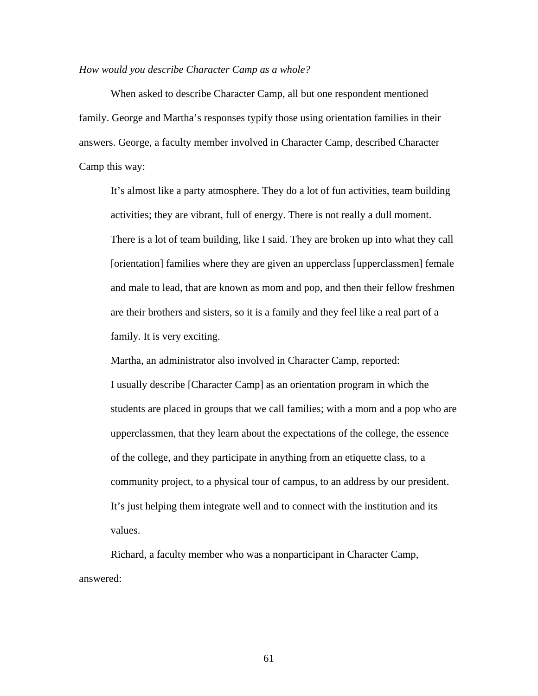# *How would you describe Character Camp as a whole?*

 When asked to describe Character Camp, all but one respondent mentioned family. George and Martha's responses typify those using orientation families in their answers. George, a faculty member involved in Character Camp, described Character Camp this way:

It's almost like a party atmosphere. They do a lot of fun activities, team building activities; they are vibrant, full of energy. There is not really a dull moment. There is a lot of team building, like I said. They are broken up into what they call [orientation] families where they are given an upperclass [upperclassmen] female and male to lead, that are known as mom and pop, and then their fellow freshmen are their brothers and sisters, so it is a family and they feel like a real part of a family. It is very exciting.

Martha, an administrator also involved in Character Camp, reported: I usually describe [Character Camp] as an orientation program in which the students are placed in groups that we call families; with a mom and a pop who are upperclassmen, that they learn about the expectations of the college, the essence of the college, and they participate in anything from an etiquette class, to a community project, to a physical tour of campus, to an address by our president. It's just helping them integrate well and to connect with the institution and its values.

 Richard, a faculty member who was a nonparticipant in Character Camp, answered: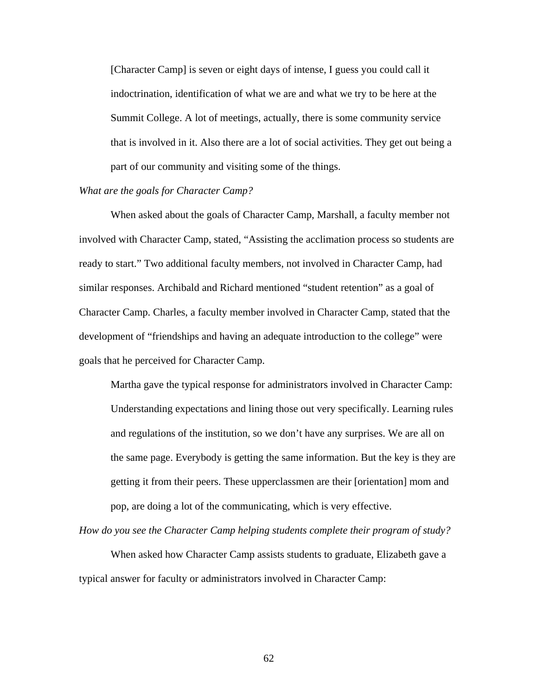[Character Camp] is seven or eight days of intense, I guess you could call it indoctrination, identification of what we are and what we try to be here at the Summit College. A lot of meetings, actually, there is some community service that is involved in it. Also there are a lot of social activities. They get out being a part of our community and visiting some of the things.

# *What are the goals for Character Camp?*

When asked about the goals of Character Camp, Marshall, a faculty member not involved with Character Camp, stated, "Assisting the acclimation process so students are ready to start." Two additional faculty members, not involved in Character Camp, had similar responses. Archibald and Richard mentioned "student retention" as a goal of Character Camp. Charles, a faculty member involved in Character Camp, stated that the development of "friendships and having an adequate introduction to the college" were goals that he perceived for Character Camp.

 Martha gave the typical response for administrators involved in Character Camp: Understanding expectations and lining those out very specifically. Learning rules and regulations of the institution, so we don't have any surprises. We are all on the same page. Everybody is getting the same information. But the key is they are getting it from their peers. These upperclassmen are their [orientation] mom and pop, are doing a lot of the communicating, which is very effective.

*How do you see the Character Camp helping students complete their program of study?* 

 When asked how Character Camp assists students to graduate, Elizabeth gave a typical answer for faculty or administrators involved in Character Camp: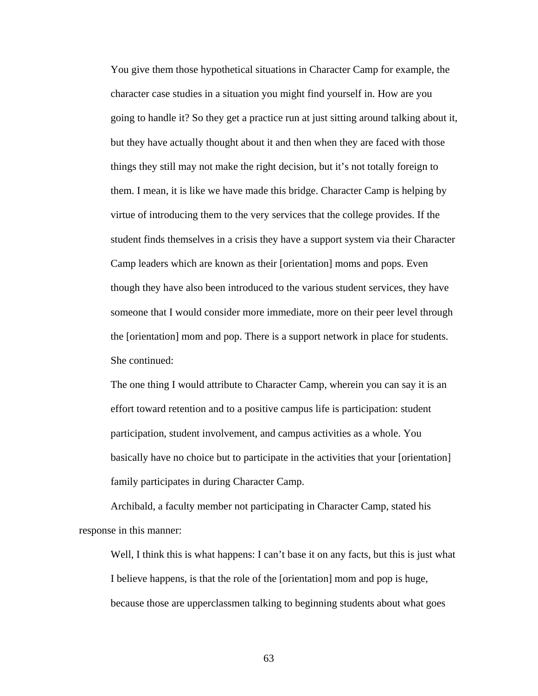You give them those hypothetical situations in Character Camp for example, the character case studies in a situation you might find yourself in. How are you going to handle it? So they get a practice run at just sitting around talking about it, but they have actually thought about it and then when they are faced with those things they still may not make the right decision, but it's not totally foreign to them. I mean, it is like we have made this bridge. Character Camp is helping by virtue of introducing them to the very services that the college provides. If the student finds themselves in a crisis they have a support system via their Character Camp leaders which are known as their [orientation] moms and pops. Even though they have also been introduced to the various student services, they have someone that I would consider more immediate, more on their peer level through the [orientation] mom and pop. There is a support network in place for students. She continued:

The one thing I would attribute to Character Camp, wherein you can say it is an effort toward retention and to a positive campus life is participation: student participation, student involvement, and campus activities as a whole. You basically have no choice but to participate in the activities that your [orientation] family participates in during Character Camp.

 Archibald, a faculty member not participating in Character Camp, stated his response in this manner:

Well, I think this is what happens: I can't base it on any facts, but this is just what I believe happens, is that the role of the [orientation] mom and pop is huge, because those are upperclassmen talking to beginning students about what goes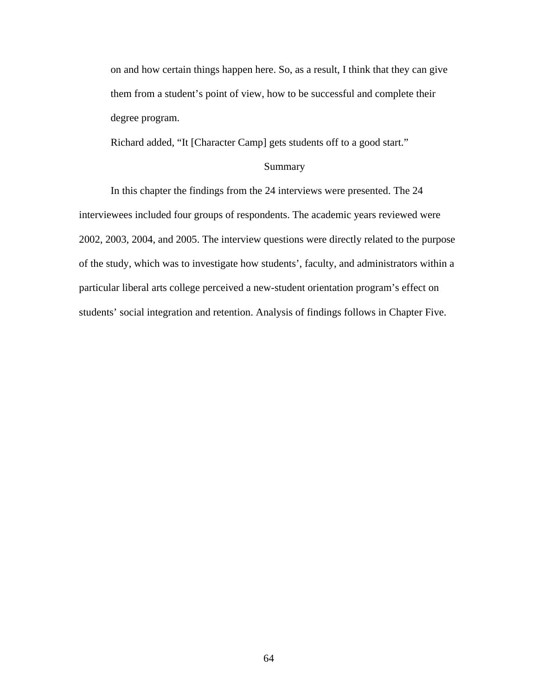on and how certain things happen here. So, as a result, I think that they can give them from a student's point of view, how to be successful and complete their degree program.

Richard added, "It [Character Camp] gets students off to a good start."

# Summary

 In this chapter the findings from the 24 interviews were presented. The 24 interviewees included four groups of respondents. The academic years reviewed were 2002, 2003, 2004, and 2005. The interview questions were directly related to the purpose of the study, which was to investigate how students', faculty, and administrators within a particular liberal arts college perceived a new-student orientation program's effect on students' social integration and retention. Analysis of findings follows in Chapter Five.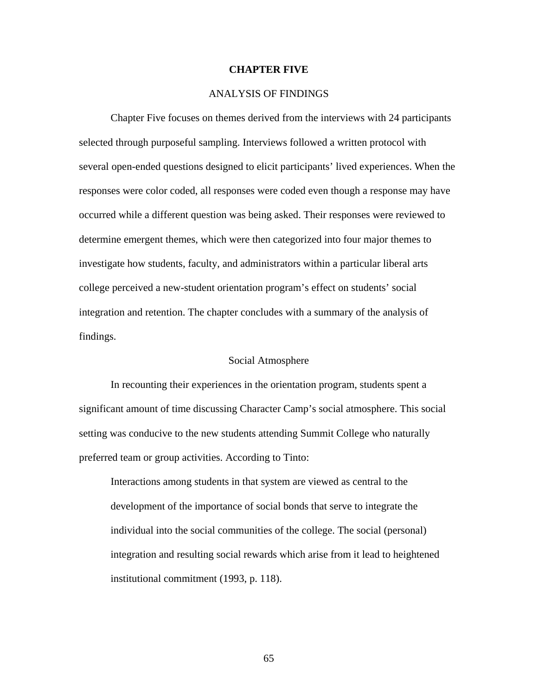### **CHAPTER FIVE**

# ANALYSIS OF FINDINGS

 Chapter Five focuses on themes derived from the interviews with 24 participants selected through purposeful sampling. Interviews followed a written protocol with several open-ended questions designed to elicit participants' lived experiences. When the responses were color coded, all responses were coded even though a response may have occurred while a different question was being asked. Their responses were reviewed to determine emergent themes, which were then categorized into four major themes to investigate how students, faculty, and administrators within a particular liberal arts college perceived a new-student orientation program's effect on students' social integration and retention. The chapter concludes with a summary of the analysis of findings.

## Social Atmosphere

 In recounting their experiences in the orientation program, students spent a significant amount of time discussing Character Camp's social atmosphere. This social setting was conducive to the new students attending Summit College who naturally preferred team or group activities. According to Tinto:

Interactions among students in that system are viewed as central to the development of the importance of social bonds that serve to integrate the individual into the social communities of the college. The social (personal) integration and resulting social rewards which arise from it lead to heightened institutional commitment (1993, p. 118).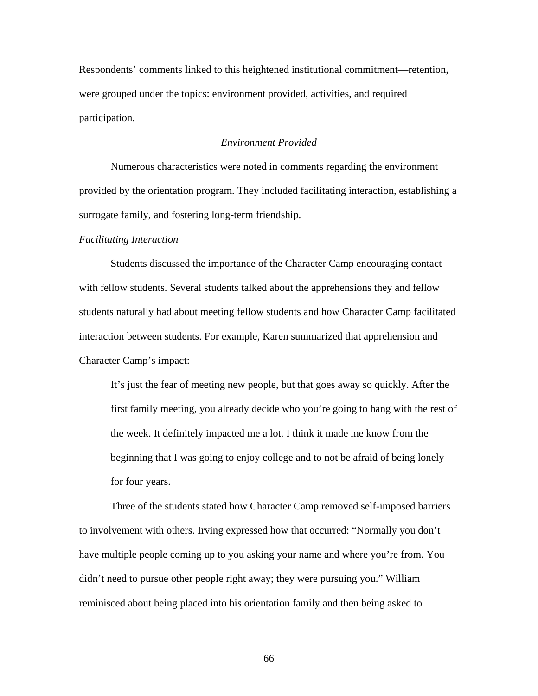Respondents' comments linked to this heightened institutional commitment—retention, were grouped under the topics: environment provided, activities, and required participation.

# *Environment Provided*

 Numerous characteristics were noted in comments regarding the environment provided by the orientation program. They included facilitating interaction, establishing a surrogate family, and fostering long-term friendship.

#### *Facilitating Interaction*

 Students discussed the importance of the Character Camp encouraging contact with fellow students. Several students talked about the apprehensions they and fellow students naturally had about meeting fellow students and how Character Camp facilitated interaction between students. For example, Karen summarized that apprehension and Character Camp's impact:

It's just the fear of meeting new people, but that goes away so quickly. After the first family meeting, you already decide who you're going to hang with the rest of the week. It definitely impacted me a lot. I think it made me know from the beginning that I was going to enjoy college and to not be afraid of being lonely for four years.

 Three of the students stated how Character Camp removed self-imposed barriers to involvement with others. Irving expressed how that occurred: "Normally you don't have multiple people coming up to you asking your name and where you're from. You didn't need to pursue other people right away; they were pursuing you." William reminisced about being placed into his orientation family and then being asked to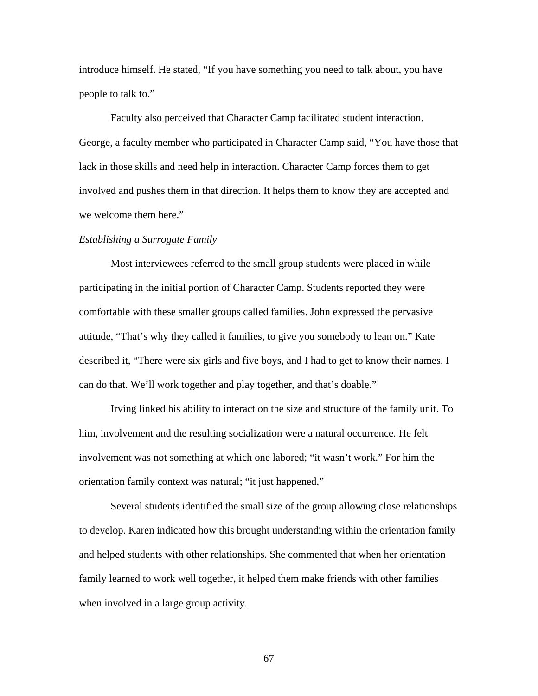introduce himself. He stated, "If you have something you need to talk about, you have people to talk to."

 Faculty also perceived that Character Camp facilitated student interaction. George, a faculty member who participated in Character Camp said, "You have those that lack in those skills and need help in interaction. Character Camp forces them to get involved and pushes them in that direction. It helps them to know they are accepted and we welcome them here."

#### *Establishing a Surrogate Family*

 Most interviewees referred to the small group students were placed in while participating in the initial portion of Character Camp. Students reported they were comfortable with these smaller groups called families. John expressed the pervasive attitude, "That's why they called it families, to give you somebody to lean on." Kate described it, "There were six girls and five boys, and I had to get to know their names. I can do that. We'll work together and play together, and that's doable."

 Irving linked his ability to interact on the size and structure of the family unit. To him, involvement and the resulting socialization were a natural occurrence. He felt involvement was not something at which one labored; "it wasn't work." For him the orientation family context was natural; "it just happened."

 Several students identified the small size of the group allowing close relationships to develop. Karen indicated how this brought understanding within the orientation family and helped students with other relationships. She commented that when her orientation family learned to work well together, it helped them make friends with other families when involved in a large group activity.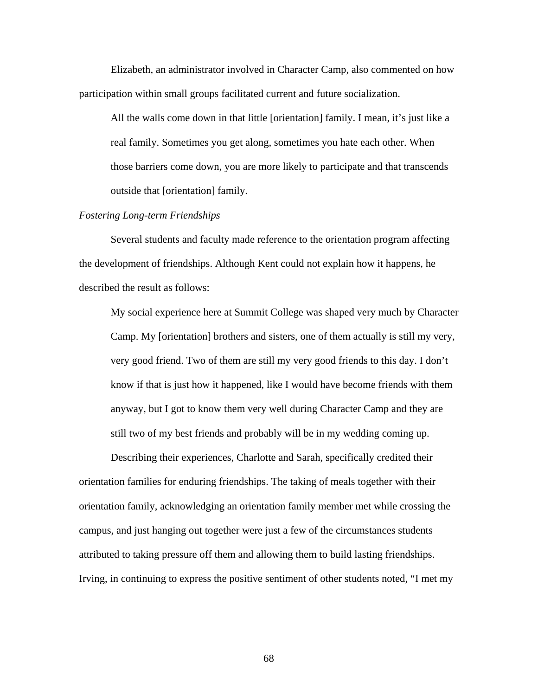Elizabeth, an administrator involved in Character Camp, also commented on how participation within small groups facilitated current and future socialization.

All the walls come down in that little [orientation] family. I mean, it's just like a real family. Sometimes you get along, sometimes you hate each other. When those barriers come down, you are more likely to participate and that transcends outside that [orientation] family.

# *Fostering Long-term Friendships*

 Several students and faculty made reference to the orientation program affecting the development of friendships. Although Kent could not explain how it happens, he described the result as follows:

My social experience here at Summit College was shaped very much by Character Camp. My [orientation] brothers and sisters, one of them actually is still my very, very good friend. Two of them are still my very good friends to this day. I don't know if that is just how it happened, like I would have become friends with them anyway, but I got to know them very well during Character Camp and they are still two of my best friends and probably will be in my wedding coming up.

 Describing their experiences, Charlotte and Sarah, specifically credited their orientation families for enduring friendships. The taking of meals together with their orientation family, acknowledging an orientation family member met while crossing the campus, and just hanging out together were just a few of the circumstances students attributed to taking pressure off them and allowing them to build lasting friendships. Irving, in continuing to express the positive sentiment of other students noted, "I met my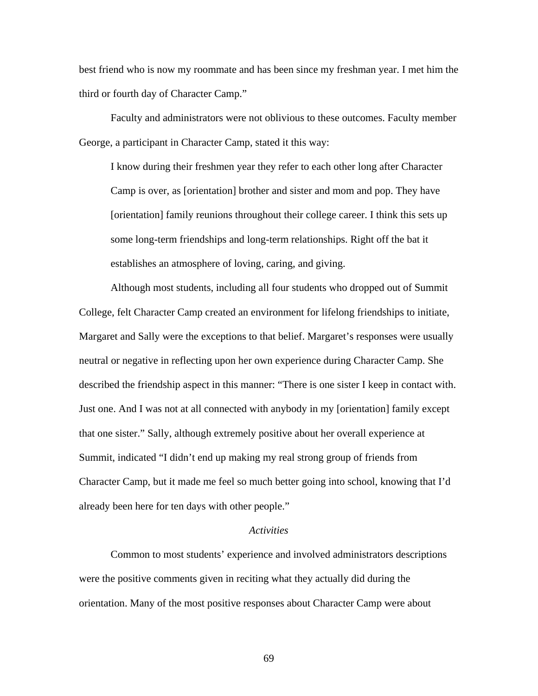best friend who is now my roommate and has been since my freshman year. I met him the third or fourth day of Character Camp."

 Faculty and administrators were not oblivious to these outcomes. Faculty member George, a participant in Character Camp, stated it this way:

I know during their freshmen year they refer to each other long after Character Camp is over, as [orientation] brother and sister and mom and pop. They have [orientation] family reunions throughout their college career. I think this sets up some long-term friendships and long-term relationships. Right off the bat it establishes an atmosphere of loving, caring, and giving.

 Although most students, including all four students who dropped out of Summit College, felt Character Camp created an environment for lifelong friendships to initiate, Margaret and Sally were the exceptions to that belief. Margaret's responses were usually neutral or negative in reflecting upon her own experience during Character Camp. She described the friendship aspect in this manner: "There is one sister I keep in contact with. Just one. And I was not at all connected with anybody in my [orientation] family except that one sister." Sally, although extremely positive about her overall experience at Summit, indicated "I didn't end up making my real strong group of friends from Character Camp, but it made me feel so much better going into school, knowing that I'd already been here for ten days with other people."

# *Activities*

 Common to most students' experience and involved administrators descriptions were the positive comments given in reciting what they actually did during the orientation. Many of the most positive responses about Character Camp were about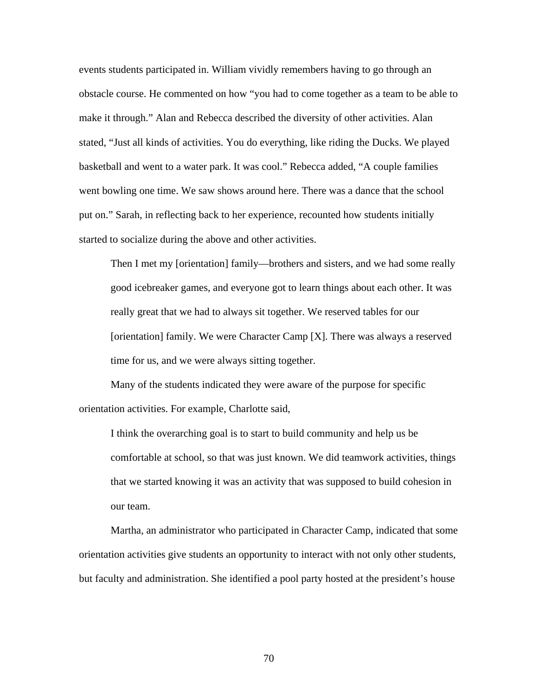events students participated in. William vividly remembers having to go through an obstacle course. He commented on how "you had to come together as a team to be able to make it through." Alan and Rebecca described the diversity of other activities. Alan stated, "Just all kinds of activities. You do everything, like riding the Ducks. We played basketball and went to a water park. It was cool." Rebecca added, "A couple families went bowling one time. We saw shows around here. There was a dance that the school put on." Sarah, in reflecting back to her experience, recounted how students initially started to socialize during the above and other activities.

Then I met my [orientation] family—brothers and sisters, and we had some really good icebreaker games, and everyone got to learn things about each other. It was really great that we had to always sit together. We reserved tables for our [orientation] family. We were Character Camp [X]. There was always a reserved time for us, and we were always sitting together.

 Many of the students indicated they were aware of the purpose for specific orientation activities. For example, Charlotte said,

I think the overarching goal is to start to build community and help us be comfortable at school, so that was just known. We did teamwork activities, things that we started knowing it was an activity that was supposed to build cohesion in our team.

 Martha, an administrator who participated in Character Camp, indicated that some orientation activities give students an opportunity to interact with not only other students, but faculty and administration. She identified a pool party hosted at the president's house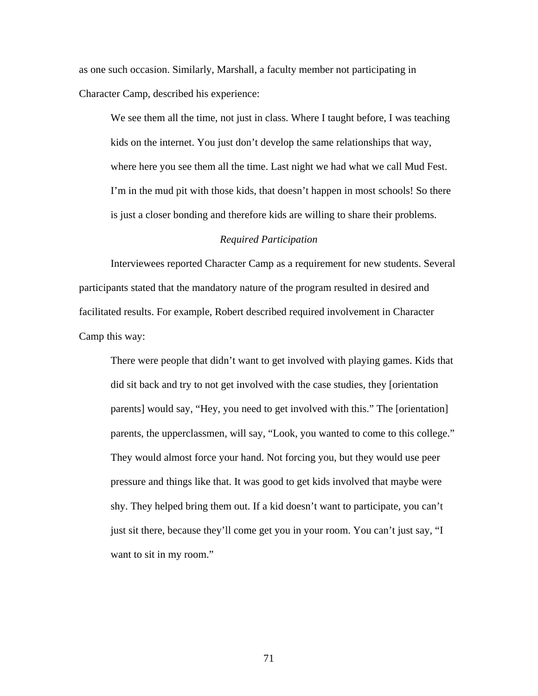as one such occasion. Similarly, Marshall, a faculty member not participating in Character Camp, described his experience:

We see them all the time, not just in class. Where I taught before, I was teaching kids on the internet. You just don't develop the same relationships that way, where here you see them all the time. Last night we had what we call Mud Fest. I'm in the mud pit with those kids, that doesn't happen in most schools! So there is just a closer bonding and therefore kids are willing to share their problems.

### *Required Participation*

 Interviewees reported Character Camp as a requirement for new students. Several participants stated that the mandatory nature of the program resulted in desired and facilitated results. For example, Robert described required involvement in Character Camp this way:

There were people that didn't want to get involved with playing games. Kids that did sit back and try to not get involved with the case studies, they [orientation parents] would say, "Hey, you need to get involved with this." The [orientation] parents, the upperclassmen, will say, "Look, you wanted to come to this college." They would almost force your hand. Not forcing you, but they would use peer pressure and things like that. It was good to get kids involved that maybe were shy. They helped bring them out. If a kid doesn't want to participate, you can't just sit there, because they'll come get you in your room. You can't just say, "I want to sit in my room."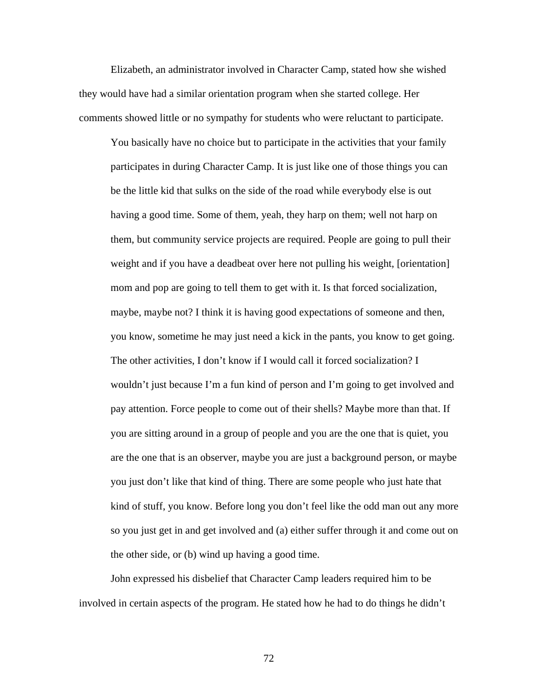Elizabeth, an administrator involved in Character Camp, stated how she wished they would have had a similar orientation program when she started college. Her comments showed little or no sympathy for students who were reluctant to participate.

You basically have no choice but to participate in the activities that your family participates in during Character Camp. It is just like one of those things you can be the little kid that sulks on the side of the road while everybody else is out having a good time. Some of them, yeah, they harp on them; well not harp on them, but community service projects are required. People are going to pull their weight and if you have a deadbeat over here not pulling his weight, [orientation] mom and pop are going to tell them to get with it. Is that forced socialization, maybe, maybe not? I think it is having good expectations of someone and then, you know, sometime he may just need a kick in the pants, you know to get going. The other activities, I don't know if I would call it forced socialization? I wouldn't just because I'm a fun kind of person and I'm going to get involved and pay attention. Force people to come out of their shells? Maybe more than that. If you are sitting around in a group of people and you are the one that is quiet, you are the one that is an observer, maybe you are just a background person, or maybe you just don't like that kind of thing. There are some people who just hate that kind of stuff, you know. Before long you don't feel like the odd man out any more so you just get in and get involved and (a) either suffer through it and come out on the other side, or (b) wind up having a good time.

 John expressed his disbelief that Character Camp leaders required him to be involved in certain aspects of the program. He stated how he had to do things he didn't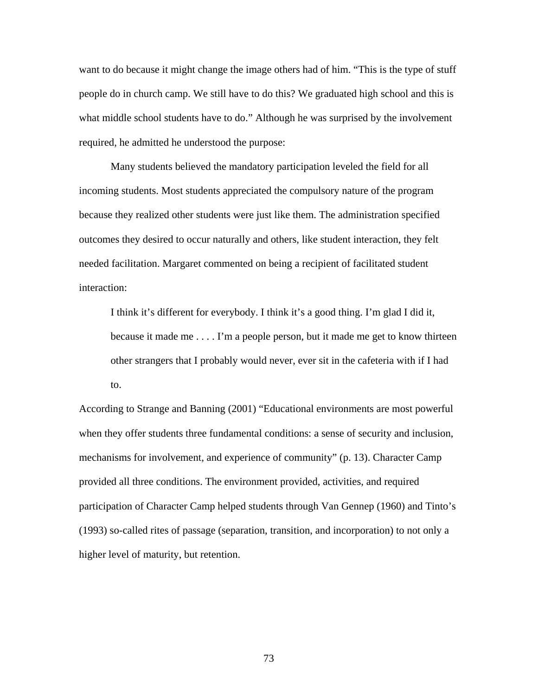want to do because it might change the image others had of him. "This is the type of stuff people do in church camp. We still have to do this? We graduated high school and this is what middle school students have to do." Although he was surprised by the involvement required, he admitted he understood the purpose:

 Many students believed the mandatory participation leveled the field for all incoming students. Most students appreciated the compulsory nature of the program because they realized other students were just like them. The administration specified outcomes they desired to occur naturally and others, like student interaction, they felt needed facilitation. Margaret commented on being a recipient of facilitated student interaction:

I think it's different for everybody. I think it's a good thing. I'm glad I did it, because it made me . . . . I'm a people person, but it made me get to know thirteen other strangers that I probably would never, ever sit in the cafeteria with if I had to.

According to Strange and Banning (2001) "Educational environments are most powerful when they offer students three fundamental conditions: a sense of security and inclusion, mechanisms for involvement, and experience of community" (p. 13). Character Camp provided all three conditions. The environment provided, activities, and required participation of Character Camp helped students through Van Gennep (1960) and Tinto's (1993) so-called rites of passage (separation, transition, and incorporation) to not only a higher level of maturity, but retention.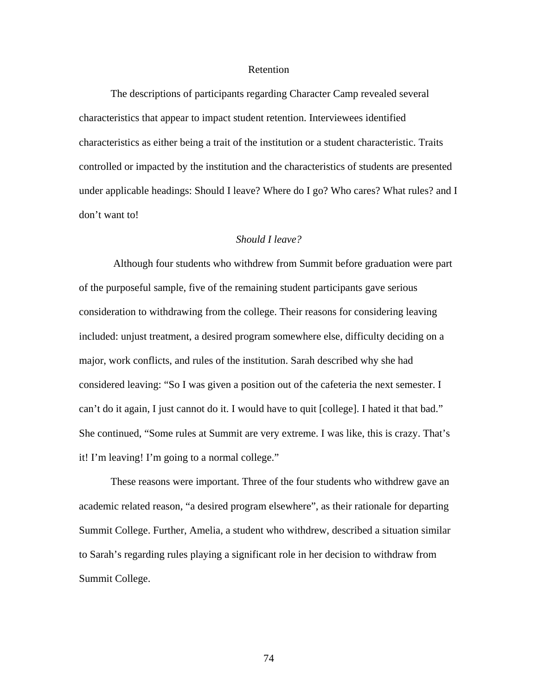## Retention

 The descriptions of participants regarding Character Camp revealed several characteristics that appear to impact student retention. Interviewees identified characteristics as either being a trait of the institution or a student characteristic. Traits controlled or impacted by the institution and the characteristics of students are presented under applicable headings: Should I leave? Where do I go? Who cares? What rules? and I don't want to!

### *Should I leave?*

 Although four students who withdrew from Summit before graduation were part of the purposeful sample, five of the remaining student participants gave serious consideration to withdrawing from the college. Their reasons for considering leaving included: unjust treatment, a desired program somewhere else, difficulty deciding on a major, work conflicts, and rules of the institution. Sarah described why she had considered leaving: "So I was given a position out of the cafeteria the next semester. I can't do it again, I just cannot do it. I would have to quit [college]. I hated it that bad." She continued, "Some rules at Summit are very extreme. I was like, this is crazy. That's it! I'm leaving! I'm going to a normal college."

 These reasons were important. Three of the four students who withdrew gave an academic related reason, "a desired program elsewhere", as their rationale for departing Summit College. Further, Amelia, a student who withdrew, described a situation similar to Sarah's regarding rules playing a significant role in her decision to withdraw from Summit College.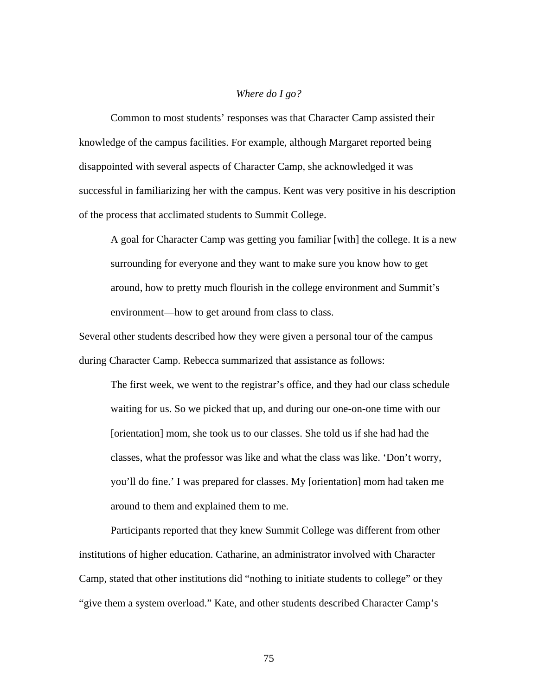# *Where do I go?*

 Common to most students' responses was that Character Camp assisted their knowledge of the campus facilities. For example, although Margaret reported being disappointed with several aspects of Character Camp, she acknowledged it was successful in familiarizing her with the campus. Kent was very positive in his description of the process that acclimated students to Summit College.

A goal for Character Camp was getting you familiar [with] the college. It is a new surrounding for everyone and they want to make sure you know how to get around, how to pretty much flourish in the college environment and Summit's environment—how to get around from class to class.

Several other students described how they were given a personal tour of the campus during Character Camp. Rebecca summarized that assistance as follows:

The first week, we went to the registrar's office, and they had our class schedule waiting for us. So we picked that up, and during our one-on-one time with our [orientation] mom, she took us to our classes. She told us if she had had the classes, what the professor was like and what the class was like. 'Don't worry, you'll do fine.' I was prepared for classes. My [orientation] mom had taken me around to them and explained them to me.

 Participants reported that they knew Summit College was different from other institutions of higher education. Catharine, an administrator involved with Character Camp, stated that other institutions did "nothing to initiate students to college" or they "give them a system overload." Kate, and other students described Character Camp's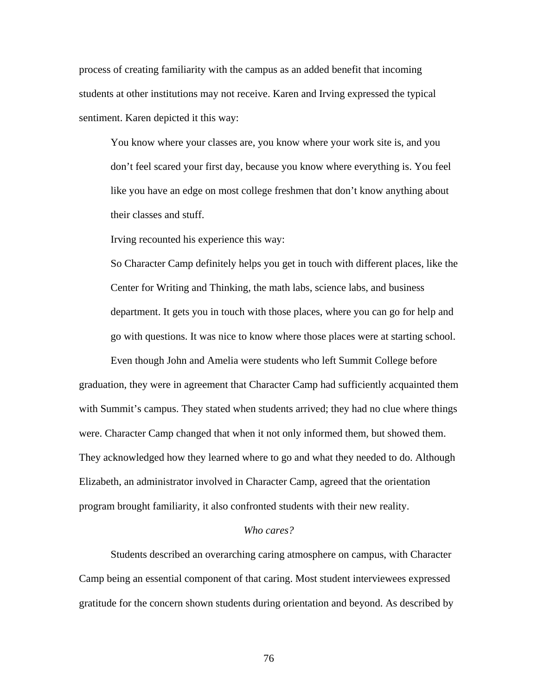process of creating familiarity with the campus as an added benefit that incoming students at other institutions may not receive. Karen and Irving expressed the typical sentiment. Karen depicted it this way:

You know where your classes are, you know where your work site is, and you don't feel scared your first day, because you know where everything is. You feel like you have an edge on most college freshmen that don't know anything about their classes and stuff.

Irving recounted his experience this way:

So Character Camp definitely helps you get in touch with different places, like the Center for Writing and Thinking, the math labs, science labs, and business department. It gets you in touch with those places, where you can go for help and go with questions. It was nice to know where those places were at starting school.

 Even though John and Amelia were students who left Summit College before graduation, they were in agreement that Character Camp had sufficiently acquainted them with Summit's campus. They stated when students arrived; they had no clue where things were. Character Camp changed that when it not only informed them, but showed them. They acknowledged how they learned where to go and what they needed to do. Although Elizabeth, an administrator involved in Character Camp, agreed that the orientation program brought familiarity, it also confronted students with their new reality.

### *Who cares?*

 Students described an overarching caring atmosphere on campus, with Character Camp being an essential component of that caring. Most student interviewees expressed gratitude for the concern shown students during orientation and beyond. As described by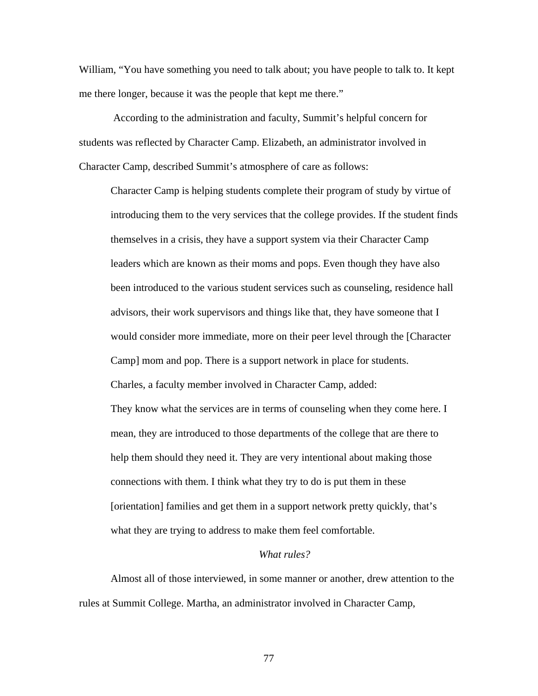William, "You have something you need to talk about; you have people to talk to. It kept me there longer, because it was the people that kept me there."

 According to the administration and faculty, Summit's helpful concern for students was reflected by Character Camp. Elizabeth, an administrator involved in Character Camp, described Summit's atmosphere of care as follows:

Character Camp is helping students complete their program of study by virtue of introducing them to the very services that the college provides. If the student finds themselves in a crisis, they have a support system via their Character Camp leaders which are known as their moms and pops. Even though they have also been introduced to the various student services such as counseling, residence hall advisors, their work supervisors and things like that, they have someone that I would consider more immediate, more on their peer level through the [Character Camp] mom and pop. There is a support network in place for students. Charles, a faculty member involved in Character Camp, added: They know what the services are in terms of counseling when they come here. I mean, they are introduced to those departments of the college that are there to help them should they need it. They are very intentional about making those connections with them. I think what they try to do is put them in these [orientation] families and get them in a support network pretty quickly, that's what they are trying to address to make them feel comfortable.

# *What rules?*

 Almost all of those interviewed, in some manner or another, drew attention to the rules at Summit College. Martha, an administrator involved in Character Camp,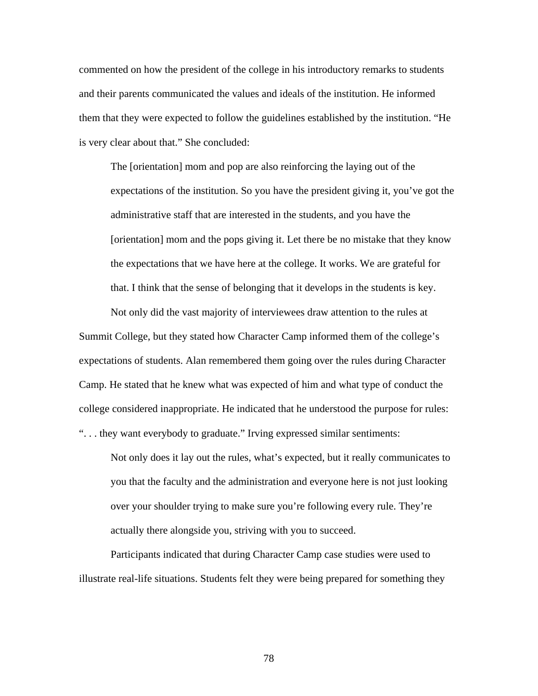commented on how the president of the college in his introductory remarks to students and their parents communicated the values and ideals of the institution. He informed them that they were expected to follow the guidelines established by the institution. "He is very clear about that." She concluded:

The [orientation] mom and pop are also reinforcing the laying out of the expectations of the institution. So you have the president giving it, you've got the administrative staff that are interested in the students, and you have the [orientation] mom and the pops giving it. Let there be no mistake that they know the expectations that we have here at the college. It works. We are grateful for that. I think that the sense of belonging that it develops in the students is key.

 Not only did the vast majority of interviewees draw attention to the rules at Summit College, but they stated how Character Camp informed them of the college's expectations of students. Alan remembered them going over the rules during Character Camp. He stated that he knew what was expected of him and what type of conduct the college considered inappropriate. He indicated that he understood the purpose for rules: ". . . they want everybody to graduate." Irving expressed similar sentiments:

Not only does it lay out the rules, what's expected, but it really communicates to you that the faculty and the administration and everyone here is not just looking over your shoulder trying to make sure you're following every rule. They're actually there alongside you, striving with you to succeed.

 Participants indicated that during Character Camp case studies were used to illustrate real-life situations. Students felt they were being prepared for something they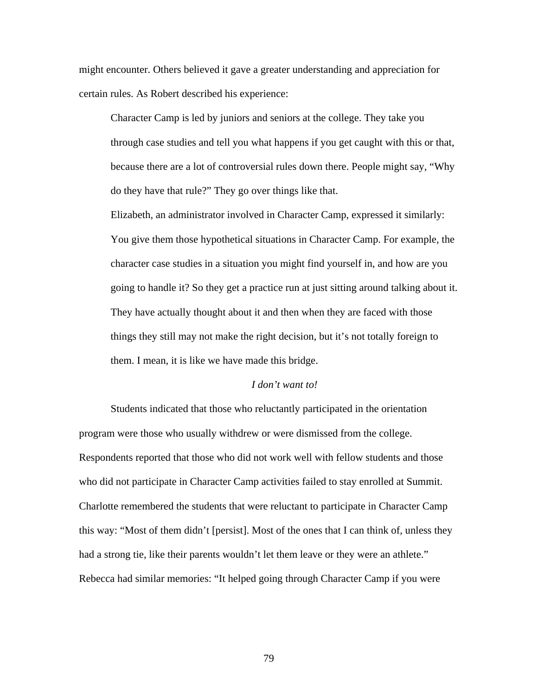might encounter. Others believed it gave a greater understanding and appreciation for certain rules. As Robert described his experience:

Character Camp is led by juniors and seniors at the college. They take you through case studies and tell you what happens if you get caught with this or that, because there are a lot of controversial rules down there. People might say, "Why do they have that rule?" They go over things like that.

Elizabeth, an administrator involved in Character Camp, expressed it similarly: You give them those hypothetical situations in Character Camp. For example, the character case studies in a situation you might find yourself in, and how are you going to handle it? So they get a practice run at just sitting around talking about it. They have actually thought about it and then when they are faced with those things they still may not make the right decision, but it's not totally foreign to them. I mean, it is like we have made this bridge.

## *I don't want to!*

 Students indicated that those who reluctantly participated in the orientation program were those who usually withdrew or were dismissed from the college. Respondents reported that those who did not work well with fellow students and those who did not participate in Character Camp activities failed to stay enrolled at Summit. Charlotte remembered the students that were reluctant to participate in Character Camp this way: "Most of them didn't [persist]. Most of the ones that I can think of, unless they had a strong tie, like their parents wouldn't let them leave or they were an athlete." Rebecca had similar memories: "It helped going through Character Camp if you were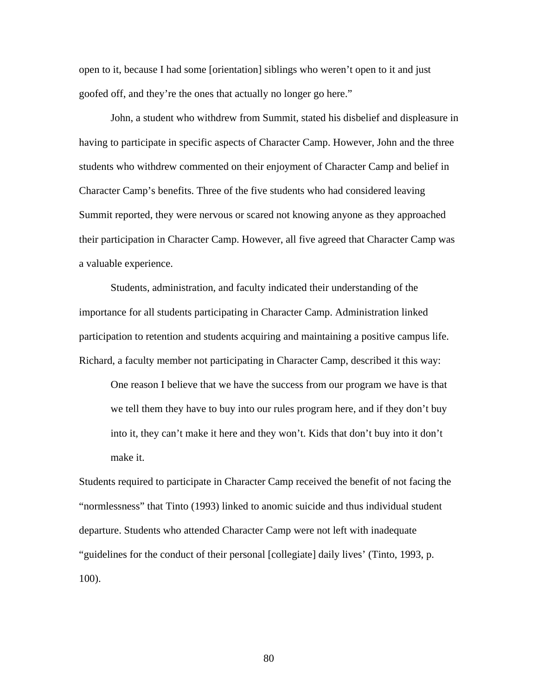open to it, because I had some [orientation] siblings who weren't open to it and just goofed off, and they're the ones that actually no longer go here."

 John, a student who withdrew from Summit, stated his disbelief and displeasure in having to participate in specific aspects of Character Camp. However, John and the three students who withdrew commented on their enjoyment of Character Camp and belief in Character Camp's benefits. Three of the five students who had considered leaving Summit reported, they were nervous or scared not knowing anyone as they approached their participation in Character Camp. However, all five agreed that Character Camp was a valuable experience.

 Students, administration, and faculty indicated their understanding of the importance for all students participating in Character Camp. Administration linked participation to retention and students acquiring and maintaining a positive campus life. Richard, a faculty member not participating in Character Camp, described it this way:

One reason I believe that we have the success from our program we have is that we tell them they have to buy into our rules program here, and if they don't buy into it, they can't make it here and they won't. Kids that don't buy into it don't make it.

Students required to participate in Character Camp received the benefit of not facing the "normlessness" that Tinto (1993) linked to anomic suicide and thus individual student departure. Students who attended Character Camp were not left with inadequate "guidelines for the conduct of their personal [collegiate] daily lives' (Tinto, 1993, p. 100).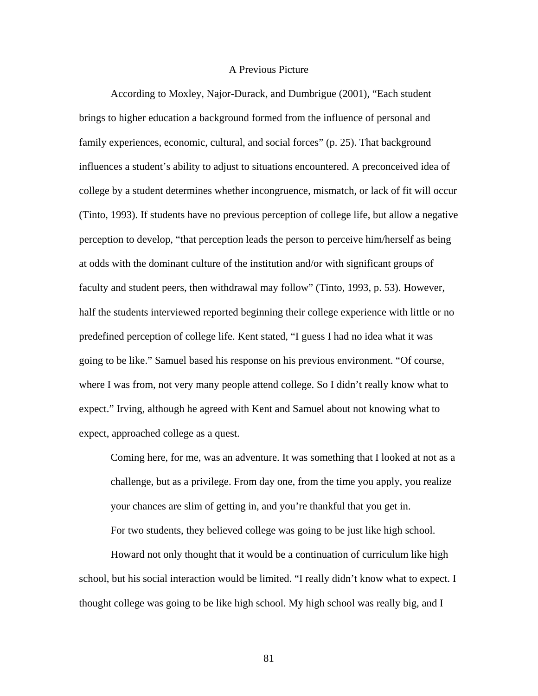## A Previous Picture

 According to Moxley, Najor-Durack, and Dumbrigue (2001), "Each student brings to higher education a background formed from the influence of personal and family experiences, economic, cultural, and social forces" (p. 25). That background influences a student's ability to adjust to situations encountered. A preconceived idea of college by a student determines whether incongruence, mismatch, or lack of fit will occur (Tinto, 1993). If students have no previous perception of college life, but allow a negative perception to develop, "that perception leads the person to perceive him/herself as being at odds with the dominant culture of the institution and/or with significant groups of faculty and student peers, then withdrawal may follow" (Tinto, 1993, p. 53). However, half the students interviewed reported beginning their college experience with little or no predefined perception of college life. Kent stated, "I guess I had no idea what it was going to be like." Samuel based his response on his previous environment. "Of course, where I was from, not very many people attend college. So I didn't really know what to expect." Irving, although he agreed with Kent and Samuel about not knowing what to expect, approached college as a quest.

Coming here, for me, was an adventure. It was something that I looked at not as a challenge, but as a privilege. From day one, from the time you apply, you realize your chances are slim of getting in, and you're thankful that you get in. For two students, they believed college was going to be just like high school.

 Howard not only thought that it would be a continuation of curriculum like high school, but his social interaction would be limited. "I really didn't know what to expect. I thought college was going to be like high school. My high school was really big, and I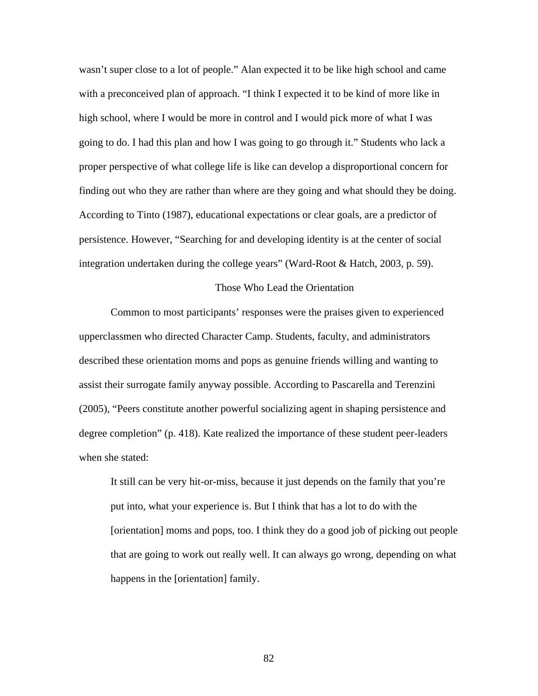wasn't super close to a lot of people." Alan expected it to be like high school and came with a preconceived plan of approach. "I think I expected it to be kind of more like in high school, where I would be more in control and I would pick more of what I was going to do. I had this plan and how I was going to go through it." Students who lack a proper perspective of what college life is like can develop a disproportional concern for finding out who they are rather than where are they going and what should they be doing. According to Tinto (1987), educational expectations or clear goals, are a predictor of persistence. However, "Searching for and developing identity is at the center of social integration undertaken during the college years" (Ward-Root & Hatch, 2003, p. 59).

### Those Who Lead the Orientation

 Common to most participants' responses were the praises given to experienced upperclassmen who directed Character Camp. Students, faculty, and administrators described these orientation moms and pops as genuine friends willing and wanting to assist their surrogate family anyway possible. According to Pascarella and Terenzini (2005), "Peers constitute another powerful socializing agent in shaping persistence and degree completion" (p. 418). Kate realized the importance of these student peer-leaders when she stated:

It still can be very hit-or-miss, because it just depends on the family that you're put into, what your experience is. But I think that has a lot to do with the [orientation] moms and pops, too. I think they do a good job of picking out people that are going to work out really well. It can always go wrong, depending on what happens in the [orientation] family.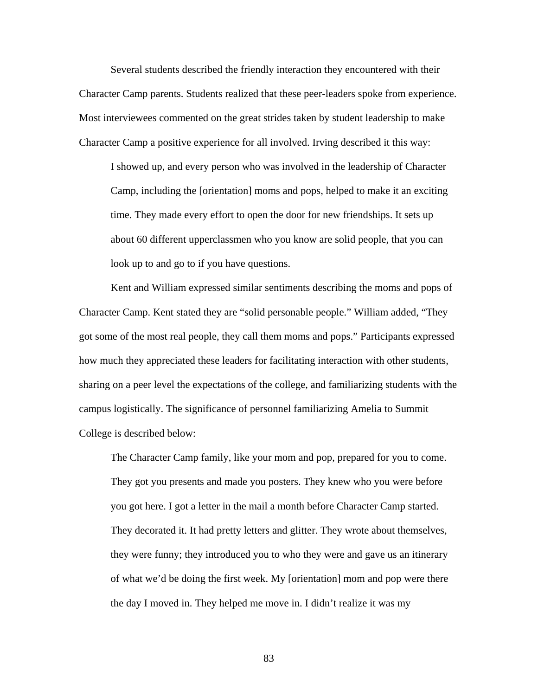Several students described the friendly interaction they encountered with their Character Camp parents. Students realized that these peer-leaders spoke from experience. Most interviewees commented on the great strides taken by student leadership to make Character Camp a positive experience for all involved. Irving described it this way:

I showed up, and every person who was involved in the leadership of Character Camp, including the [orientation] moms and pops, helped to make it an exciting time. They made every effort to open the door for new friendships. It sets up about 60 different upperclassmen who you know are solid people, that you can look up to and go to if you have questions.

 Kent and William expressed similar sentiments describing the moms and pops of Character Camp. Kent stated they are "solid personable people." William added, "They got some of the most real people, they call them moms and pops." Participants expressed how much they appreciated these leaders for facilitating interaction with other students, sharing on a peer level the expectations of the college, and familiarizing students with the campus logistically. The significance of personnel familiarizing Amelia to Summit College is described below:

The Character Camp family, like your mom and pop, prepared for you to come. They got you presents and made you posters. They knew who you were before you got here. I got a letter in the mail a month before Character Camp started. They decorated it. It had pretty letters and glitter. They wrote about themselves, they were funny; they introduced you to who they were and gave us an itinerary of what we'd be doing the first week. My [orientation] mom and pop were there the day I moved in. They helped me move in. I didn't realize it was my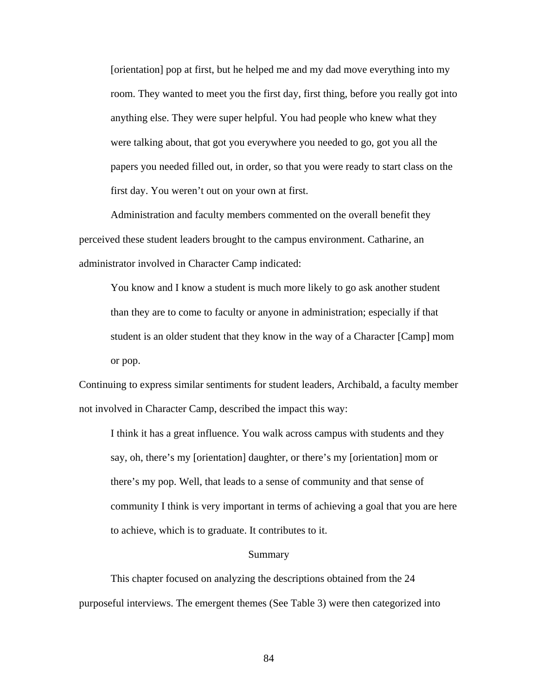[orientation] pop at first, but he helped me and my dad move everything into my room. They wanted to meet you the first day, first thing, before you really got into anything else. They were super helpful. You had people who knew what they were talking about, that got you everywhere you needed to go, got you all the papers you needed filled out, in order, so that you were ready to start class on the first day. You weren't out on your own at first.

 Administration and faculty members commented on the overall benefit they perceived these student leaders brought to the campus environment. Catharine, an administrator involved in Character Camp indicated:

You know and I know a student is much more likely to go ask another student than they are to come to faculty or anyone in administration; especially if that student is an older student that they know in the way of a Character [Camp] mom or pop.

Continuing to express similar sentiments for student leaders, Archibald, a faculty member not involved in Character Camp, described the impact this way:

I think it has a great influence. You walk across campus with students and they say, oh, there's my [orientation] daughter, or there's my [orientation] mom or there's my pop. Well, that leads to a sense of community and that sense of community I think is very important in terms of achieving a goal that you are here to achieve, which is to graduate. It contributes to it.

#### Summary

 This chapter focused on analyzing the descriptions obtained from the 24 purposeful interviews. The emergent themes (See Table 3) were then categorized into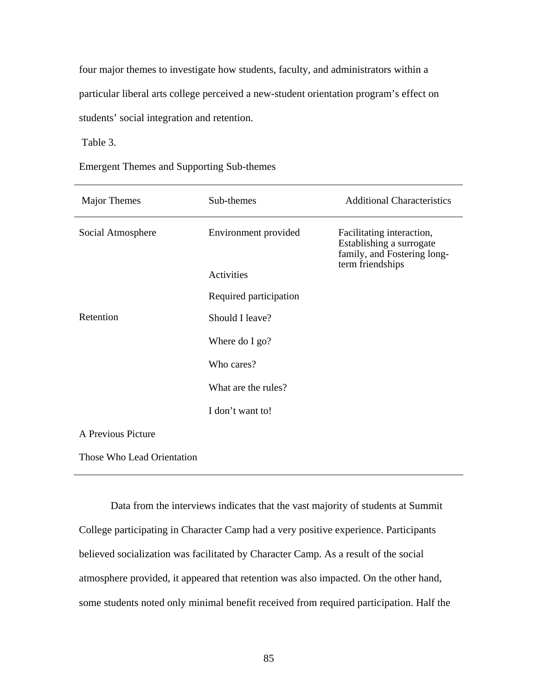four major themes to investigate how students, faculty, and administrators within a particular liberal arts college perceived a new-student orientation program's effect on students' social integration and retention.

Table 3.

Emergent Themes and Supporting Sub-themes

| <b>Major Themes</b>        | Sub-themes             | <b>Additional Characteristics</b>                                                    |
|----------------------------|------------------------|--------------------------------------------------------------------------------------|
| Social Atmosphere          | Environment provided   | Facilitating interaction,<br>Establishing a surrogate<br>family, and Fostering long- |
|                            | Activities             | term friendships                                                                     |
|                            | Required participation |                                                                                      |
| Retention                  | Should I leave?        |                                                                                      |
|                            | Where do I go?         |                                                                                      |
|                            | Who cares?             |                                                                                      |
|                            | What are the rules?    |                                                                                      |
|                            | I don't want to!       |                                                                                      |
| A Previous Picture         |                        |                                                                                      |
| Those Who Lead Orientation |                        |                                                                                      |

 Data from the interviews indicates that the vast majority of students at Summit College participating in Character Camp had a very positive experience. Participants believed socialization was facilitated by Character Camp. As a result of the social atmosphere provided, it appeared that retention was also impacted. On the other hand, some students noted only minimal benefit received from required participation. Half the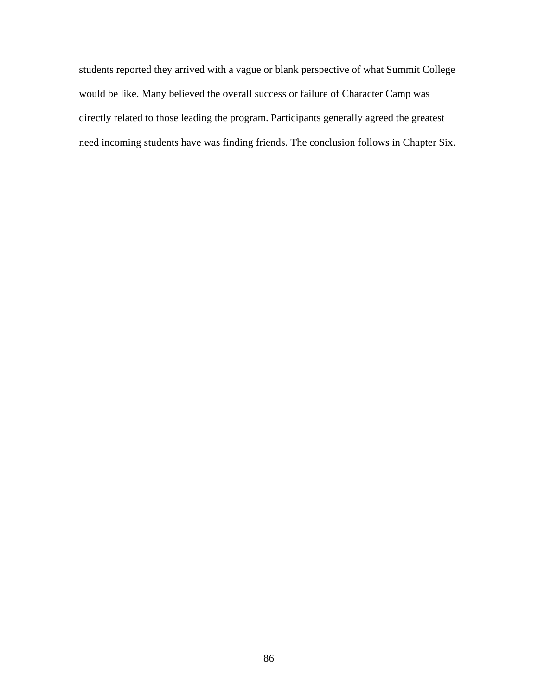students reported they arrived with a vague or blank perspective of what Summit Colleg e would be like. Many believed the overall success or failure of Character Camp was directly related to those leading the program. Participants generally agreed the greatest need incoming students have was finding friends. The conclusion follows in Chapter Si x.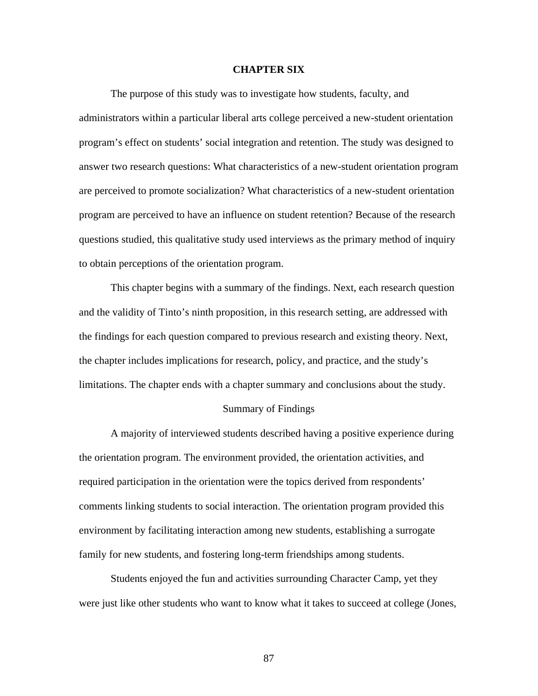### **CHAPTER SIX**

 The purpose of this study was to investigate how students, faculty, and administrators within a particular liberal arts college perceived a new-student orientation program's effect on students' social integration and retention. The study was designed to answer two research questions: What characteristics of a new-student orientation program are perceived to promote socialization? What characteristics of a new-student orientation program are perceived to have an influence on student retention? Because of the research questions studied, this qualitative study used interviews as the primary method of inquiry to obtain perceptions of the orientation program.

limitations. The chapter ends with a chapter summary and conclusions about the study. This chapter begins with a summary of the findings. Next, each research question and the validity of Tinto's ninth proposition, in this research setting, are addressed with the findings for each question compared to previous research and existing theory. Next, the chapter includes implications for research, policy, and practice, and the study's

#### Summary of Findings

environment by facilitating interaction among new students, establishing a surrogate family for new students, and fostering long-term friendships among students. A majority of interviewed students described having a positive experience during the orientation program. The environment provided, the orientation activities, and required participation in the orientation were the topics derived from respondents' comments linking students to social interaction. The orientation program provided this

Students enjoyed the fun and activities surrounding Character Camp, yet they were just like other students who want to know what it takes to succeed at college (Jones,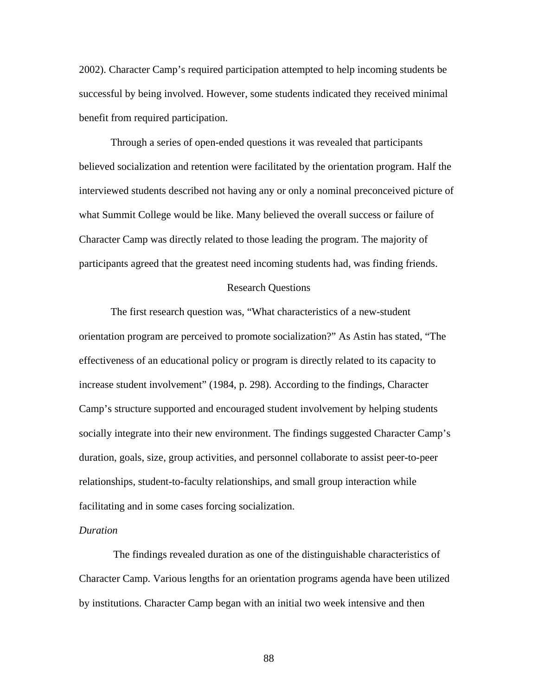2002). Character Camp's required participation attempted to help incoming students be successful by being involved. However, some students indicated they received minim al benefit from required participation.

Character Camp was directly related to those leading the program. The majority of participants agreed that the greatest need incoming students had, was finding friends. Through a series of open-ended questions it was revealed that participants believed socialization and retention were facilitated by the orientation program. Half the interviewed students described not having any or only a nominal preconceived picture of what Summit College would be like. Many believed the overall success or failure of

## Research Questions

orientation program are perceived to promote socialization?" As Astin has stated, "The Camp's structure supported and encouraged student involvement by helping students socially integrate into their new environment. The findings suggested Character Camp's The first research question was, "What characteristics of a new-student effectiveness of an educational policy or program is directly related to its capacity to increase student involvement" (1984, p. 298). According to the findings, Character duration, goals, size, group activities, and personnel collaborate to assist peer-to-peer relationships, student-to-faculty relationships, and small group interaction while facilitating and in some cases forcing socialization.

## *Duration*

Character Camp. Various lengths for an orientation programs agenda have been utilized by institutions. Character Camp began with an initial two week intensive and then The findings revealed duration as one of the distinguishable characteristics of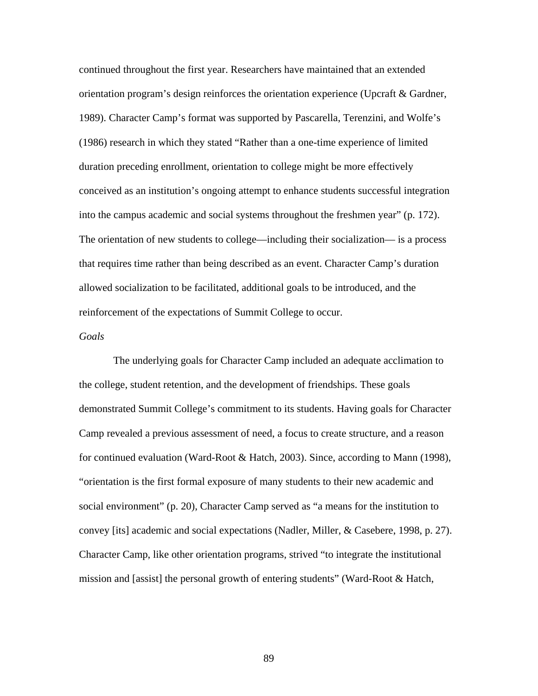continued throughout the first year. Researchers have maintained that an extended orientation program's design reinforces the orientation experience (Upcraft & Gardner, 1989). Character Camp's format was supported by Pascarella, Terenzini, and Wolfe's conceived as an institution's ongoing attempt to enhance students successful integration into the campus academic and social systems throughout the freshmen year" (p. 172). (1986) research in which they stated "Rather than a one-time experience of limited duration preceding enrollment, orientation to college might be more effectively The orientation of new students to college—including their socialization— is a process that requires time rather than being described as an event. Character Camp's duration allowed socialization to be facilitated, additional goals to be introduced, and the reinforcement of the expectations of Summit College to occur.

## *Goals*

demonstrated Summit College's commitment to its students. Having goals for Character Camp revealed a previous assessment of need, a focus to create structure, and a reason for continued evaluation (Ward-Root & Hatch, 2003). Since, according to Mann (1998), "orientation is the first formal exposure of many students to their new academic and convey [its] academic and social expectations (Nadler, Miller, & Casebere, 1998, p. 27). The underlying goals for Character Camp included an adequate acclimation to the college, student retention, and the development of friendships. These goals social environment" (p. 20), Character Camp served as "a means for the institution to Character Camp, like other orientation programs, strived "to integrate the institutional mission and [assist] the personal growth of entering students" (Ward-Root & Hatch,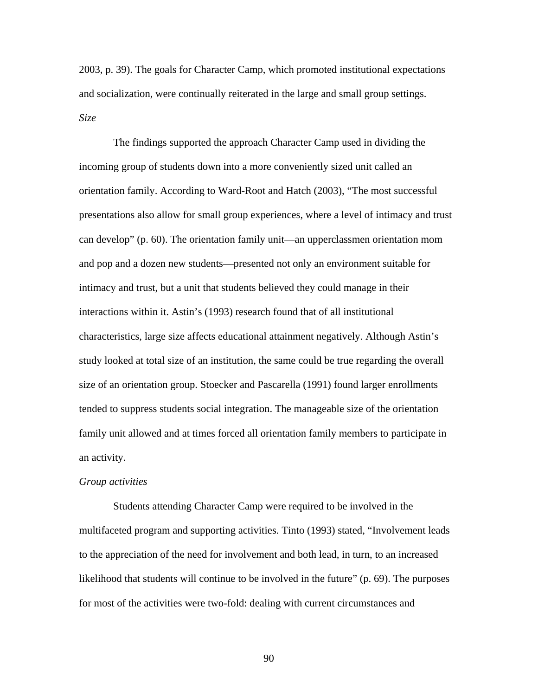2003, p. 39). The goals for Character Camp, which promoted institutional expectation s and socialization, were continually reiterated in the large and small group settings. *Size* 

 The findings supported the approach Character Camp used in dividing the incoming group of students down into a more conveniently sized unit called an orientation family. According to Ward-Root and Hatch (2003), "The most successful presentations also allow for small group experiences, where a level of intimacy and trust can develop" (p. 60). The orientation family unit—an upperclassmen orientation mom tended to suppress students social integration. The manageable size of the orientation family unit allowed and at times forced all orientation family members to participate in and pop and a dozen new students—presented not only an environment suitable for intimacy and trust, but a unit that students believed they could manage in their interactions within it. Astin's (1993) research found that of all institutional characteristics, large size affects educational attainment negatively. Although Astin's study looked at total size of an institution, the same could be true regarding the overall size of an orientation group. Stoecker and Pascarella (1991) found larger enrollments an activity.

#### *Group activities*

multifaceted program and supporting activities. Tinto (1993) stated, "Involvement leads likelihood that students will continue to be involved in the future" (p. 69). The purposes for most of the activities were two-fold: dealing with current circumstances and Students attending Character Camp were required to be involved in the to the appreciation of the need for involvement and both lead, in turn, to an increased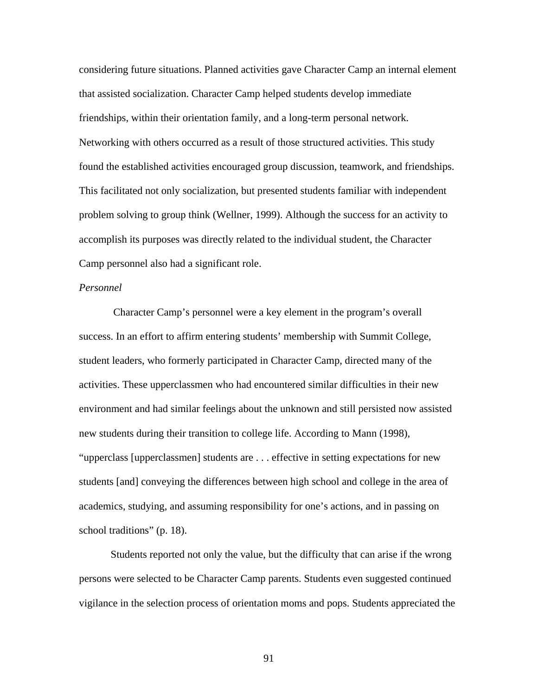considering future situations. Planned activities gave Character Camp an interna l element that assisted socialization. Character Camp helped students develop immediate friendships, within their orientation family, and a long-term personal network. Networking with others occurred as a result of those structured activities. This study found the established activities encouraged group discussion, teamwork, and frie ndships. This facilitated not only socialization, but presented students familiar with independent problem solving to group think (Wellner, 1999). Although the success for an activity to accomplish its purposes was directly related to the individual student, the Character Camp personnel also had a significant role.

# *Personnel*

 Character Camp's personnel were a key element in the program's overall success. In an effort to affirm entering students' membership with Summit College, student leaders, who formerly participated in Character Camp, directed many of the activities. These upperclassmen who had enc ountered similar difficulties in their new environment and had similar feelings about the unknown and still persisted now assisted students [and] conveying the differences between high school and college in the area of new students during their transition to college life. According to Mann (1998), "upperclass [upperclassmen] students are . . . effective in setting expectations for new academics, studying, and assuming responsibility for one's actions, and in passing on school traditions" (p. 18).

Students reported not only the value, but the difficulty that can arise if the wrong persons were selected to be Character Camp parents. Students even suggested continued vigilance in the selection process of orientation moms and pops. Students appreciated the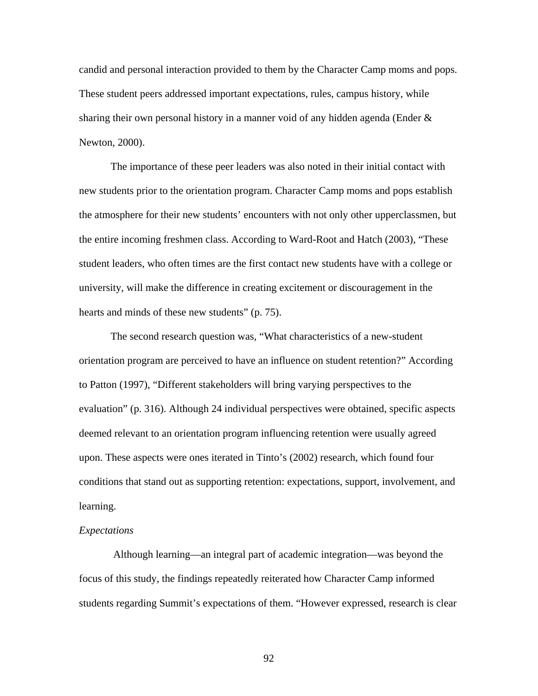candid and personal interaction provided to them by the Character Camp moms and po ps. These student peers addres sed important expectations, rules, campus history, while sharing their own personal history in a manner void of any hidden agenda (Ender  $\&$ Newton, 2000).

the atmosphere for their new students' encounters with not only other upperclassmen, but the entire incoming freshmen class. According to Ward-Root and Hatch (2003), "These student leaders, who often times are the first contact new students have with a college or university, will make the difference in creating excitement or discouragement in the The importance of these peer leaders was also noted in their initial contact with new students prior to the orientation program. Character Camp moms and pops establish hearts and minds of these new students" (p. 75).

evaluation" (p. 316). Although 24 individual perspectives were obtained, specific aspects deemed relevant to an orientation program influencing retention were usually agreed upon. These aspects were ones iterated in Tinto's (2002) research, which found four The second research question was, "What characteristics of a new-student orientation program are perceived to have an influence on student retention?" According to Patton (1997), "Different stakeholders will bring varying perspectives to the conditions that stand out as supporting retention: expectations, support, involvement, and learning.

### *Expectations*

students regarding Summit's expectations of them. "However expressed, research is clear Although learning—an integral part of academic integration—was beyond the focus of this study, the findings repeatedly reiterated how Character Camp informed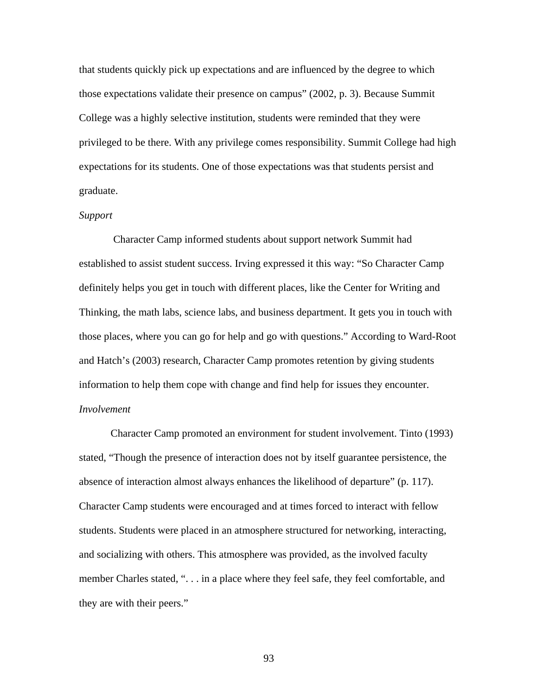that students quickly pick up expectations and are influenced by the degree to which those expectations validate their presence on campus" (2002, p. 3). Because Summit College was a highly selective institution, students were reminded that they were privileged to be there. With any privilege comes responsibility. Summit College had high expectations for its students. One of those expectations was that students persist and graduate.

#### *Support*

established to assist student success. Irving expressed it this way: "So Character Camp Thinking, the math labs, science labs, and business department. It gets you in touch with those places, where you can go for help and go with questions." According to Ward-Root and Hatch's (2003) research, Character Camp promotes retention by giving students information to help them cope with change and find help for issues they encounter. Character Camp informed students about support network Summit had definitely helps you get in touch with different places, like the Center for Writing and *Involvement*

Character Camp promoted an environment for student involvement. Tinto (1993) students. Students were placed in an atmosphere structured for networking, interacting, and socializing with others. This atmosphere was provided, as the involved faculty member Charles stated, ". . . in a place where they feel safe, they feel comfortable, and stated, "Though the presence of interaction does not by itself guarantee persistence, the absence of interaction almost always enhances the likelihood of departure" (p. 117). Character Camp students were encouraged and at times forced to interact with fellow they are with their peers."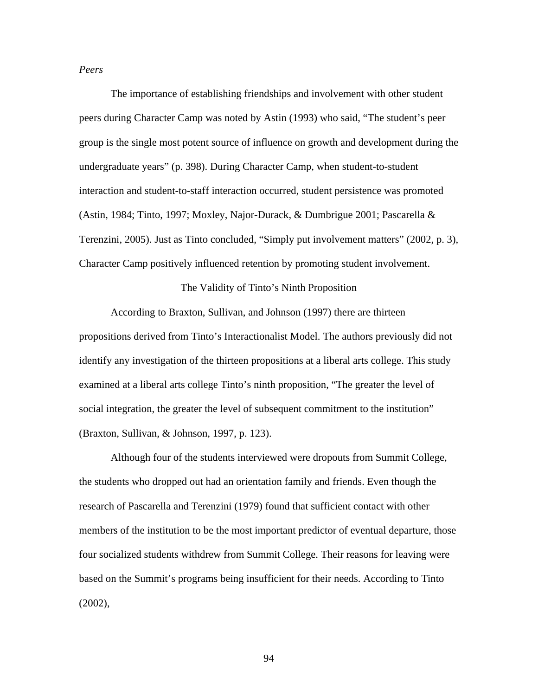*Peers*

 The importance of establishing friendships and involvement with other student peers during Character Camp was noted by Astin (1993) who said, "The student's peer group is the single most potent source of influence on growth and development duri ng the undergraduate years" (p. 398). During Character Camp, when student-to-student interaction and student-to-s taff interaction occurred, student persistence was promoted (Astin, 1984; Tinto, 1997; Moxley, Najor-Durack, & Dumbrigue 2001; Pascarella & Terenzini, 2005). Just as Tinto concluded, "Simply put involvement matters" (2002, p. 3), Character Camp positively influenced retention by promoting student involvement.

The Validity of Tinto's Ninth Proposition

propositions derived from Tinto's Interactionalist Model. The authors previously did not identify any investigation of the thirteen propositions at a liberal arts college. This study (Braxton, Sullivan, & Jo hnson, 1997, p. 123). According to Braxton, Sullivan, and Johnson (1997) there are thirteen examined at a liberal arts college Tinto's ninth proposition, "The greater the level of social integration, the greater the level of subsequent commitment to the institution"

Although four of the students interviewed were dropouts from Summit College, members of the institution to be the most important predictor of eventual departure, those four socialized students withdrew from Summit College. Their reasons for leaving were based on the Summit's programs being insufficient for their needs. According to Tinto (2002), the students who dropped out had an orientation family and friends. Even though the research of Pascarella and Terenzini (1979) found that sufficient contact with other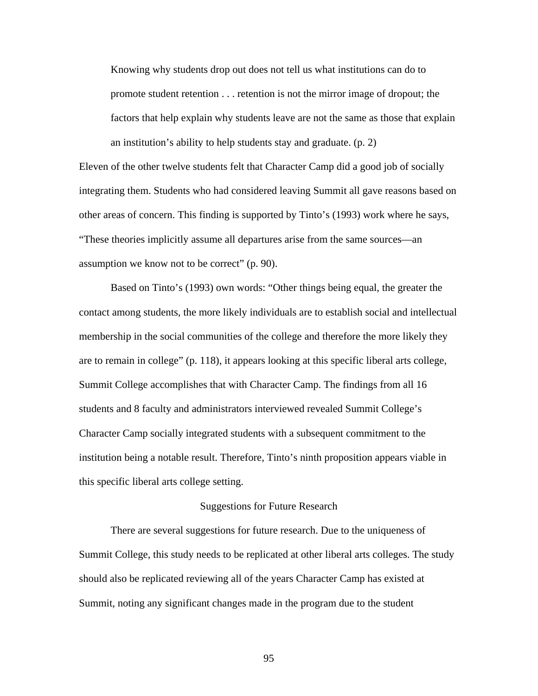Knowing why students drop out does not tell us what institutions can do to promote student retention . . . retention is not the mirror image of dropout; the factors that help explain why students leave are not the same as those that ex plain an institution's ability to help students stay and graduate. (p. 2)

Eleven of the other twelve students felt that Character Camp did a good job of socially integrating them. Students who had considered leaving Summit all gave reasons based o n other are as of concern. This finding is supported by Tinto's (1993) work where he says, "These theories implicitly assume all departures arise from the same sources—an assump tion we know not to be correct" (p. 90).

contact among students, the more likely individuals are to establish social and intellectual Character Camp socially integrated students with a subsequent commitment to the Based on Tinto's (1993) own words: "Other things being equal, the greater the membership in the social communities of the college and therefore the more likely they are to remain in college" (p. 118), it appears looking at this specific liberal arts college, Summit College accomplishes that with Character Camp. The findings from all 16 students and 8 faculty and administrators interviewed revealed Summit College's institution being a notable result. Therefore, Tinto's ninth proposition appears viable in this specific liberal arts college setting.

#### Suggestions for Future Research

Summit College, this study needs to be replicated at other liberal arts colleges. The study There are several suggestions for future research. Due to the uniqueness of should also be replicated reviewing all of the years Character Camp has existed at Summit, noting any significant changes made in the program due to the student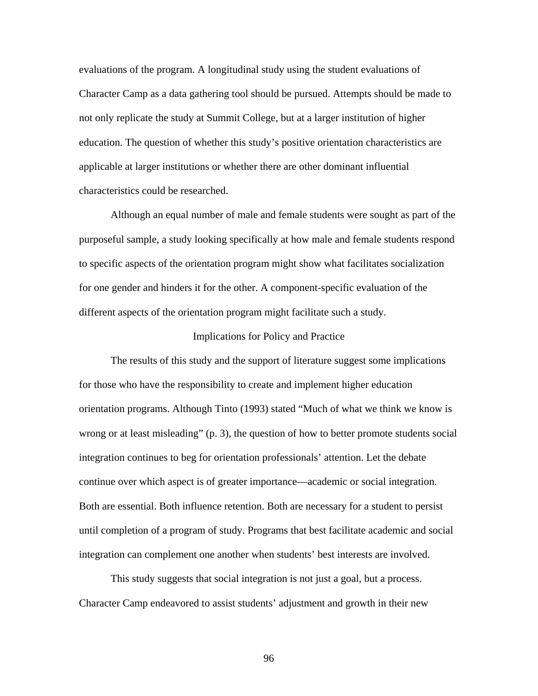evaluations of the program. A longitudinal study using the student evaluations of Character Camp as a data gathering tool should be pursued. Attempts should be made to not only replicate the study at Summit College, but at a larger institution of higher education. The question of whether this study's positive orientation characteristics are applicable at larger institutions or whether there are other dominant influential characteristics could be researched.

Although an equal number of male and female students were sought as part of the purposeful sample, a study looking specifically at how male and female students respond to specific aspects of the orientation program might show what facilitates socialization for one gender and hinders it for the other. A component-specific evaluation of the different aspects of the orientation program might facilitate such a study.

#### Implications for Policy and Practice

The results of this study and the support of literature suggest some implications wrong or at least misleading" (p. 3), the question of how to better promote students social continue over which aspect is of greater importance—academic or social integration. Both are essential. Both influence retention. Both are necessary for a student to persist until completion of a program of study. Programs that best facilitate academic and social integration can complement one another when students' best interests are involved. for those who have the responsibility to create and implement higher education orientation programs. Although Tinto (1993) stated "Much of what we think we know is integration continues to beg for orientation professionals' attention. Let the debate

 This study suggests that social integration is not just a goal, but a process. Character Camp endeavored to assist students' adjustment and growth in their new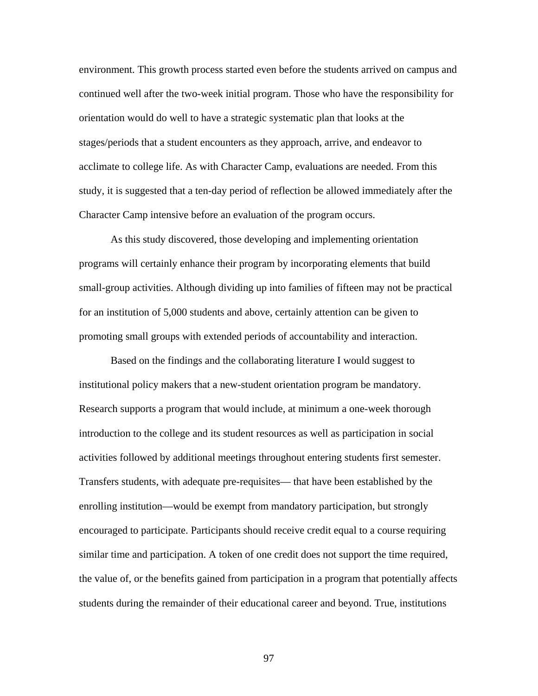environment. This growth process started even before the students arrived on camp us and continued well after the two-week initial program. Those who have the responsibility for orientation would do well to have a strategic systematic plan that looks at the stages/periods that a student encounters as they approach, arrive, and endeavor to acclimate to college life. As with Character Camp, evaluations are needed. From this study, it is suggested that a ten-day period of reflection be allowed immediately after the Character Camp intensive before an evaluation of the program occurs.

small-group activities. Although dividing up into families of fifteen may not be practical As this study discovered, those developing and implementing orientation programs will certainly enhance their program by incorporating elements that build for an institution of 5,000 students and above, certainly attention can be given to promoting small groups with extended periods of accountability and interaction.

institutional policy makers that a new-student orientation program be mandatory. Research supports a program that would include, at minimum a one-week thorough Transfers students, with adequate pre-requisites— that have been established by the enrolling institution—would be exempt from mandatory participation, but strongly encouraged to participate. Participants should receive credit equal to a course requiring similar time and participation. A token of one credit does not support the time required, the value of, or the benefits gained from participation in a program that potentially affects students during the remainder of their educational career and beyond. True, institutions Based on the findings and the collaborating literature I would suggest to introduction to the college and its student resources as well as participation in social activities followed by additional meetings throughout entering students first semester.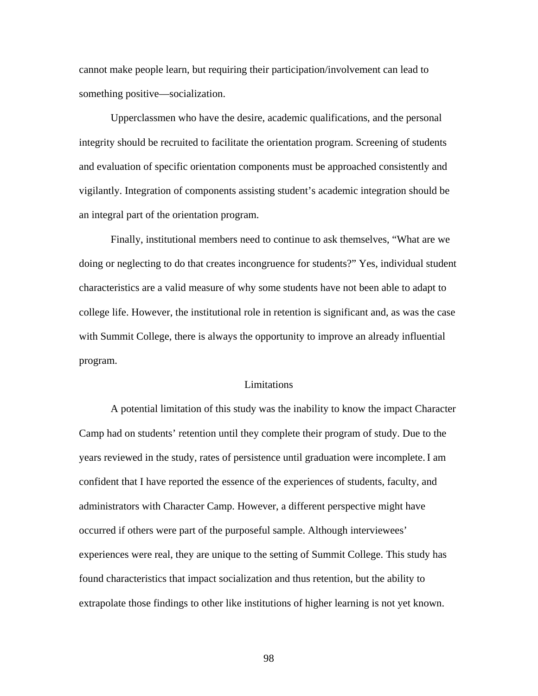cannot make people learn, but requiring their participation/involvement can lead to something positive—socialization.

 Upperclassmen who have the desire, academic qualifications, and the person al integrity should be recruited to facilitate the orientation program. Screening of students and evaluation of specific orientation components must be approached consistently and vigilantly. Integration of components assisting student's academic integration should be an integral part of the orientation program.

 Finally, institutional members need to continue to ask themselves, "What are we doing or neglecting to do that create s incongruence for students?" Yes, individual student college life. However, the institutional role in retention is significant and, as was the case characteristics are a valid measure of why some students have not been able to adapt to with Summit College, there is always the opportunity to improve an already influential program.

## Limitations

occurred if others were part of the purposeful sample. Although interviewees' experiences were real, they are unique to the setting of Summit College. This study has A potential limitation of this study was the inability to know the impact Character Camp had on students' retention until they complete their program of study. Due to the years reviewed in the study, rates of persistence until graduation were incomplete. I am confident that I have reported the essence of the experiences of students, faculty, and administrators with Character Camp. However, a different perspective might have found characteristics that impact socialization and thus retention, but the ability to extrapolate those findings to other like institutions of higher learning is not yet known.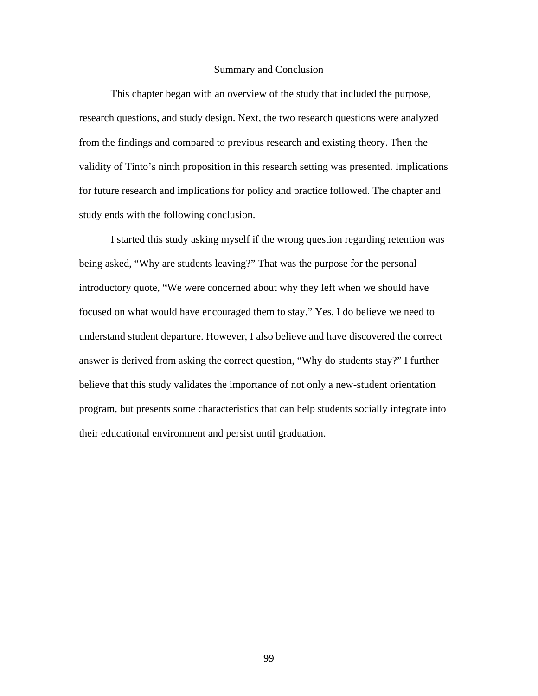## Summary and Conclusion

 This chapter began with an overview of the study that included the purpose, research questions, and study design. Next, the two research questions were analyze d from the findings and compared to previous research and existing theory. Then the validity of Tinto's ninth proposition in this research setting was presented. Implications for future research and implications for policy and practice followed. The chapter and study ends with the following conclusion.

I started this study asking myself if the wrong question regarding retention was believe that this study validates the importance of not only a new-student orientation being asked, "Why are students leaving?" That was the purpose for the personal introductory quote, "We were concerned about why they left when we should have focused on what would have encouraged them to stay." Yes, I do believe we need to understand student departure. However, I also believe and have discovered the correct answer is derived from asking the correct question, "Why do students stay?" I further program, but presents some characteristics that can help students socially integrate into their educational environment and persist until graduation.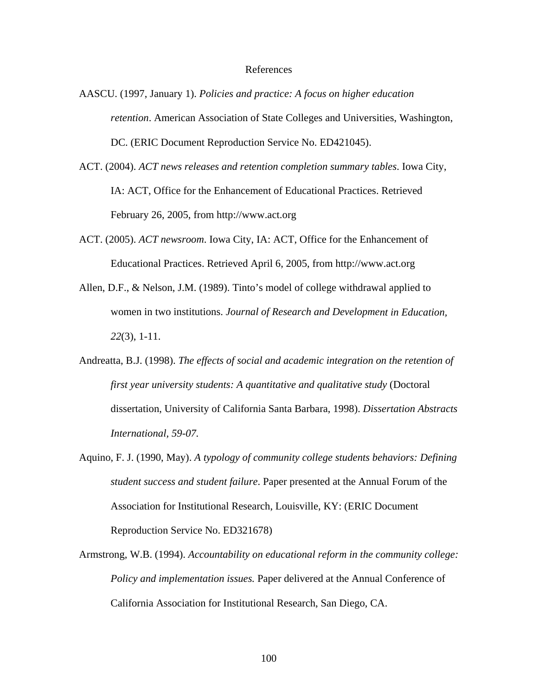## References

- AASCU. (1997, January 1). *Policies and practice: A focus on higher education retention*. American Association of State Colleges and Universities, Washington, DC. (ERIC Document Reproduction Service No. ED421045).
- ACT. (2004). *ACT news releases and retention completion summary tables*. Iowa City, IA: ACT, Office for the Enhancement of Educational Practices. Retrieved February 26, 2005, from http://www.act.org
- ACT. (2005). *ACT newsroom*. Iowa City, IA: ACT, Office for the Enhancement of Educational Practices. Retrieved April 6, 2005, from http://www.act.org
- Allen, D .F., & Nelson, J.M. (1989). Tinto's model of college withdrawal applied to women in two institutions. *Journal of Research and Development in Education*, *22*(3), 1-11.
- Andreatta, B.J. (1998). *The effects of social and academic integration on the retention of* first year university students: A quantitative and qualitative study (Doctoral dissertation, University of California Santa Barbara, 1998). *Dissertation Abstracts International, 59-07.*
- Aquino, F. J. (1990, May). *A typology of community college students behaviors: Defining* Association for Institutional Research, Louisville, KY: (ERIC Document *student success and student failure*. Paper presented at the Annual Forum of the Reproduction Service No. ED321678)
- Armstrong, W.B. (1994). *Accountability on educational reform in the community college:* California Association for Institutional Research, San Diego, CA. *Policy and implementation issues.* Paper delivered at the Annual Conference of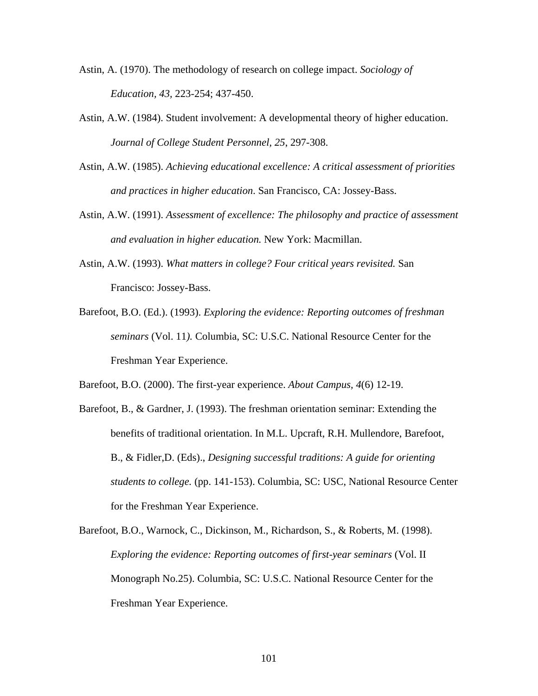- Astin, A. (1970). The methodology of research on college impact. *Sociology of Education, 43,* 223-254; 437-450.
- Astin, A.W. (1984). Student involvement: A developmental theory of higher education. *Journal of College Student Personnel, 2 5*, 297-308.
- Astin, A.W. (1985). *Achieving educational excellence: A critical assessment of priorities and practices in higher education*. San Francisco, CA: Jossey-Bass.
- Astin, A.W. (1991). Assessment of excellence: The philosophy and practice of assessment *and evaluation in higher education.* New York: Macmillan.
- Astin, A.W. (1993). What matters in college? Four critical years revisited. San Francisco: Jossey-Bass.
- Barefoot, B.O. (Ed.). (1993). *Exploring the evidence: Reporting outcomes of freshman seminars* (Vol. 11*).* Columbia, SC: U.S.C. National Resource Center for the Freshman Year Experience.

Barefoot, B.O. (2000). The first-year experience. *About Campus, 4*(6) 12-19.

- Barefoot, B., & Gardner, J. (1993). The freshman orientation seminar: Extending the benefits of traditional orientation. In M.L. Upcraft, R.H. Mullendore, Barefoot, B., & Fidler, D. (Eds)., *Designing successful traditions: A guide for orienting* students to college. (pp. 141-153). Columbia, SC: USC, National Resource Center for the Freshman Year Experience.
- Barefoot, B.O., Warnock, C., Dickinson, M., Richardson, S., & Roberts, M. (1998). Exploring the evidence: Reporting outcomes of first-year seminars (Vol. II Monograph No.25). Columbia, SC: U.S.C. National Resource Center for the Freshman Year Experience.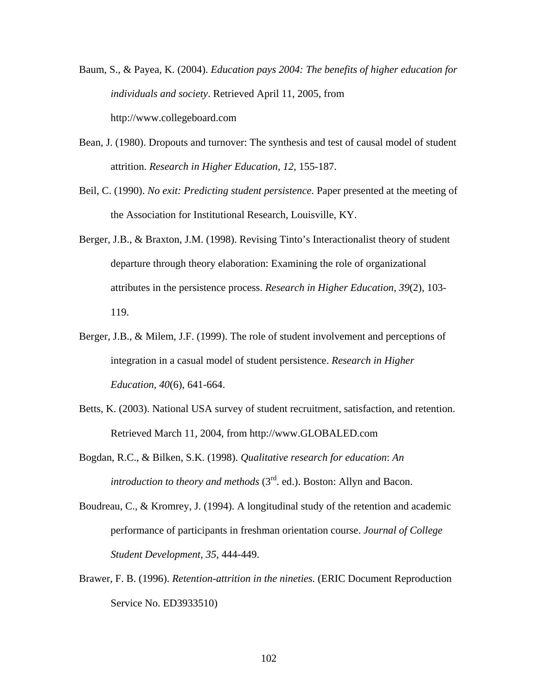- Baum, S., & Payea, K. (2004). *Education pays 2004: The benefits of higher education for individuals and society*. Retrieved April 11, 2005, from http://www.collegeboard.com
- Bean, J. (1980). Dropouts and turnover: The synthesis and test of causal model of student attrition. *Research in Higher Education, 12*, 155-187.
- Beil, C. (1990). *No exit: Predicting student persistence*. Paper presented at the meeting of the Association for Institutional Research, Louisville, KY.
- departure through theory elaboration: Examining the role of organizational attributes in the persistence process. Research in Higher Education, 39(2), 103-Berger, J.B., & Braxton, J.M. (1998). Revising Tinto's Interactionalist theory of student 119.
- Berger, J.B., & Milem, J.F. (1999). The role of student involvement and perceptions of integration in a casual model of student persistence. *Research in Higher Education, 40*(6), 641-664.
- Betts, K. (2003). National USA survey of student recruitment, satisfaction, and retention. Retrieved March 11, 2004, from http://www.GLOBALED.com
- Bogdan , R.C., & Bilken, S.K. (1998). *Qualitative research for education*: *An*  introduction to theory and methods (3<sup>rd</sup>. ed.). Boston: Allyn and Bacon.
- performance of participants in freshman orientation course. *Journal of College Student Development, 35, 444-449.* Boudreau, C., & Kromrey, J. (1994). A longitudinal study of the retention and academic
- Brawer, F. B. (1996). *Retention-attrition in the nineties.* (ERIC Document Reproduction Service No. ED3933510)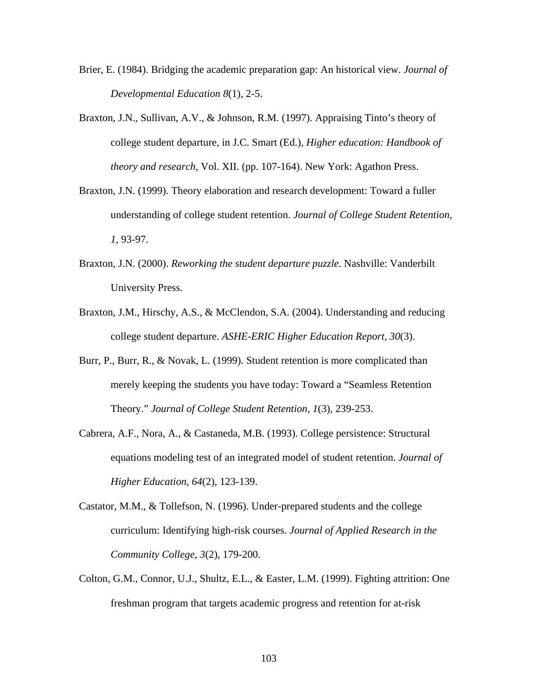- Brier, E. (1984). Bridging the academic preparation gap: An historical view. *J ournal of Developmental Education 8*(1), 2-5.
- theory and research, Vol. XII. (pp. 107-164). New York: Agathon Press. Braxton, J.N., Sullivan, A.V., & Johnson, R.M. (1997). Appraising Tinto's theory of college student departure, in J.C. Smart (Ed.), *Higher education: Handbook of*
- understanding of college student retention. Journal of College Student Retention, Braxton, J.N. (1999). Theory elaboration and research development: Toward a fuller *1,* 93-97.
- Braxton, J.N. (2000). *Reworking the student departure puzzle*. Nashville: Vanderbilt University Press.
- Braxto n, J.M., Hirschy, A.S., & McClendon, S.A. (2004). Understanding and reducing college student departure. *ASHE-ERIC Higher Education Report, 30*(3).
- Theory." Journal of College Student Retention, 1(3), 239-253. Burr, P., Burr, R., & Novak, L. (1999). Student retention is more complicated than merely keeping the students you have today: Toward a "Seamless Retention
- equations modeling test of an integrated model of student retention. *Journal of* Cabrera, A.F., Nora, A., & Castaneda, M.B. (1993). College persistence: Structural *Higher Education, 64*(2), 123-139.
- Castator, M.M., & Tollefson, N. (1996). Under-prepared students and the college *e*  curriculum: Identifying high-risk courses. *Journal of Applied Research in th Community College, 3*(2), 179-200.
- Colton, G.M., Connor, U.J., Shultz, E.L., & Easter, L.M. (1999). Fighting attrition: One freshman program that targets academic progress and retention for at-risk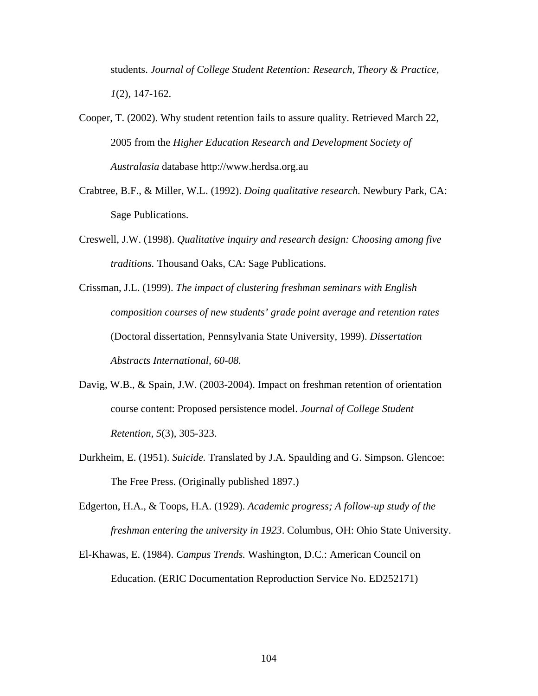students. Journal of College Student Retention: Research, Theory & Practice, *1*(2), 147-162.

Cooper, T. (2002). Why student retention fails to assure quality. Retrieved March 22, 2005 from the *Higher Education Research and Development Society of Australasia* database http://www.herdsa.org.au

- Crabtree, B.F., & Miller, W.L. (1992). *Doing qualitative research*. Newbury Park, CA: Sage Publications.
- Creswell, J.W. (1998). *Qualitative inquiry and research design: Choosing among five traditions.* Thousand Oaks, CA: Sage Publications.
- Crissman, J.L. (1999). The impact of clustering freshman seminars with English *n*  (Doctoral dissertation, Pennsylvania State University, 1999). *Dissertatio composition courses of new students' grade point average and retention rates Abstracts International, 60-08.*
- course content: Proposed persistence model. *Journal of College Student* Davig, W.B., & Spain, J.W. (2003-2004). Impact on freshman retention of orientation *Retention, 5*(3), 305-323.
- Durkheim, E. (1951). *Suicide*. Translated by J.A. Spaulding and G. Simpson. Glencoe: The Free Press. (Originally published 1897.)
- Edgerto n, H.A., & Toops, H.A. (1929). *Academic progress; A follow-up study of the*  freshman entering the university in 1923. Columbus, OH: Ohio State University.
- El-Khawas, E. (1984). *Campus Trends*. Washington, D.C.: American Council on Education. (ERIC Documentation Reproduction Service No. ED252171)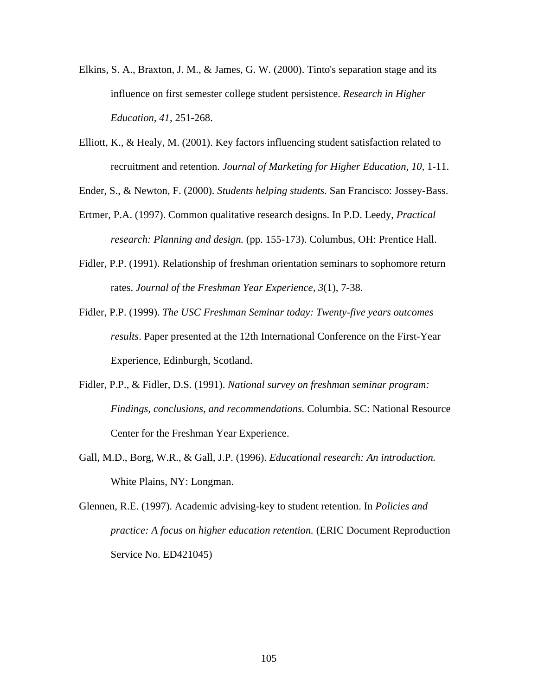- Elkins, S. A., Braxton, J. M., & James, G. W. (2000). Tinto's separation stage and its influence on first semester college student persistence. *Research in Highe r Education, 41*, 251-268.
- recruitment and retention. *Journal of Marketing for Higher Education*, 10, 1-11. Elliott, K., & Healy, M. (2001). Key factors influencing student satisfaction related to

Ender, S., & Newton, F. (2000). *Students helping students*. San Francisco: Jossey-Bass.

- Ertmer , P.A. (1997). Common qualitative research designs. In P.D. Leedy, *Practical*  research: Planning and design. (pp. 155-173). Columbus, OH: Prentice Hall.
- Fidler, P.P. (1991). Relationship of freshman orientation seminars to sophomore return rates. *Journal of the Freshman Year Experience, 3*(1), 7-38.
- Fidler, P.P. (1999). *The USC Freshman Seminar today: Twenty-five years outcomes* results. Paper presented at the 12th International Conference on the First-Year Experience, Edinburgh, Scotland.
- Fidler, P.P., & Fidler, D.S. (1991). *National survey on freshman seminar program: Findings, conclusions, and recommendations.* Columbia. SC: National Resource Center for the Freshman Year Experience.
- Gall, M .D., Borg, W.R., & Gall, J.P. (1996). *Educational research: An introduction.* White Plains, NY: Longman.
- Glennen, R.E. (1997). Academic advising-key to student retention. In *Policies and* practice: A focus on higher education retention. (ERIC Document Reproduction Service No. ED421045)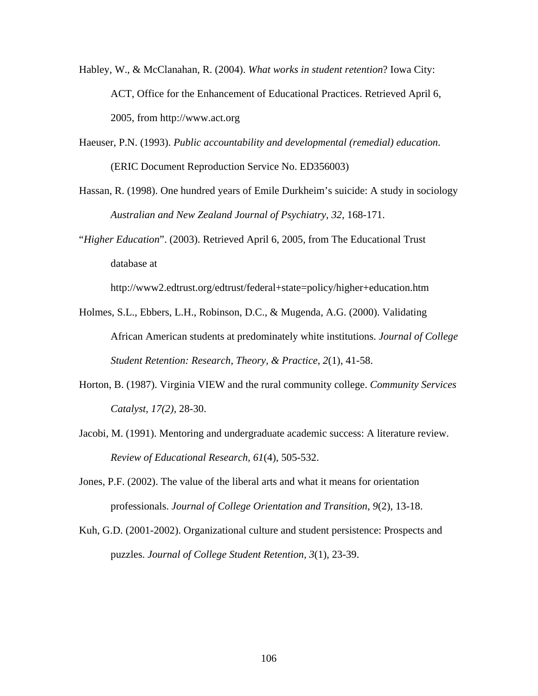- Habley, W., & McClanahan, R. (2004). *What works in student retention*? Iowa City: ACT, Office for the Enhancement of Educational Practices. Retrieved April 6, 2005, from http://www.act.org
- (ERIC Document Reproduction Service No. ED356003) Haeuser, P.N. (1993). *Public accountability and developmental (remedial) education*.
- Hassan, R. (1998). One hundred years of Emile Durkheim's suicide: A study in sociology *Australian and New Zealand Journal of Psychiatry, 32*, 168-171.

"Higher Education". (2003). Retrieved April 6, 2005, from The Educational Trust database at

http://www2.edtrust.org/edtrust/federal+state=policy/higher+education.htm

- Holmes, S.L., Ebbers, L.H., Robinson, D.C., & Mugenda, A.G. (2000). Validating African American students at predominately white institutions. *Journal of College* Student Retention: Research, Theory, & Practice, 2(1), 41-58.
- Horton, B. (1987). Virginia VIEW and the rural community college. *Community Services Catalyst, 17(2),* 28-30.
- Jacobi, M. (1991). Mentoring and undergraduate academic success: A literature review. Review of Educational Research, 61(4), 505-532.
- Jones, P .F. (2002). The value of the liberal arts and what it means for orientation professionals. *Journal of College Orientation and Transition, 9*(2), 13-18.
- Kuh, G .D. (2001-2002). Organizational culture and student persistence: Prospects and puzzles. *Journal of College Student Retention, 3*(1), 23-39.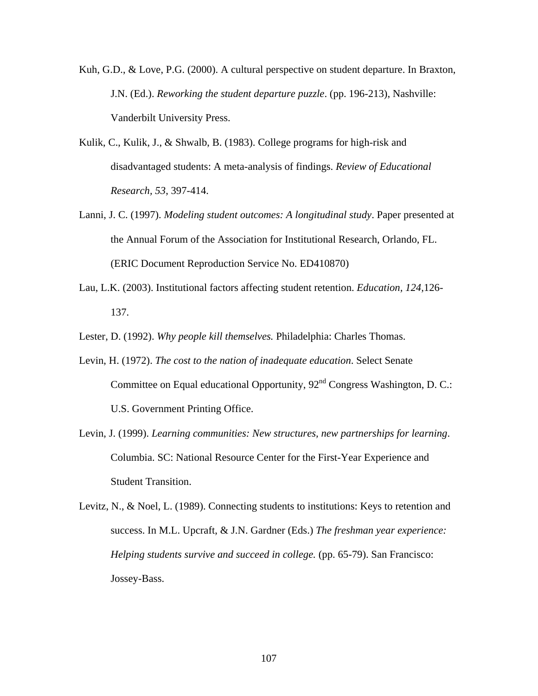- Kuh, G.D., & Love, P.G. (2000). A cultural perspective on student departure. In Braxton, J.N. (Ed.). *Reworking the student departure puzzle*. (pp. 196-213), Nashville: Vanderbilt University Press.
- Kulik, C., Kulik, J., & Shwalb, B. (1983). College programs for high-risk and disadvantaged students: A meta-analysis of findings. *Review of Educational Research, 53*, 397-414.
- (ERIC Document Reproduction Service No. ED410870) Lanni, J. C. (1997). *Modeling student outcomes: A longitudinal study*. Paper presented at the Annual Forum of the Association for Institutional Research, Orlando, FL.
- Lau, L.K. (2003). Institutional factors affecting student retention. *Education*, 124,126-137.
- Lester, D. (1992). Why people kill themselves. Philadelphia: Charles Thomas.
- Committee on Equal educational Opportunity, 92<sup>nd</sup> Congress Washington, D. C.: Levin, H. (1972). *The cost to the nation of inadequate education*. Select Senate U.S. Government Printing Office.
- . Levin, J. (1999). *Learning communities: New structures, new partnerships for learning* Columbia. SC: National Resource Center for the First-Year Experience and Student Transition.
- Levitz, N., & Noel, L. (1989). Connecting students to institutions: Keys to retention and Helping students survive and succeed in college. (pp. 65-79). San Francisco: Jossey-Bass. success. In M.L. Upcraft, & J.N. Gardner (Eds.) *The freshman year experience:*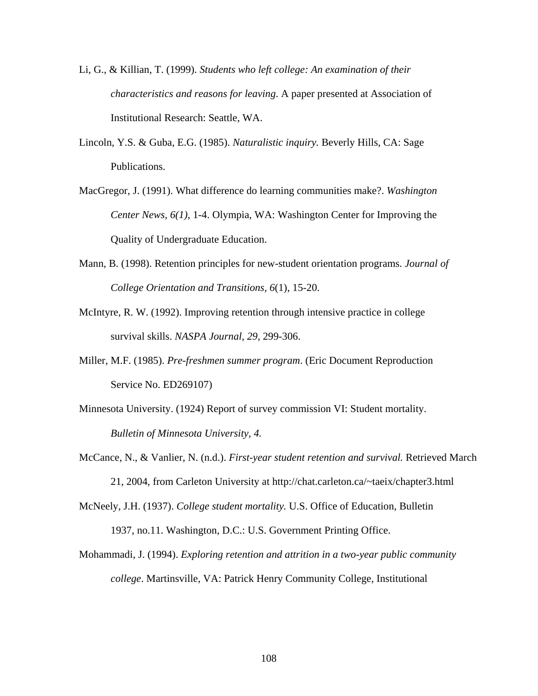- Li, G., & Killian, T. (1999). *Students who left college: An examination of their characteristics and reasons for leaving*. A paper presented at Association of Institutional Research: Seattle, WA.
- Lincoln, Y.S. & Guba, E.G. (1985). *Naturalistic inquiry.* Beverly Hills, CA: Sage Publications.
- MacGr egor, J. (1991). What difference do learning communities make?. *Washington 6(1)*, 1-4. Olympia, WA: Washington Center for Improving the *Center News,*  Quality of Undergraduate Education.
- Mann, B. (1998). Retention principles for new-student orientation programs. *Journal of 6*(1), 15-20. *College Orientation and Transitions,*
- survival skills. NASPA Journal, 29, 299-306. McIntyre, R. W. (1992). Improving retention through intensive practice in college
- Miller, M.F. (1985). *Pre-freshmen summer program*. (Eric Document Reproduction Service No. ED269107)
- Minnesota University. (1924) Report of survey commission VI: Student mortality. *Bulletin of Minnesota University, 4.*
- McCance, N., & Vanlier, N. (n.d.). *First-year student retention and survival*. Retrieved March 21, 2004, from Carleton University at http://chat.carleton.ca/~taeix/chapter3.html

McNeely, J.H. (1937). *College student mortality*. U.S. Office of Education, Bulletin 1937, no.11. Washington, D.C.: U.S. Government Printing Office.

Mohammadi, J. (1994). *Exploring retention and attrition in a two-year public community college*. Martinsville, VA: Patrick Henry Community College, Institutional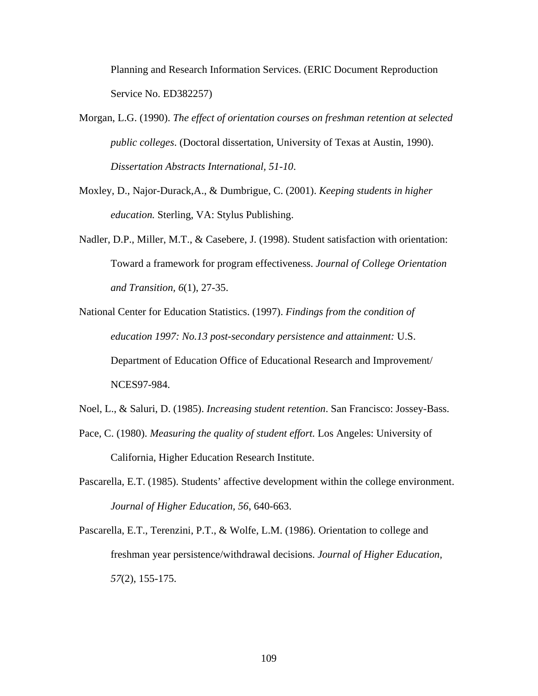Planning and Research Information Services. (ERIC Document Reproduction Service No. ED382257)

- Morgan, L.G. (1990). The effect of orientation courses on freshman retention at selected *public colleges*. (Doctoral dissertation, University of Texas at Austi n, 1990). *Dissertation Abstracts International, 51-10*.
- Moxley , D., Najor-Durack,A., & Dumbrigue, C. (2001). *Keeping students in higher education.* Sterling, VA: Stylus Publishing.
- Nadler, D.P., Miller, M.T., & Casebere, J. (1998). Student satisfaction with orientation: Toward a framework for program effectiveness. *Journal of College Orientation and Transition, 6*(1), 27-35.
- National Center for Education Statistics. (1997). *Findings from the condition of* Department of Education Office of Educational Research and Improvement/ *education 1997: No.13 post-secondary persistence and attainment:* U.S. NCES97-984.
- Noel, L ., & Saluri, D. (1985). *Increasing student retention*. San Francisco: Jossey-Bass.
- Pace, C. (1980). *Measuring the quality of student effort*. Los Angeles: University of California, Higher Education Research Institute.
- Pascarella, E.T. (1985). Students' affective development within the college environment. *Journal of Higher Education, 56*, 640-663.
- Pascarella, E.T., Terenzini, P.T., & Wolfe, L.M. (1986). Orientation to college and freshman year persistence/withdrawal decisions. *Journal of Higher Education, 57*(2), 155-175.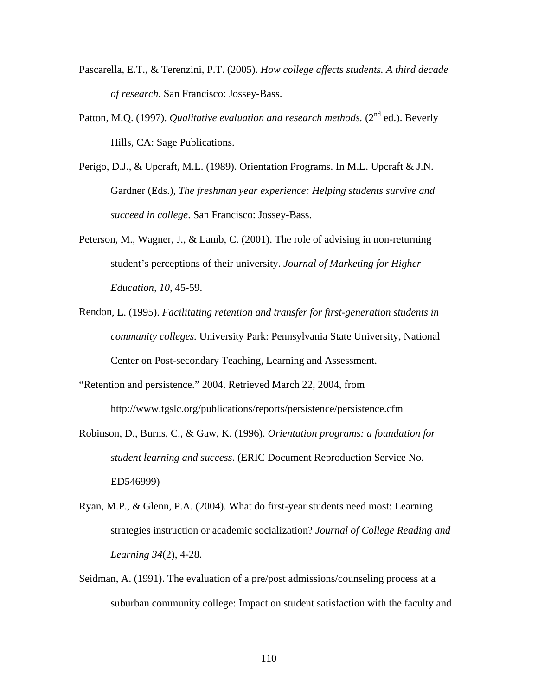- Pascarella, E.T., & Terenzini, P.T. (2005). *How college affects students. A third decade of research.* San Francisco: Jossey-Bass.
- Patton, M.Q. (1997). *Qualitative evaluation and research methods*. (2<sup>nd</sup> ed.). Beverly Hills, CA: Sage Publications.
- Perigo, D.J., & Upcraft, M.L. (1989). Orientation Programs. In M.L. Upcraft & J.N. succeed in college. San Francisco: Jossey-Bass. Gardner (Eds.), *The freshman year experience: Helping students survive and*
- student's perceptions of their university. *Journal of Marketing for Higher* Peterson, M., Wagner, J., & Lamb, C. (2001). The role of advising in non-returning *Education, 10,* 45-59.
- Rendon , L. (1995). *Facilitating retention and transfer for first-generation students in* community colleges. University Park: Pennsylvania State University, National Center on Post-secondary Teaching, Learning and Assessment.
- "Reten tion and persistence." 2004. Retrieved March 22, 2004, from http://www.tgslc.org/publications/reports/persistence/persistence.cfm
- Robinson, D., Burns, C., & Gaw, K. (1996). *Orientation programs: a foundation for student learning and success*. (ERIC Document Reproduction Service No. ED546999)
- Ryan, M.P., & Glenn, P.A. (2004). What do first-year students need most: Learning strategies instruction or academic socialization? *Journal of College Reading and Learning 34*(2), 4-28.
- Seidman, A. (1991). The evaluation of a pre/post admissions/counseling process at a suburban community college: Impact on student satisfaction with the faculty and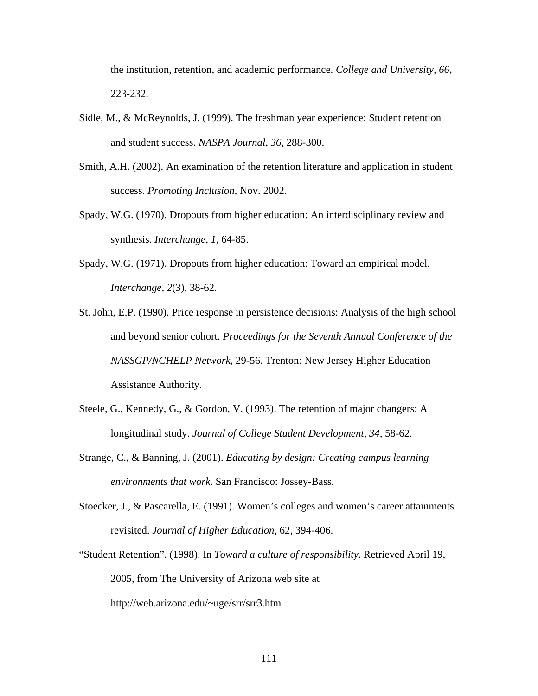the institution, retention, and academic performance. *College and University, 66*, 223-232.

- Sidle, M., & McReynolds, J. (1999). The freshman year experience: Student retention and student success. *NASPA Journal, 36*, 288-300.
- Smith, A.H. (2002). An examination of the retention literature and application in student success. *Promoting Inclusion,* Nov. 2002.
- Spady, W.G. (1970). Dropouts from higher education: An interdisciplinary review and synthesis. *Interchange, 1*, 64-85.
- Spady, W.G. (1971). Dropouts from higher education: Toward an empirical model. *Interchange, 2*(3), 38-62*.*
- St. John, E.P. (1990). Price response in persistence decisions: Analysis of the high school NASSGP/NCHELP Network, 29-56. Trenton: New Jersey Higher Education and beyond senior cohort. *Proceedings for the Seventh Annual Conference of the* Assistance Authority.
- Steele, G., Kennedy, G., & Gordon, V. (1993). The retention of major changers: A longitudinal study. *Journal of College Student Development, 34,* 58-62.
- Strange , C., & Banning, J. (2001). *Educating by design: Creating campus learning environments that work*. San Francisco: Jossey-Bass.
- Stoecker, J., & Pascarella, E. (1991). Women's colleges and women's career attainments revisited. *Journal of Higher Education*, 62*,* 394-406.
- "Student Retention". (1998). In *Toward a culture of responsibility*. Retrieved April 19, 2005, from The University of Arizona web site at http://web.arizona.edu/~uge/srr/srr3.htm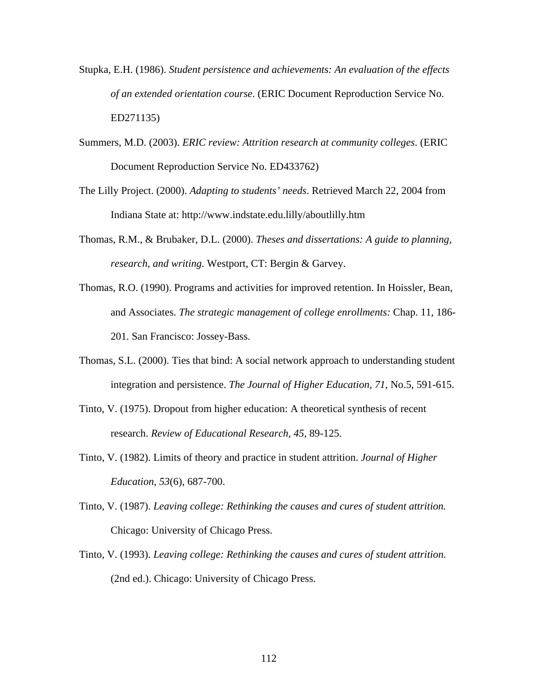- Stupka, E.H. (1986). *Student persistence and achievements: An evaluation of the effects of an extended orientation course*. (ERIC Document Reproduction Service No. ED271135)
- Summers, M.D. (2003). *ERIC review: Attrition research at community colleges*. (ERIC Document Reproduction Service No. ED433762)
- The Lilly Project. (2000). *Adapting to students' needs*. Retrieved March 22, 2004 from Indiana State at: http://www.indstate.edu.lilly/aboutlilly.htm
- Thomas, R.M., & Brubaker, D.L. (2000). *Theses and dissertations: A guide to planning, research, and writing.* Westport, CT: Bergin & Garvey.
- Thomas, R.O. (1990). Programs and activities for improved retention. In Hoissler, Bean, - and Associates. *The strategic management of college enrollments:* Chap. 11, 186 201. San Francisco: Jossey-Bass.
- integration and persistence. The Journal of Higher Education, 71, No.5, 591-615. Thomas, S.L. (2000). Ties that bind: A social network approach to understanding student
- Tinto, V. (1975). Dropout from higher education: A theoretical synthesis of recent research. *Review of Educational Research, 45,* 89-125.
- Tinto, V. (1982). Limits of theory and practice in student attrition. *Journal of Higher Education, 53*(6), 687-700.
- Tinto, V . (1987). *Leaving college: Rethinking the causes and cures of student attrition.* Chicago: University of Chicago Press.
- Tinto, V. (1993). *Leaving college: Rethinking the causes and cures of student attrition*. (2nd ed.). Chicago: University of Chicago Press.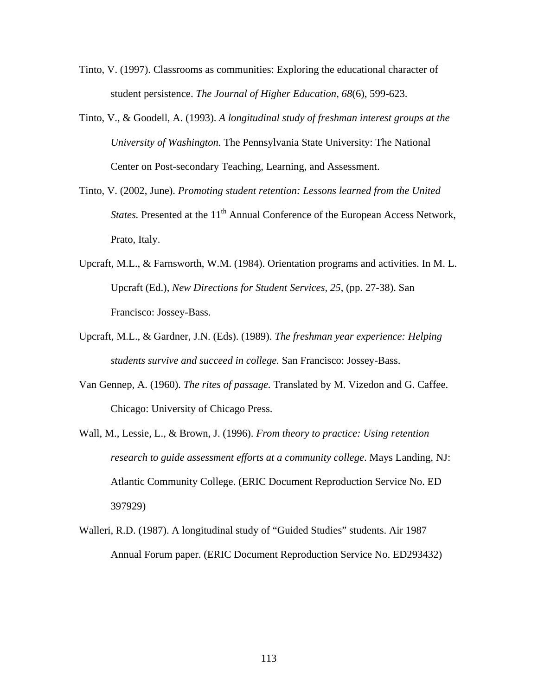- Tinto, V. (1997). Classrooms as communities: Exploring the educational character of student persistence. *The Journal of Higher Education, 68*(6), 599-623.
- University of Washington. The Pennsylvania State University: The National Tinto, V., & Goodell, A. (1993). *A longitudinal study of freshman interest groups at the* Center on Post-secondary Teaching, Learning, and Assessment.
- Tinto, V. (2002, June). *Promoting student retention: Lessons learned from the United States.* Presented at the 11<sup>th</sup> Annual Conference of the European Access Network, Prato, Italy.
- Upcraft, M.L., & Farnsworth, W.M. (1984). Orientation programs and activities. In M. L. Upcraft (Ed.), *New Directions for Student Services*, *25*, (pp. 27-38). San Francisco: Jossey-Bass.
- Upcraft, M.L., & Gardner, J.N. (Eds). (1989). *The freshman year experience: Helping students survive and succeed in college.* San Francisco: Jossey-Bass.
- Van Gennep, A. (1960). *The rites of passage*. Translated by M. Vizedon and G. Caffee. Chicago: University of Chicago Press.
- research to guide assessment efforts at a community college. Mays Landing, NJ: Wall, M., Lessie, L., & Brown, J. (1996). *From theory to practice: Using retention*  Atlantic Community College. (ERIC Document Reproduction Service No. ED 397929)
- Walleri, R.D. (1987). A longitudinal study of "Guided Studies" students. Air 1987 Annual Forum paper. (ERIC Document Reproduction Service No. ED293432)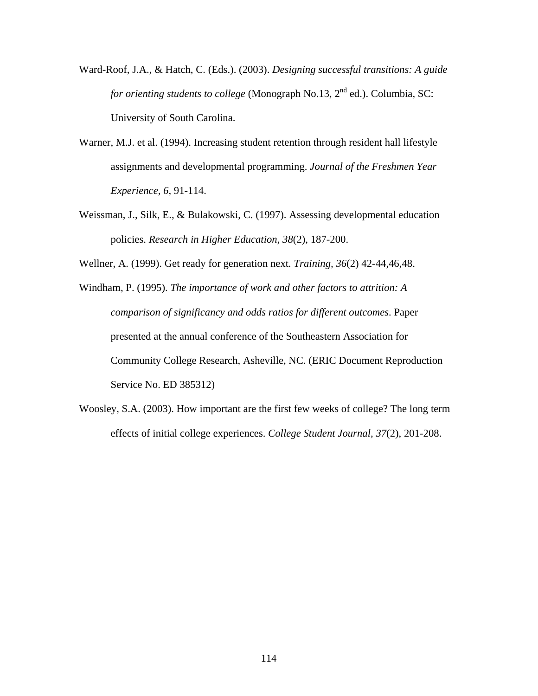- Ward-Roof, J.A., & Hatch, C. (Eds.). (2003). *Designing successful transitions: A gu ide for orienting students to college* (Monograph No.13, 2<sup>nd</sup> ed.). Columbia, SC: University of South Carolina.
- Warner , M.J. et al. (1994). Increasing student retention through resident hall lifestyle assignments and developmental programming. *Journal of the Freshmen Year Experience, 6,* 91-114.
- Weissm an, J., Silk, E., & Bulakowski, C. (1997). Assessing developmental education policies. *Research in Higher Education*, 38(2), 187-200.

Wellner, A. (1999). Get ready for generation next*. Training, 36*(2) 42-44,46,48.

- Windham, P. (1995). *The importance of work and other factors to attrition: A* Community College Research, Asheville, NC. (ERIC Document Reproduction *comparison of significancy and odds ratios for different outcomes*. Paper presented at the annual conference of the Southeastern Association for Service No. ED 385312)
- Woosle y, S.A. (2003). How important are the first few weeks of college? The long term effects of initial college experiences. College Student Journal, 37(2), 201-208.